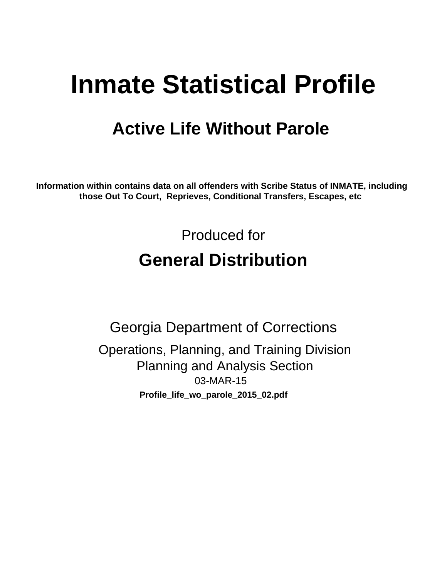# **Inmate Statistical Profile**

## **Active Life Without Parole**

Information within contains data on all offenders with Scribe Status of INMATE, including those Out To Court, Reprieves, Conditional Transfers, Escapes, etc

> Produced for **General Distribution**

**Georgia Department of Corrections** Operations, Planning, and Training Division **Planning and Analysis Section** 03-MAR-15 Profile\_life\_wo\_parole\_2015\_02.pdf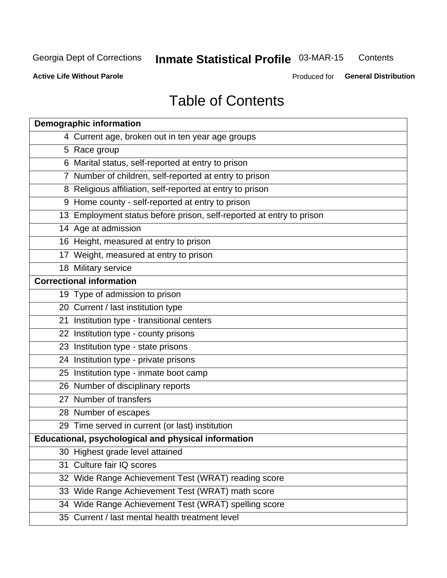#### **Inmate Statistical Profile 03-MAR-15** Contents

**Active Life Without Parole** 

Produced for General Distribution

## **Table of Contents**

|    | <b>Demographic information</b>                                       |
|----|----------------------------------------------------------------------|
|    | 4 Current age, broken out in ten year age groups                     |
|    | 5 Race group                                                         |
|    | 6 Marital status, self-reported at entry to prison                   |
|    | 7 Number of children, self-reported at entry to prison               |
|    | 8 Religious affiliation, self-reported at entry to prison            |
|    | 9 Home county - self-reported at entry to prison                     |
|    | 13 Employment status before prison, self-reported at entry to prison |
|    | 14 Age at admission                                                  |
|    | 16 Height, measured at entry to prison                               |
|    | 17 Weight, measured at entry to prison                               |
|    | 18 Military service                                                  |
|    | <b>Correctional information</b>                                      |
|    | 19 Type of admission to prison                                       |
|    | 20 Current / last institution type                                   |
|    | 21 Institution type - transitional centers                           |
|    | 22 Institution type - county prisons                                 |
|    | 23 Institution type - state prisons                                  |
|    | 24 Institution type - private prisons                                |
|    | 25 Institution type - inmate boot camp                               |
|    | 26 Number of disciplinary reports                                    |
|    | 27 Number of transfers                                               |
|    | 28 Number of escapes                                                 |
|    | 29 Time served in current (or last) institution                      |
|    | Educational, psychological and physical information                  |
|    | 30 Highest grade level attained                                      |
| 31 | Culture fair IQ scores                                               |
|    | 32 Wide Range Achievement Test (WRAT) reading score                  |
|    | 33 Wide Range Achievement Test (WRAT) math score                     |
|    | 34 Wide Range Achievement Test (WRAT) spelling score                 |
|    | 35 Current / last mental health treatment level                      |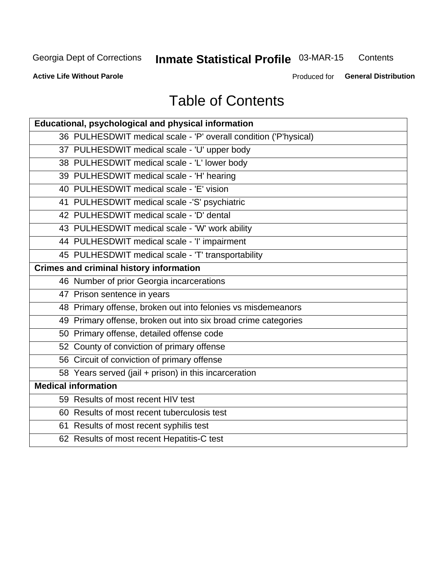#### **Inmate Statistical Profile 03-MAR-15** Contents

**Active Life Without Parole** 

Produced for General Distribution

## **Table of Contents**

| Educational, psychological and physical information              |
|------------------------------------------------------------------|
| 36 PULHESDWIT medical scale - 'P' overall condition ('P'hysical) |
| 37 PULHESDWIT medical scale - 'U' upper body                     |
| 38 PULHESDWIT medical scale - 'L' lower body                     |
| 39 PULHESDWIT medical scale - 'H' hearing                        |
| 40 PULHESDWIT medical scale - 'E' vision                         |
| 41 PULHESDWIT medical scale -'S' psychiatric                     |
| 42 PULHESDWIT medical scale - 'D' dental                         |
| 43 PULHESDWIT medical scale - 'W' work ability                   |
| 44 PULHESDWIT medical scale - 'I' impairment                     |
| 45 PULHESDWIT medical scale - 'T' transportability               |
| <b>Crimes and criminal history information</b>                   |
| 46 Number of prior Georgia incarcerations                        |
| 47 Prison sentence in years                                      |
| 48 Primary offense, broken out into felonies vs misdemeanors     |
| 49 Primary offense, broken out into six broad crime categories   |
| 50 Primary offense, detailed offense code                        |
| 52 County of conviction of primary offense                       |
| 56 Circuit of conviction of primary offense                      |
| 58 Years served (jail + prison) in this incarceration            |
| <b>Medical information</b>                                       |
| 59 Results of most recent HIV test                               |
| 60 Results of most recent tuberculosis test                      |
| 61 Results of most recent syphilis test                          |
| 62 Results of most recent Hepatitis-C test                       |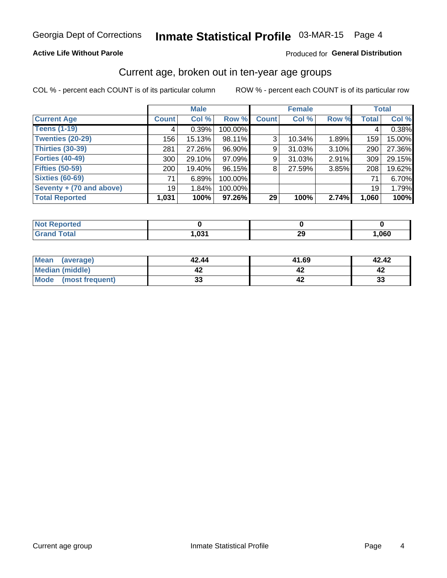#### **Active Life Without Parole**

#### Produced for General Distribution

### Current age, broken out in ten-year age groups

COL % - percent each COUNT is of its particular column

|                          |              | <b>Male</b> |         | <b>Female</b> |           |          |              | <b>Total</b> |
|--------------------------|--------------|-------------|---------|---------------|-----------|----------|--------------|--------------|
| <b>Current Age</b>       | <b>Count</b> | Col %       | Row %   | <b>Count</b>  | Col %     | Row %    | <b>Total</b> | Col %        |
| <b>Teens (1-19)</b>      | 4            | 0.39%       | 100.00% |               |           |          | 4            | 0.38%        |
| <b>Twenties (20-29)</b>  | 156          | 15.13%      | 98.11%  | 3             | 10.34%    | 1.89%    | 159          | 15.00%       |
| Thirties (30-39)         | 281          | 27.26%      | 96.90%  | 9             | $31.03\%$ | $3.10\%$ | 290          | 27.36%       |
| <b>Forties (40-49)</b>   | 300          | 29.10%      | 97.09%  | 9             | $31.03\%$ | 2.91%    | 309          | 29.15%       |
| <b>Fifties (50-59)</b>   | 200          | 19.40%      | 96.15%  | 8             | 27.59%    | 3.85%    | 208          | 19.62%       |
| <b>Sixties (60-69)</b>   | 71           | 6.89%       | 100.00% |               |           |          | 71           | 6.70%        |
| Seventy + (70 and above) | 19           | 1.84%       | 100.00% |               |           |          | 19           | 1.79%        |
| <b>Total Reported</b>    | 1,031        | 100%        | 97.26%  | 29            | 100%      | 2.74%    | 1,060        | 100%         |

| rted -<br>m.          |               |           |      |
|-----------------------|---------------|-----------|------|
| $f \wedge f \wedge f$ | 00d<br>$\sim$ | nr.<br>LJ | ,060 |

| Mean<br>(average)      | 42.44    | 41.69 | 42.42 |
|------------------------|----------|-------|-------|
| <b>Median (middle)</b> |          |       |       |
| Mode (most frequent)   | n.<br>vu |       | 33    |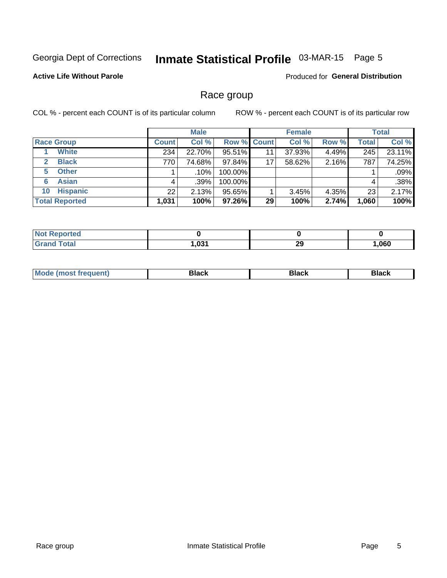## Inmate Statistical Profile 03-MAR-15 Page 5

#### **Active Life Without Parole**

Produced for General Distribution

### Race group

COL % - percent each COUNT is of its particular column

|                              | <b>Male</b>  |         |                    | <b>Female</b> |        |       | <b>Total</b> |        |
|------------------------------|--------------|---------|--------------------|---------------|--------|-------|--------------|--------|
| <b>Race Group</b>            | <b>Count</b> | Col %   | <b>Row % Count</b> |               | Col %  | Row % | <b>Total</b> | Col %  |
| <b>White</b>                 | 234          | 22.70%  | 95.51%             | 11            | 37.93% | 4.49% | 245          | 23.11% |
| <b>Black</b><br>$\mathbf{2}$ | 770          | 74.68%  | 97.84%             | 17            | 58.62% | 2.16% | 787          | 74.25% |
| <b>Other</b><br>5.           |              | $.10\%$ | 100.00%            |               |        |       |              | .09%   |
| <b>Asian</b><br>6            | 4            | $.39\%$ | 100.00%            |               |        |       | 4            | .38%   |
| <b>Hispanic</b><br>10        | 22           | 2.13%   | 95.65%             |               | 3.45%  | 4.35% | 23           | 2.17%  |
| <b>Total Reported</b>        | 1,031        | 100%    | 97.26%             | 29            | 100%   | 2.74% | 1,060        | 100%   |

| <b>orted</b> |      |           |      |
|--------------|------|-----------|------|
| <b>Total</b> | .031 | nr.<br>23 | ,060 |

| –•••• |  | M |  |  |  |
|-------|--|---|--|--|--|
|-------|--|---|--|--|--|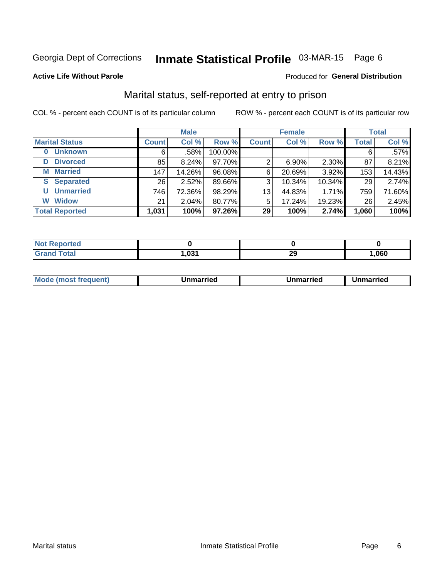## Inmate Statistical Profile 03-MAR-15 Page 6

#### **Active Life Without Parole**

#### **Produced for General Distribution**

## Marital status, self-reported at entry to prison

COL % - percent each COUNT is of its particular column

|                            | <b>Male</b>     |        | <b>Female</b> |              |          | <b>Total</b> |              |        |
|----------------------------|-----------------|--------|---------------|--------------|----------|--------------|--------------|--------|
| <b>Marital Status</b>      | <b>Count</b>    | Col %  | Row %         | <b>Count</b> | Col %    | Row %        | <b>Total</b> | Col %  |
| <b>Unknown</b><br>$\bf{0}$ | 6               | .58%   | 100.00%       |              |          |              | 6            | .57%   |
| <b>Divorced</b><br>D       | 85              | 8.24%  | 97.70%        | 2            | $6.90\%$ | 2.30%        | 87           | 8.21%  |
| <b>Married</b><br>М        | 147             | 14.26% | 96.08%        | 6            | 20.69%   | 3.92%        | 153          | 14.43% |
| <b>Separated</b><br>S      | 26 <sub>1</sub> | 2.52%  | 89.66%        | 3            | 10.34%   | 10.34%       | 29           | 2.74%  |
| <b>Unmarried</b><br>U      | 746             | 72.36% | 98.29%        | 13           | 44.83%   | 1.71%        | 759          | 71.60% |
| <b>Widow</b><br>W          | 21              | 2.04%  | 80.77%        | 5            | 17.24%   | 19.23%       | 26           | 2.45%  |
| <b>Total Reported</b>      | 1,031           | 100%   | 97.26%        | 29           | 100%     | 2.74%        | 1,060        | 100%   |

| <b>Not Reported</b> |      |   |      |
|---------------------|------|---|------|
| <b>Total</b>        | ,031 | ົ | ,060 |

|  | M | . | Unmarried | າmarried<br>_____ |
|--|---|---|-----------|-------------------|
|--|---|---|-----------|-------------------|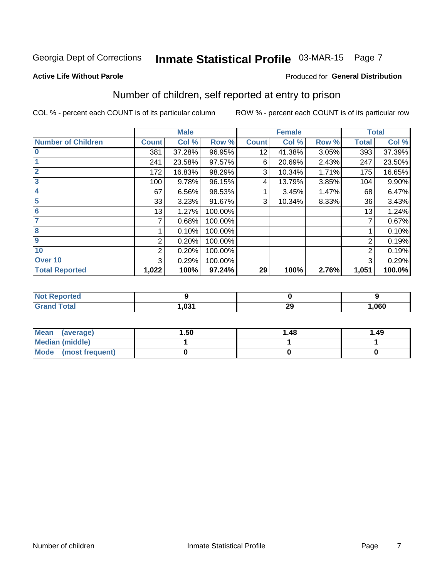## Inmate Statistical Profile 03-MAR-15 Page 7

#### **Active Life Without Parole**

#### **Produced for General Distribution**

## Number of children, self reported at entry to prison

COL % - percent each COUNT is of its particular column

|                           |                | <b>Male</b> |         |              | <b>Female</b> |       |                | <b>Total</b> |
|---------------------------|----------------|-------------|---------|--------------|---------------|-------|----------------|--------------|
| <b>Number of Children</b> | <b>Count</b>   | Col %       | Row %   | <b>Count</b> | Col %         | Row % | <b>Total</b>   | Col %        |
| $\bf{0}$                  | 381            | 37.28%      | 96.95%  | 12           | 41.38%        | 3.05% | 393            | 37.39%       |
|                           | 241            | 23.58%      | 97.57%  | 6            | 20.69%        | 2.43% | 247            | 23.50%       |
| $\overline{2}$            | 172            | 16.83%      | 98.29%  | 3            | 10.34%        | 1.71% | 175            | 16.65%       |
| 3                         | 100            | 9.78%       | 96.15%  | 4            | 13.79%        | 3.85% | 104            | 9.90%        |
| 4                         | 67             | 6.56%       | 98.53%  |              | 3.45%         | 1.47% | 68             | 6.47%        |
| 5                         | 33             | 3.23%       | 91.67%  | 3            | 10.34%        | 8.33% | 36             | 3.43%        |
| $6\phantom{1}6$           | 13             | 1.27%       | 100.00% |              |               |       | 13             | 1.24%        |
| 7                         |                | 0.68%       | 100.00% |              |               |       | 7              | 0.67%        |
| $\overline{\mathbf{8}}$   |                | 0.10%       | 100.00% |              |               |       |                | 0.10%        |
| $\boldsymbol{9}$          | 2              | 0.20%       | 100.00% |              |               |       | 2              | 0.19%        |
| 10                        | $\overline{2}$ | 0.20%       | 100.00% |              |               |       | $\overline{2}$ | 0.19%        |
| Over 10                   | 3              | 0.29%       | 100.00% |              |               |       | 3              | 0.29%        |
| <b>Total Reported</b>     | 1,022          | 100%        | 97.24%  | 29           | 100%          | 2.76% | 1,051          | 100.0%       |

| meol           |       |           |      |
|----------------|-------|-----------|------|
| $int^{\infty}$ | 1,031 | nr.<br>23 | ,060 |

| Mean<br>(average)       | 1.50 | 1.48 | 1.49 |
|-------------------------|------|------|------|
| <b>Median (middle)</b>  |      |      |      |
| Mode<br>(most frequent) |      |      |      |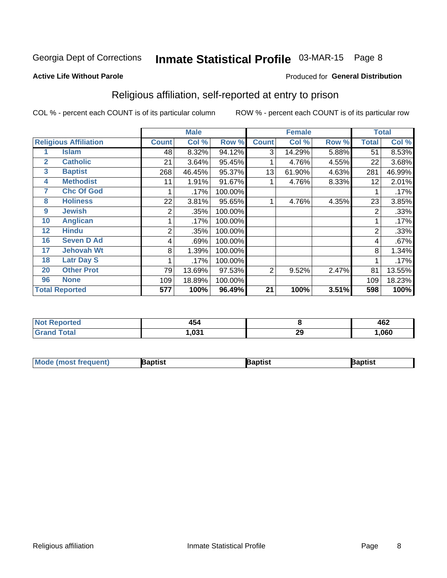## Inmate Statistical Profile 03-MAR-15 Page 8

#### **Active Life Without Parole**

#### Produced for General Distribution

## Religious affiliation, self-reported at entry to prison

COL % - percent each COUNT is of its particular column

|                |                              |                | <b>Male</b> |         |                | <b>Female</b> |       |                | <b>Total</b> |
|----------------|------------------------------|----------------|-------------|---------|----------------|---------------|-------|----------------|--------------|
|                | <b>Religious Affiliation</b> | <b>Count</b>   | Col %       | Row %   | <b>Count</b>   | Col %         | Row % | <b>Total</b>   | Col %        |
|                | <b>Islam</b>                 | 48             | 8.32%       | 94.12%  | 3              | 14.29%        | 5.88% | 51             | 8.53%        |
| $\overline{2}$ | <b>Catholic</b>              | 21             | 3.64%       | 95.45%  |                | 4.76%         | 4.55% | 22             | 3.68%        |
| 3              | <b>Baptist</b>               | 268            | 46.45%      | 95.37%  | 13             | 61.90%        | 4.63% | 281            | 46.99%       |
| 4              | <b>Methodist</b>             | 11             | 1.91%       | 91.67%  |                | 4.76%         | 8.33% | 12             | 2.01%        |
| 7              | <b>Chc Of God</b>            |                | .17%        | 100.00% |                |               |       |                | .17%         |
| 8              | <b>Holiness</b>              | 22             | 3.81%       | 95.65%  |                | 4.76%         | 4.35% | 23             | 3.85%        |
| 9              | <b>Jewish</b>                | 2              | .35%        | 100.00% |                |               |       | $\overline{2}$ | .33%         |
| 10             | <b>Anglican</b>              |                | .17%        | 100.00% |                |               |       |                | .17%         |
| 12             | <b>Hindu</b>                 | $\overline{2}$ | .35%        | 100.00% |                |               |       | $\overline{2}$ | .33%         |
| 16             | <b>Seven D Ad</b>            | 4              | .69%        | 100.00% |                |               |       | 4              | .67%         |
| 17             | <b>Jehovah Wt</b>            | 8              | 1.39%       | 100.00% |                |               |       | 8              | 1.34%        |
| 18             | <b>Latr Day S</b>            |                | .17%        | 100.00% |                |               |       |                | .17%         |
| 20             | <b>Other Prot</b>            | 79             | 13.69%      | 97.53%  | $\overline{2}$ | 9.52%         | 2.47% | 81             | 13.55%       |
| 96             | <b>None</b>                  | 109            | 18.89%      | 100.00% |                |               |       | 109            | 18.23%       |
|                | <b>Total Reported</b>        | 577            | 100%        | 96.49%  | 21             | 100%          | 3.51% | 598            | 100%         |

| rteo   | .     |    | ハドウ  |
|--------|-------|----|------|
|        | +J4   |    | 40Z  |
| ______ | י מח⊹ | 29 | .060 |

| <b>Mode (most frequent)</b> | Baptist | Baptist | Baptist |
|-----------------------------|---------|---------|---------|
|-----------------------------|---------|---------|---------|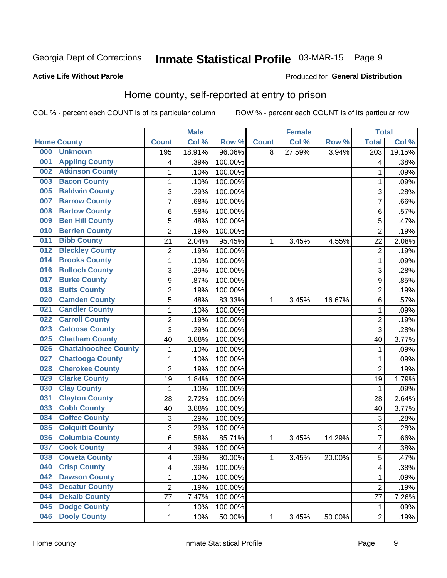## Inmate Statistical Profile 03-MAR-15 Page 9

#### **Active Life Without Parole**

#### Produced for General Distribution

## Home county, self-reported at entry to prison

COL % - percent each COUNT is of its particular column

|     |                             |                | <b>Male</b> |         |              | <b>Female</b> |        | <b>Total</b>            |        |
|-----|-----------------------------|----------------|-------------|---------|--------------|---------------|--------|-------------------------|--------|
|     | <b>Home County</b>          | <b>Count</b>   | Col %       | Row %   | <b>Count</b> | Col %         | Row %  | <b>Total</b>            | Col %  |
| 000 | <b>Unknown</b>              | 195            | 18.91%      | 96.06%  | 8            | 27.59%        | 3.94%  | $\overline{203}$        | 19.15% |
| 001 | <b>Appling County</b>       | 4              | .39%        | 100.00% |              |               |        | 4                       | .38%   |
| 002 | <b>Atkinson County</b>      | 1              | .10%        | 100.00% |              |               |        | 1                       | .09%   |
| 003 | <b>Bacon County</b>         | 1              | .10%        | 100.00% |              |               |        | 1                       | .09%   |
| 005 | <b>Baldwin County</b>       | 3              | .29%        | 100.00% |              |               |        | 3                       | .28%   |
| 007 | <b>Barrow County</b>        | $\overline{7}$ | .68%        | 100.00% |              |               |        | 7                       | .66%   |
| 008 | <b>Bartow County</b>        | 6              | .58%        | 100.00% |              |               |        | 6                       | .57%   |
| 009 | <b>Ben Hill County</b>      | 5              | .48%        | 100.00% |              |               |        | 5                       | .47%   |
| 010 | <b>Berrien County</b>       | $\overline{2}$ | .19%        | 100.00% |              |               |        | $\overline{2}$          | .19%   |
| 011 | <b>Bibb County</b>          | 21             | 2.04%       | 95.45%  | 1            | 3.45%         | 4.55%  | 22                      | 2.08%  |
| 012 | <b>Bleckley County</b>      | $\overline{2}$ | .19%        | 100.00% |              |               |        | $\overline{2}$          | .19%   |
| 014 | <b>Brooks County</b>        | 1              | .10%        | 100.00% |              |               |        | 1                       | .09%   |
| 016 | <b>Bulloch County</b>       | 3              | .29%        | 100.00% |              |               |        | 3                       | .28%   |
| 017 | <b>Burke County</b>         | 9              | .87%        | 100.00% |              |               |        | 9                       | .85%   |
| 018 | <b>Butts County</b>         | $\overline{2}$ | .19%        | 100.00% |              |               |        | $\overline{2}$          | .19%   |
| 020 | <b>Camden County</b>        | 5              | .48%        | 83.33%  | 1            | 3.45%         | 16.67% | 6                       | .57%   |
| 021 | <b>Candler County</b>       | 1              | .10%        | 100.00% |              |               |        | 1                       | .09%   |
| 022 | <b>Carroll County</b>       | $\overline{c}$ | .19%        | 100.00% |              |               |        | $\overline{c}$          | .19%   |
| 023 | <b>Catoosa County</b>       | $\overline{3}$ | .29%        | 100.00% |              |               |        | $\overline{3}$          | .28%   |
| 025 | <b>Chatham County</b>       | 40             | 3.88%       | 100.00% |              |               |        | 40                      | 3.77%  |
| 026 | <b>Chattahoochee County</b> | 1              | .10%        | 100.00% |              |               |        | 1                       | .09%   |
| 027 | <b>Chattooga County</b>     | 1              | .10%        | 100.00% |              |               |        | 1                       | .09%   |
| 028 | <b>Cherokee County</b>      | $\overline{2}$ | .19%        | 100.00% |              |               |        | $\overline{2}$          | .19%   |
| 029 | <b>Clarke County</b>        | 19             | 1.84%       | 100.00% |              |               |        | 19                      | 1.79%  |
| 030 | <b>Clay County</b>          | 1              | .10%        | 100.00% |              |               |        | 1                       | .09%   |
| 031 | <b>Clayton County</b>       | 28             | 2.72%       | 100.00% |              |               |        | 28                      | 2.64%  |
| 033 | <b>Cobb County</b>          | 40             | 3.88%       | 100.00% |              |               |        | 40                      | 3.77%  |
| 034 | <b>Coffee County</b>        | 3              | .29%        | 100.00% |              |               |        | 3                       | .28%   |
| 035 | <b>Colquitt County</b>      | 3              | .29%        | 100.00% |              |               |        | 3                       | .28%   |
| 036 | <b>Columbia County</b>      | 6              | .58%        | 85.71%  | 1            | 3.45%         | 14.29% | $\overline{7}$          | .66%   |
| 037 | <b>Cook County</b>          | 4              | .39%        | 100.00% |              |               |        | $\overline{\mathbf{4}}$ | .38%   |
| 038 | <b>Coweta County</b>        | 4              | .39%        | 80.00%  | 1            | 3.45%         | 20.00% | 5                       | .47%   |
| 040 | <b>Crisp County</b>         | 4              | .39%        | 100.00% |              |               |        | 4                       | .38%   |
| 042 | <b>Dawson County</b>        | 1              | .10%        | 100.00% |              |               |        | 1                       | .09%   |
| 043 | <b>Decatur County</b>       | $\overline{2}$ | .19%        | 100.00% |              |               |        | $\overline{2}$          | .19%   |
| 044 | <b>Dekalb County</b>        | 77             | 7.47%       | 100.00% |              |               |        | 77                      | 7.26%  |
| 045 | <b>Dodge County</b>         | 1              | .10%        | 100.00% |              |               |        | 1                       | .09%   |
| 046 | <b>Dooly County</b>         | 1              | .10%        | 50.00%  | $\mathbf 1$  | 3.45%         | 50.00% | $\overline{2}$          | .19%   |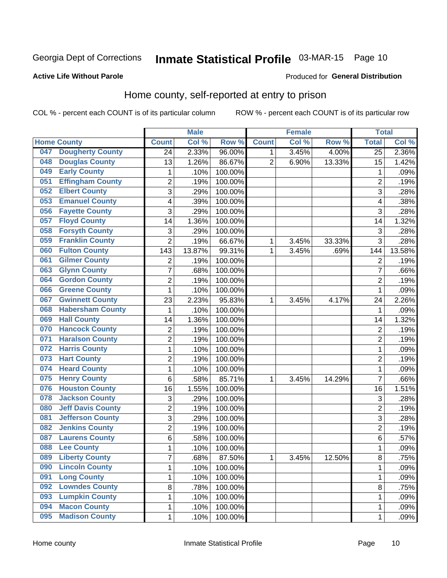## Inmate Statistical Profile 03-MAR-15 Page 10

#### **Active Life Without Parole**

#### Produced for General Distribution

## Home county, self-reported at entry to prison

COL % - percent each COUNT is of its particular column

|     |                          |                | <b>Male</b> |         |                | <b>Female</b> |        | <b>Total</b>    |        |
|-----|--------------------------|----------------|-------------|---------|----------------|---------------|--------|-----------------|--------|
|     | <b>Home County</b>       | <b>Count</b>   | Col %       | Row %   | <b>Count</b>   | Col %         | Row %  | <b>Total</b>    | Col %  |
| 047 | <b>Dougherty County</b>  | 24             | 2.33%       | 96.00%  | 1.             | 3.45%         | 4.00%  | $\overline{25}$ | 2.36%  |
| 048 | <b>Douglas County</b>    | 13             | 1.26%       | 86.67%  | $\overline{2}$ | 6.90%         | 13.33% | 15              | 1.42%  |
| 049 | <b>Early County</b>      | $\mathbf 1$    | .10%        | 100.00% |                |               |        | 1               | .09%   |
| 051 | <b>Effingham County</b>  | $\overline{c}$ | .19%        | 100.00% |                |               |        | $\overline{2}$  | .19%   |
| 052 | <b>Elbert County</b>     | $\overline{3}$ | .29%        | 100.00% |                |               |        | 3               | .28%   |
| 053 | <b>Emanuel County</b>    | 4              | .39%        | 100.00% |                |               |        | 4               | .38%   |
| 056 | <b>Fayette County</b>    | 3              | .29%        | 100.00% |                |               |        | 3               | .28%   |
| 057 | <b>Floyd County</b>      | 14             | 1.36%       | 100.00% |                |               |        | 14              | 1.32%  |
| 058 | <b>Forsyth County</b>    | 3              | .29%        | 100.00% |                |               |        | 3               | .28%   |
| 059 | <b>Franklin County</b>   | $\overline{2}$ | .19%        | 66.67%  | 1              | 3.45%         | 33.33% | 3               | .28%   |
| 060 | <b>Fulton County</b>     | 143            | 13.87%      | 99.31%  | 1              | 3.45%         | .69%   | 144             | 13.58% |
| 061 | <b>Gilmer County</b>     | 2              | .19%        | 100.00% |                |               |        | $\overline{2}$  | .19%   |
| 063 | <b>Glynn County</b>      | $\overline{7}$ | .68%        | 100.00% |                |               |        | 7               | .66%   |
| 064 | <b>Gordon County</b>     | $\overline{c}$ | .19%        | 100.00% |                |               |        | $\overline{2}$  | .19%   |
| 066 | <b>Greene County</b>     | $\mathbf{1}$   | .10%        | 100.00% |                |               |        | 1               | .09%   |
| 067 | <b>Gwinnett County</b>   | 23             | 2.23%       | 95.83%  | 1              | 3.45%         | 4.17%  | 24              | 2.26%  |
| 068 | <b>Habersham County</b>  | 1              | .10%        | 100.00% |                |               |        | 1               | .09%   |
| 069 | <b>Hall County</b>       | 14             | 1.36%       | 100.00% |                |               |        | 14              | 1.32%  |
| 070 | <b>Hancock County</b>    | $\mathbf 2$    | .19%        | 100.00% |                |               |        | $\overline{2}$  | .19%   |
| 071 | <b>Haralson County</b>   | $\overline{2}$ | .19%        | 100.00% |                |               |        | $\overline{2}$  | .19%   |
| 072 | <b>Harris County</b>     | $\mathbf 1$    | .10%        | 100.00% |                |               |        | 1               | .09%   |
| 073 | <b>Hart County</b>       | $\overline{2}$ | .19%        | 100.00% |                |               |        | $\overline{2}$  | .19%   |
| 074 | <b>Heard County</b>      | $\mathbf{1}$   | .10%        | 100.00% |                |               |        | 1               | .09%   |
| 075 | <b>Henry County</b>      | 6              | .58%        | 85.71%  | 1              | 3.45%         | 14.29% | $\overline{7}$  | .66%   |
| 076 | <b>Houston County</b>    | 16             | 1.55%       | 100.00% |                |               |        | 16              | 1.51%  |
| 078 | <b>Jackson County</b>    | 3              | .29%        | 100.00% |                |               |        | 3               | .28%   |
| 080 | <b>Jeff Davis County</b> | $\overline{2}$ | .19%        | 100.00% |                |               |        | $\overline{2}$  | .19%   |
| 081 | <b>Jefferson County</b>  | 3              | .29%        | 100.00% |                |               |        | $\overline{3}$  | .28%   |
| 082 | <b>Jenkins County</b>    | $\overline{c}$ | .19%        | 100.00% |                |               |        | $\overline{2}$  | .19%   |
| 087 | <b>Laurens County</b>    | 6              | .58%        | 100.00% |                |               |        | 6               | .57%   |
| 088 | <b>Lee County</b>        | $\mathbf{1}$   | .10%        | 100.00% |                |               |        | 1               | .09%   |
| 089 | <b>Liberty County</b>    | $\overline{7}$ | .68%        | 87.50%  | 1              | 3.45%         | 12.50% | 8               | .75%   |
| 090 | <b>Lincoln County</b>    | 1              | .10%        | 100.00% |                |               |        | 1               | .09%   |
| 091 | <b>Long County</b>       | $\mathbf{1}$   | .10%        | 100.00% |                |               |        | 1               | .09%   |
| 092 | <b>Lowndes County</b>    | 8              | .78%        | 100.00% |                |               |        | 8               | .75%   |
| 093 | <b>Lumpkin County</b>    | 1              | .10%        | 100.00% |                |               |        | 1               | .09%   |
| 094 | <b>Macon County</b>      | $\mathbf{1}$   | .10%        | 100.00% |                |               |        | 1               | .09%   |
| 095 | <b>Madison County</b>    | $\mathbf{1}$   | .10%        | 100.00% |                |               |        | 1               | .09%   |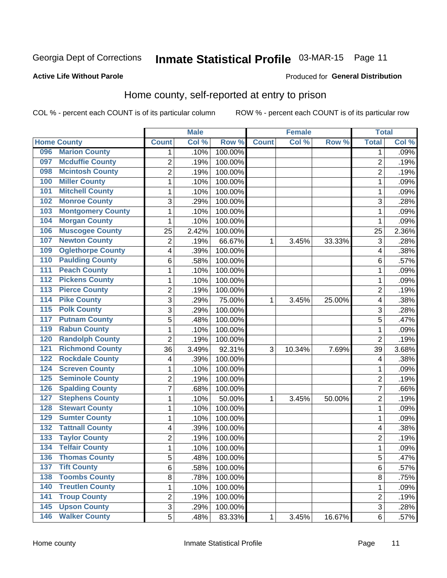## Inmate Statistical Profile 03-MAR-15 Page 11

#### **Active Life Without Parole**

#### Produced for General Distribution

### Home county, self-reported at entry to prison

COL % - percent each COUNT is of its particular column

|                  |                          |                         | <b>Male</b> |         |              | <b>Female</b> |        | <b>Total</b>   |       |
|------------------|--------------------------|-------------------------|-------------|---------|--------------|---------------|--------|----------------|-------|
|                  | <b>Home County</b>       | <b>Count</b>            | Col %       | Row %   | <b>Count</b> | Col %         | Row %  | <b>Total</b>   | Col % |
| 096              | <b>Marion County</b>     | 1                       | .10%        | 100.00% |              |               |        | 1              | .09%  |
| 097              | <b>Mcduffie County</b>   | $\overline{2}$          | .19%        | 100.00% |              |               |        | $\overline{2}$ | .19%  |
| 098              | <b>Mcintosh County</b>   | $\overline{c}$          | .19%        | 100.00% |              |               |        | $\overline{c}$ | .19%  |
| 100              | <b>Miller County</b>     | $\mathbf 1$             | .10%        | 100.00% |              |               |        | 1              | .09%  |
| 101              | <b>Mitchell County</b>   | $\mathbf 1$             | .10%        | 100.00% |              |               |        | 1              | .09%  |
| 102              | <b>Monroe County</b>     | 3                       | .29%        | 100.00% |              |               |        | 3              | .28%  |
| 103              | <b>Montgomery County</b> | $\mathbf 1$             | .10%        | 100.00% |              |               |        | 1              | .09%  |
| 104              | <b>Morgan County</b>     | $\mathbf 1$             | .10%        | 100.00% |              |               |        | 1              | .09%  |
| 106              | <b>Muscogee County</b>   | 25                      | 2.42%       | 100.00% |              |               |        | 25             | 2.36% |
| 107              | <b>Newton County</b>     | $\overline{c}$          | .19%        | 66.67%  | 1            | 3.45%         | 33.33% | 3              | .28%  |
| 109              | <b>Oglethorpe County</b> | 4                       | .39%        | 100.00% |              |               |        | 4              | .38%  |
| 110              | <b>Paulding County</b>   | 6                       | .58%        | 100.00% |              |               |        | 6              | .57%  |
| 111              | <b>Peach County</b>      | $\mathbf 1$             | .10%        | 100.00% |              |               |        | 1              | .09%  |
| $\overline{112}$ | <b>Pickens County</b>    | $\mathbf 1$             | .10%        | 100.00% |              |               |        | 1              | .09%  |
| 113              | <b>Pierce County</b>     | $\overline{c}$          | .19%        | 100.00% |              |               |        | $\overline{2}$ | .19%  |
| 114              | <b>Pike County</b>       | 3                       | .29%        | 75.00%  | 1            | 3.45%         | 25.00% | 4              | .38%  |
| $\overline{115}$ | <b>Polk County</b>       | 3                       | .29%        | 100.00% |              |               |        | 3              | .28%  |
| 117              | <b>Putnam County</b>     | 5                       | .48%        | 100.00% |              |               |        | 5              | .47%  |
| 119              | <b>Rabun County</b>      | $\mathbf 1$             | .10%        | 100.00% |              |               |        | 1              | .09%  |
| 120              | <b>Randolph County</b>   | $\overline{2}$          | .19%        | 100.00% |              |               |        | $\overline{2}$ | .19%  |
| 121              | <b>Richmond County</b>   | 36                      | 3.49%       | 92.31%  | 3            | 10.34%        | 7.69%  | 39             | 3.68% |
| 122              | <b>Rockdale County</b>   | 4                       | .39%        | 100.00% |              |               |        | 4              | .38%  |
| 124              | <b>Screven County</b>    | $\mathbf 1$             | .10%        | 100.00% |              |               |        | 1              | .09%  |
| 125              | <b>Seminole County</b>   | $\overline{c}$          | .19%        | 100.00% |              |               |        | $\overline{2}$ | .19%  |
| 126              | <b>Spalding County</b>   | $\overline{7}$          | .68%        | 100.00% |              |               |        | 7              | .66%  |
| 127              | <b>Stephens County</b>   | $\mathbf 1$             | .10%        | 50.00%  | 1            | 3.45%         | 50.00% | $\overline{2}$ | .19%  |
| 128              | <b>Stewart County</b>    | $\mathbf 1$             | .10%        | 100.00% |              |               |        | 1              | .09%  |
| 129              | <b>Sumter County</b>     | $\mathbf 1$             | .10%        | 100.00% |              |               |        | 1              | .09%  |
| 132              | <b>Tattnall County</b>   | 4                       | .39%        | 100.00% |              |               |        | 4              | .38%  |
| 133              | <b>Taylor County</b>     | $\overline{\mathbf{c}}$ | .19%        | 100.00% |              |               |        | $\overline{2}$ | .19%  |
| 134              | <b>Telfair County</b>    | $\mathbf{1}$            | .10%        | 100.00% |              |               |        | 1              | .09%  |
| 136              | Thomas County            | 5                       | .48%        | 100.00% |              |               |        | 5              | .47%  |
| 137              | <b>Tift County</b>       | 6                       | .58%        | 100.00% |              |               |        | 6              | .57%  |
| 138              | <b>Toombs County</b>     | 8                       | .78%        | 100.00% |              |               |        | 8              | .75%  |
| 140              | <b>Treutlen County</b>   | $\mathbf{1}$            | .10%        | 100.00% |              |               |        | 1              | .09%  |
| 141              | <b>Troup County</b>      | $\overline{c}$          | .19%        | 100.00% |              |               |        | $\overline{2}$ | .19%  |
| 145              | <b>Upson County</b>      | 3                       | .29%        | 100.00% |              |               |        | 3              | .28%  |
| 146              | <b>Walker County</b>     | 5                       | .48%        | 83.33%  | 1            | 3.45%         | 16.67% | $\,6$          | .57%  |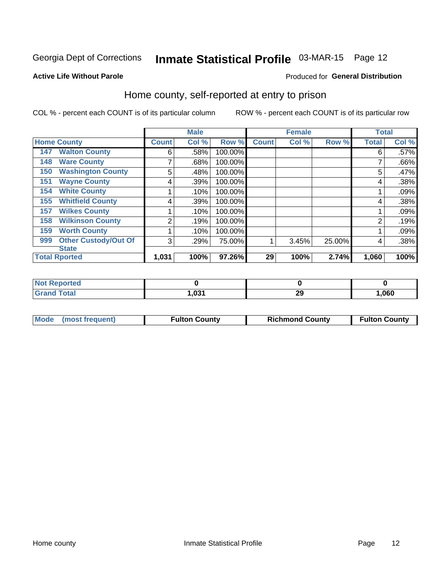## Inmate Statistical Profile 03-MAR-15 Page 12

#### **Active Life Without Parole**

#### Produced for General Distribution

### Home county, self-reported at entry to prison

COL % - percent each COUNT is of its particular column

|     |                             |              | <b>Male</b> |         |              | <b>Female</b> |        | <b>Total</b> |       |
|-----|-----------------------------|--------------|-------------|---------|--------------|---------------|--------|--------------|-------|
|     | <b>Home County</b>          | <b>Count</b> | Col %       | Row %   | <b>Count</b> | Col %         | Row %  | <b>Total</b> | Col % |
| 147 | <b>Walton County</b>        | 6            | .58%        | 100.00% |              |               |        | 6            | .57%  |
| 148 | <b>Ware County</b>          | 7            | .68%        | 100.00% |              |               |        |              | .66%  |
| 150 | <b>Washington County</b>    | 5            | .48%        | 100.00% |              |               |        | 5            | .47%  |
| 151 | <b>Wayne County</b>         | 4            | .39%        | 100.00% |              |               |        | 4            | .38%  |
| 154 | <b>White County</b>         |              | .10%        | 100.00% |              |               |        |              | .09%  |
| 155 | <b>Whitfield County</b>     | 4            | .39%        | 100.00% |              |               |        | 4            | .38%  |
| 157 | <b>Wilkes County</b>        |              | .10%        | 100.00% |              |               |        |              | .09%  |
| 158 | <b>Wilkinson County</b>     | 2            | .19%        | 100.00% |              |               |        | 2            | .19%  |
| 159 | <b>Worth County</b>         |              | .10%        | 100.00% |              |               |        |              | .09%  |
| 999 | <b>Other Custody/Out Of</b> | 3            | .29%        | 75.00%  |              | 3.45%         | 25.00% | 4            | .38%  |
|     | <b>State</b>                |              |             |         |              |               |        |              |       |
|     | <b>Total Rported</b>        | 1,031        | 100%        | 97.26%  | 29           | 100%          | 2.74%  | 1,060        | 100%  |

| Reported |             |         |      |
|----------|-------------|---------|------|
| Total    | 024<br>. טט | ົ<br>49 | ,060 |

| Mode (most frequent) | <b>Fulton County</b> | <b>Richmond County</b> | <b>Fulton County</b> |
|----------------------|----------------------|------------------------|----------------------|
|----------------------|----------------------|------------------------|----------------------|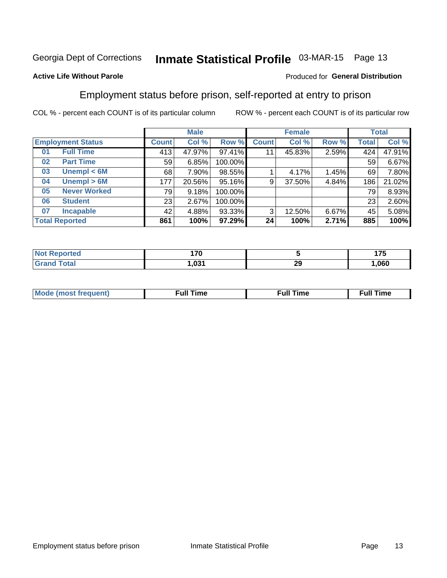## Inmate Statistical Profile 03-MAR-15 Page 13

#### **Active Life Without Parole**

#### Produced for General Distribution

### Employment status before prison, self-reported at entry to prison

COL % - percent each COUNT is of its particular column

|                           | <b>Male</b>  |        |         |              | <b>Female</b> | <b>Total</b> |       |        |
|---------------------------|--------------|--------|---------|--------------|---------------|--------------|-------|--------|
| <b>Employment Status</b>  | <b>Count</b> | Col %  | Row %   | <b>Count</b> | Col %         | Row %        | Total | Col %  |
| <b>Full Time</b><br>01    | 413          | 47.97% | 97.41%  | 11           | 45.83%        | 2.59%        | 424   | 47.91% |
| <b>Part Time</b><br>02    | 59           | 6.85%  | 100.00% |              |               |              | 59    | 6.67%  |
| Unempl $<$ 6M<br>03       | 68           | 7.90%  | 98.55%  |              | 4.17%         | 1.45%        | 69    | 7.80%  |
| Unempl > 6M<br>04         | 177          | 20.56% | 95.16%  | 9            | 37.50%        | 4.84%        | 186   | 21.02% |
| <b>Never Worked</b><br>05 | 79           | 9.18%  | 100.00% |              |               |              | 79    | 8.93%  |
| <b>Student</b><br>06      | 23           | 2.67%  | 100.00% |              |               |              | 23    | 2.60%  |
| <b>Incapable</b><br>07    | 42           | 4.88%  | 93.33%  | 3            | 12.50%        | 6.67%        | 45    | 5.08%  |
| <b>Total Reported</b>     | 861          | 100%   | 97.29%  | 24           | 100%          | 2.71%        | 885   | 100%   |

| тес                   | $\rightarrow$<br>.<br>$\sim$ |            | 4 7 F<br><u>. </u> |
|-----------------------|------------------------------|------------|--------------------|
| $f \wedge f \wedge f$ | י הפחי                       | n,<br>- 60 | .060               |

| Mc | ∙u∥<br>----<br>ıme | ίuΙ<br>Πmε |
|----|--------------------|------------|
|    |                    |            |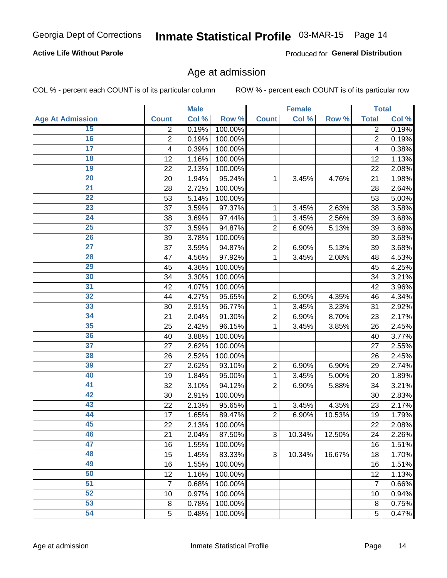#### **Active Life Without Parole**

Produced for General Distribution

### Age at admission

COL % - percent each COUNT is of its particular column

|                         |                | <b>Male</b> |         |                | <b>Female</b> |        |                | <b>Total</b> |
|-------------------------|----------------|-------------|---------|----------------|---------------|--------|----------------|--------------|
| <b>Age At Admission</b> | <b>Count</b>   | Col %       | Row %   | <b>Count</b>   | Col %         | Row %  | <b>Total</b>   | Col %        |
| 15                      | 2              | 0.19%       | 100.00% |                |               |        | 2              | 0.19%        |
| 16                      | $\overline{2}$ | 0.19%       | 100.00% |                |               |        | $\overline{2}$ | 0.19%        |
| $\overline{17}$         | 4              | 0.39%       | 100.00% |                |               |        | 4              | 0.38%        |
| 18                      | 12             | 1.16%       | 100.00% |                |               |        | 12             | 1.13%        |
| 19                      | 22             | 2.13%       | 100.00% |                |               |        | 22             | 2.08%        |
| $\overline{20}$         | 20             | 1.94%       | 95.24%  | 1              | 3.45%         | 4.76%  | 21             | 1.98%        |
| 21                      | 28             | 2.72%       | 100.00% |                |               |        | 28             | 2.64%        |
| 22                      | 53             | 5.14%       | 100.00% |                |               |        | 53             | 5.00%        |
| 23                      | 37             | 3.59%       | 97.37%  | 1              | 3.45%         | 2.63%  | 38             | 3.58%        |
| 24                      | 38             | 3.69%       | 97.44%  | 1              | 3.45%         | 2.56%  | 39             | 3.68%        |
| $\overline{25}$         | 37             | 3.59%       | 94.87%  | $\overline{2}$ | 6.90%         | 5.13%  | 39             | 3.68%        |
| 26                      | 39             | 3.78%       | 100.00% |                |               |        | 39             | 3.68%        |
| $\overline{27}$         | 37             | 3.59%       | 94.87%  | $\overline{2}$ | 6.90%         | 5.13%  | 39             | 3.68%        |
| 28                      | 47             | 4.56%       | 97.92%  | 1              | 3.45%         | 2.08%  | 48             | 4.53%        |
| 29                      | 45             | 4.36%       | 100.00% |                |               |        | 45             | 4.25%        |
| 30                      | 34             | 3.30%       | 100.00% |                |               |        | 34             | 3.21%        |
| 31                      | 42             | 4.07%       | 100.00% |                |               |        | 42             | 3.96%        |
| 32                      | 44             | 4.27%       | 95.65%  | $\overline{2}$ | 6.90%         | 4.35%  | 46             | 4.34%        |
| 33                      | 30             | 2.91%       | 96.77%  | 1              | 3.45%         | 3.23%  | 31             | 2.92%        |
| 34                      | 21             | 2.04%       | 91.30%  | $\overline{2}$ | 6.90%         | 8.70%  | 23             | 2.17%        |
| 35                      | 25             | 2.42%       | 96.15%  | 1              | 3.45%         | 3.85%  | 26             | 2.45%        |
| 36                      | 40             | 3.88%       | 100.00% |                |               |        | 40             | 3.77%        |
| $\overline{37}$         | 27             | 2.62%       | 100.00% |                |               |        | 27             | 2.55%        |
| 38                      | 26             | 2.52%       | 100.00% |                |               |        | 26             | 2.45%        |
| 39                      | 27             | 2.62%       | 93.10%  | $\overline{2}$ | 6.90%         | 6.90%  | 29             | 2.74%        |
| 40                      | 19             | 1.84%       | 95.00%  | 1              | 3.45%         | 5.00%  | 20             | 1.89%        |
| 41                      | 32             | 3.10%       | 94.12%  | $\overline{2}$ | 6.90%         | 5.88%  | 34             | 3.21%        |
| 42                      | 30             | 2.91%       | 100.00% |                |               |        | 30             | 2.83%        |
| 43                      | 22             | 2.13%       | 95.65%  | 1              | 3.45%         | 4.35%  | 23             | 2.17%        |
| 44                      | 17             | 1.65%       | 89.47%  | $\overline{2}$ | 6.90%         | 10.53% | 19             | 1.79%        |
| 45                      | 22             | 2.13%       | 100.00% |                |               |        | 22             | 2.08%        |
| 46                      | 21             | 2.04%       | 87.50%  | 3              | 10.34%        | 12.50% | 24             | 2.26%        |
| 47                      | 16             | 1.55%       | 100.00% |                |               |        | 16             | 1.51%        |
| 48                      | 15             | 1.45%       | 83.33%  | 3              | 10.34%        | 16.67% | 18             | 1.70%        |
| 49                      | 16             | 1.55%       | 100.00% |                |               |        | 16             | 1.51%        |
| 50                      | 12             | 1.16%       | 100.00% |                |               |        | 12             | 1.13%        |
| $\overline{51}$         | 7              | 0.68%       | 100.00% |                |               |        | $\overline{7}$ | 0.66%        |
| 52                      | 10             | 0.97%       | 100.00% |                |               |        | 10             | 0.94%        |
| 53                      | 8              | 0.78%       | 100.00% |                |               |        | 8              | 0.75%        |
| 54                      | 5              | 0.48%       | 100.00% |                |               |        | 5              | 0.47%        |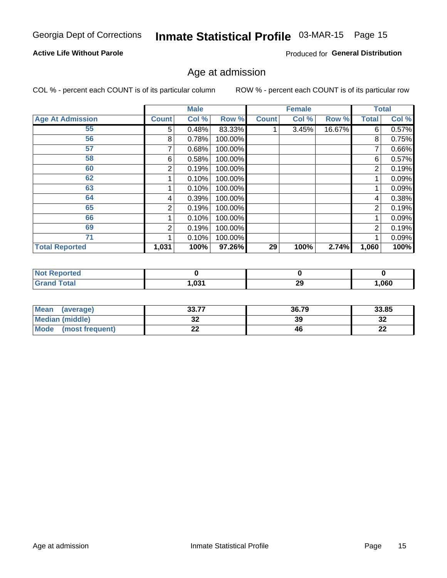## Inmate Statistical Profile 03-MAR-15 Page 15

#### **Active Life Without Parole**

Produced for General Distribution

### Age at admission

COL % - percent each COUNT is of its particular column

|                         |              | <b>Male</b> |         |              | <b>Female</b> |        |                | <b>Total</b> |
|-------------------------|--------------|-------------|---------|--------------|---------------|--------|----------------|--------------|
| <b>Age At Admission</b> | <b>Count</b> | Col %       | Row %   | <b>Count</b> | Col %         | Row %  | <b>Total</b>   | Col %        |
| 55                      | 5            | 0.48%       | 83.33%  |              | 3.45%         | 16.67% | 6              | 0.57%        |
| 56                      | 8            | 0.78%       | 100.00% |              |               |        | 8              | 0.75%        |
| 57                      |              | 0.68%       | 100.00% |              |               |        | 7              | 0.66%        |
| 58                      | 6            | 0.58%       | 100.00% |              |               |        | 6              | 0.57%        |
| 60                      | 2            | 0.19%       | 100.00% |              |               |        | $\overline{2}$ | 0.19%        |
| 62                      |              | 0.10%       | 100.00% |              |               |        |                | 0.09%        |
| 63                      |              | 0.10%       | 100.00% |              |               |        |                | 0.09%        |
| 64                      | 4            | 0.39%       | 100.00% |              |               |        | 4              | 0.38%        |
| 65                      | 2            | 0.19%       | 100.00% |              |               |        | $\overline{2}$ | 0.19%        |
| 66                      |              | 0.10%       | 100.00% |              |               |        |                | 0.09%        |
| 69                      | 2            | 0.19%       | 100.00% |              |               |        | $\overline{2}$ | 0.19%        |
| 71                      |              | 0.10%       | 100.00% |              |               |        |                | 0.09%        |
| <b>Total Reported</b>   | 1,031        | 100%        | 97.26%  | 29           | 100%          | 2.74%  | 1,060          | 100%         |

| <b>Reported</b><br><b>N</b> |                       |           |      |
|-----------------------------|-----------------------|-----------|------|
| <b>otal</b>                 | <b>021</b><br>י כט, י | or.<br>73 | ,060 |

| Mean<br>(average)              | 227<br>JJ.I I | 36.79 | 33.85     |
|--------------------------------|---------------|-------|-----------|
| <b>Median (middle)</b>         | JŁ            | 39    | o.<br>⊾د  |
| <b>Mode</b><br>(most frequent) | ົ<br>LL       | 46    | ne.<br>LL |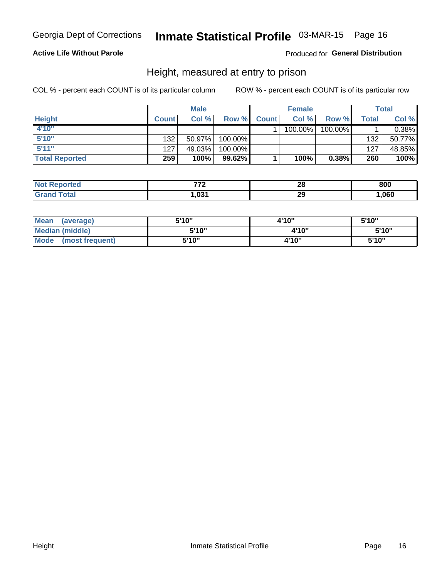#### **Active Life Without Parole**

#### Produced for General Distribution

### Height, measured at entry to prison

COL % - percent each COUNT is of its particular column

|                       |              | <b>Male</b> |           |              | <b>Female</b> |         |         | Total    |
|-----------------------|--------------|-------------|-----------|--------------|---------------|---------|---------|----------|
| <b>Height</b>         | <b>Count</b> | Col %       | Row %     | <b>Count</b> | Col %         | Row %   | Total i | Col %    |
| 4'10"                 |              |             |           |              | 100.00%       | 100.00% |         | $0.38\%$ |
| 5'10''                | 132          | $50.97\%$   | 100.00%   |              |               |         | 132     | 50.77%   |
| 5'11''                | 127          | 49.03%      | 100.00%   |              |               |         | 127     | 48.85%   |
| <b>Total Reported</b> | 259          | 100%        | $99.62\%$ |              | 100%          | 0.38%   | 260     | 100%     |

| <b>Not Reported</b> | ラライ    | 28<br>$\sim$ | 800  |
|---------------------|--------|--------------|------|
| <b>Grand Total</b>  | 031. ا | 29           | ,060 |

| Mean<br>(average)              | 5'10" | 4'10" | 5'10" |
|--------------------------------|-------|-------|-------|
| <b>Median (middle)</b>         | 5'10" | 4'10" | 5'10" |
| <b>Mode</b><br>(most frequent) | 5'10" | 4'10" | 5'10" |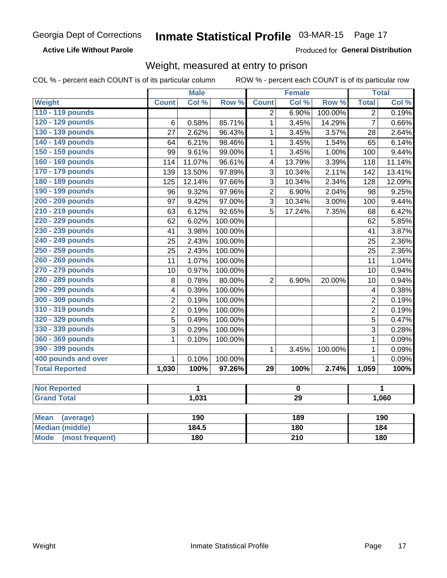#### **Active Life Without Parole**

Produced for General Distribution

### Weight, measured at entry to prison

COL % - percent each COUNT is of its particular column ROW % - percent each COUNT is of its particular row

|                                |                | <b>Male</b> |                 |                         | <b>Female</b> |         |                         | <b>Total</b> |  |
|--------------------------------|----------------|-------------|-----------------|-------------------------|---------------|---------|-------------------------|--------------|--|
| Weight                         | <b>Count</b>   | Col %       | Row %           | <b>Count</b>            | Col %         | Row %   | <b>Total</b>            | Col %        |  |
| 110 - 119 pounds               |                |             |                 | $\overline{2}$          | 6.90%         | 100.00% | $\overline{2}$          | 0.19%        |  |
| 120 - 129 pounds               | 6              | 0.58%       | 85.71%          | $\mathbf{1}$            | 3.45%         | 14.29%  | $\overline{7}$          | 0.66%        |  |
| 130 - 139 pounds               | 27             | 2.62%       | 96.43%          | $\mathbf{1}$            | 3.45%         | 3.57%   | 28                      | 2.64%        |  |
| 140 - 149 pounds               | 64             | 6.21%       | 98.46%          | 1                       | 3.45%         | 1.54%   | 65                      | 6.14%        |  |
| 150 - 159 pounds               | 99             | 9.61%       | 99.00%          | $\mathbf{1}$            | 3.45%         | 1.00%   | 100                     | 9.44%        |  |
| 160 - 169 pounds               | 114            | 11.07%      | 96.61%          | $\overline{\mathbf{4}}$ | 13.79%        | 3.39%   | 118                     | 11.14%       |  |
| 170 - 179 pounds               | 139            | 13.50%      | 97.89%          | $\overline{3}$          | 10.34%        | 2.11%   | 142                     | 13.41%       |  |
| 180 - 189 pounds               | 125            | 12.14%      | 97.66%          | 3                       | 10.34%        | 2.34%   | 128                     | 12.09%       |  |
| 190 - 199 pounds               | 96             | 9.32%       | 97.96%          | $\overline{2}$          | 6.90%         | 2.04%   | 98                      | 9.25%        |  |
| 200 - 209 pounds               | 97             | 9.42%       | 97.00%          | 3                       | 10.34%        | 3.00%   | 100                     | 9.44%        |  |
| 210 - 219 pounds               | 63             | 6.12%       | 92.65%          | 5                       | 17.24%        | 7.35%   | 68                      | 6.42%        |  |
| 220 - 229 pounds               | 62             | 6.02%       | 100.00%         |                         |               |         | 62                      | 5.85%        |  |
| 230 - 239 pounds               | 41             | 3.98%       | 100.00%         |                         |               |         | 41                      | 3.87%        |  |
| 240 - 249 pounds               | 25             | 2.43%       | 100.00%         |                         |               |         | 25                      | 2.36%        |  |
| 250 - 259 pounds               | 25             | 2.43%       | 100.00%         |                         |               |         | 25                      | 2.36%        |  |
| 260 - 269 pounds               | 11             | 1.07%       | 100.00%         |                         |               |         | 11                      | 1.04%        |  |
| 270 - 279 pounds               | 10             | 0.97%       | 100.00%         |                         |               |         | 10                      | 0.94%        |  |
| 280 - 289 pounds               | 8              | 0.78%       | 80.00%          | $\overline{2}$          | 6.90%         | 20.00%  | 10                      | 0.94%        |  |
| 290 - 299 pounds               | 4              | 0.39%       | 100.00%         |                         |               |         | $\overline{\mathbf{4}}$ | 0.38%        |  |
| 300 - 309 pounds               | 2              | 0.19%       | 100.00%         |                         |               |         | $\overline{2}$          | 0.19%        |  |
| 310 - 319 pounds               | $\overline{2}$ | 0.19%       | 100.00%         |                         |               |         | $\overline{2}$          | 0.19%        |  |
| 320 - 329 pounds               | $\overline{5}$ | 0.49%       | 100.00%         |                         |               |         | $\overline{5}$          | 0.47%        |  |
| 330 - 339 pounds               | 3              | 0.29%       | 100.00%         |                         |               |         | 3                       | 0.28%        |  |
| 360 - 369 pounds               | 1              | 0.10%       | 100.00%         |                         |               |         | $\mathbf 1$             | 0.09%        |  |
| 390 - 399 pounds               |                |             |                 | $\mathbf{1}$            | 3.45%         | 100.00% | $\mathbf{1}$            | 0.09%        |  |
| 400 pounds and over            | $\mathbf{1}$   | 0.10%       | 100.00%         |                         |               |         | $\mathbf{1}$            | 0.09%        |  |
| <b>Total Reported</b>          | 1,030          | 100%        | 97.26%          | $\overline{29}$         | 100%          | 2.74%   | 1,059                   | 100%         |  |
|                                |                |             |                 |                         |               |         |                         |              |  |
| <b>Not Reported</b>            |                | 1           |                 |                         | $\mathbf 0$   |         |                         | 1            |  |
| <b>Grand Total</b>             | 1,031          |             | $\overline{29}$ |                         |               |         | 1,060                   |              |  |
|                                |                |             |                 |                         |               |         |                         |              |  |
| <b>Mean</b><br>(average)       |                | 190         |                 |                         | 189           |         |                         | 190          |  |
| <b>Median (middle)</b>         |                | 184.5       |                 |                         | <b>180</b>    |         |                         | 184          |  |
| <b>Mode</b><br>(most frequent) |                | 180         |                 | $\overline{210}$        |               |         | 180                     |              |  |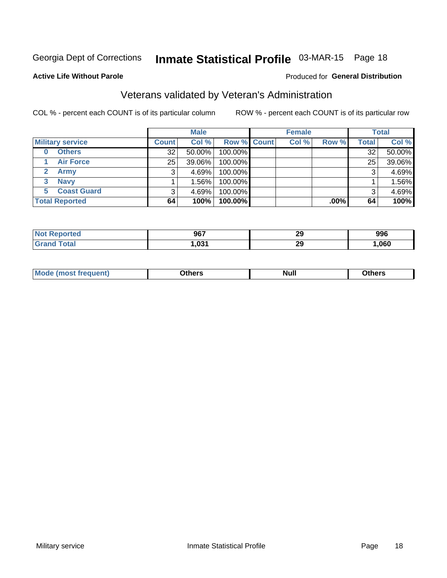## Inmate Statistical Profile 03-MAR-15 Page 18

#### **Active Life Without Parole**

#### Produced for General Distribution

## Veterans validated by Veteran's Administration

COL % - percent each COUNT is of its particular column

|                         |              | <b>Male</b> |             | <b>Female</b> |         |              | <b>Total</b> |
|-------------------------|--------------|-------------|-------------|---------------|---------|--------------|--------------|
| <b>Military service</b> | <b>Count</b> | Col %       | Row % Count | Col %         | Row %   | <b>Total</b> | Col %        |
| <b>Others</b><br>0      | 32           | 50.00%      | 100.00%     |               |         | 32           | 50.00%       |
| <b>Air Force</b>        | 25           | 39.06%      | 100.00%     |               |         | 25           | 39.06%       |
| Army                    |              | 4.69%       | 100.00%     |               |         | 3            | 4.69%        |
| <b>Navy</b><br>3        |              | 1.56% l     | 100.00%     |               |         |              | 1.56%        |
| <b>Coast Guard</b>      |              | $4.69\%$    | 100.00%     |               |         | 3            | 4.69%        |
| <b>Total Reported</b>   | 64           | 100%        | $100.00\%$  |               | $.00\%$ | 64           | 100%         |

| ਾ^rted ਾ<br>N         | 967  | 2C<br>23 | 996  |
|-----------------------|------|----------|------|
| $f \wedge f \wedge f$ | ,031 | ^^<br>23 | ,060 |

| Mo<br><b>Null</b><br>วthers<br>_____<br>____<br>____ |
|------------------------------------------------------|
|------------------------------------------------------|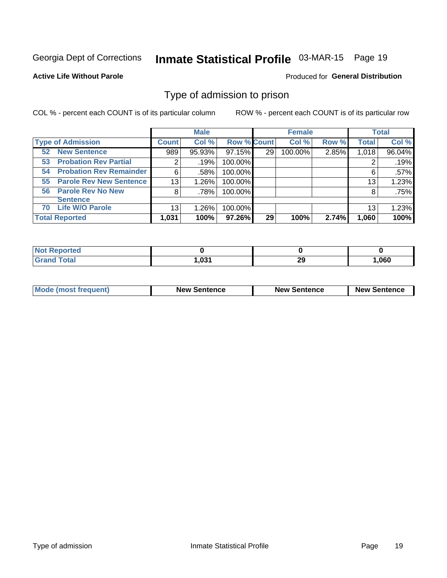## Inmate Statistical Profile 03-MAR-15 Page 19

**Active Life Without Parole** 

Produced for General Distribution

### Type of admission to prison

COL % - percent each COUNT is of its particular column

|                                      |              | <b>Male</b> |                    |    | <b>Female</b> |       |              | <b>Total</b> |
|--------------------------------------|--------------|-------------|--------------------|----|---------------|-------|--------------|--------------|
| <b>Type of Admission</b>             | <b>Count</b> | Col %       | <b>Row % Count</b> |    | Col %         | Row % | <b>Total</b> | Col %        |
| <b>New Sentence</b><br>52            | 989          | 95.93%      | 97.15%             | 29 | 100.00%       | 2.85% | 1,018        | 96.04%       |
| <b>Probation Rev Partial</b><br>53   | 2            | .19%        | 100.00%            |    |               |       |              | .19%         |
| <b>Probation Rev Remainder</b><br>54 | 6            | .58%        | 100.00%            |    |               |       | 6            | $.57\%$      |
| <b>Parole Rev New Sentence</b><br>55 | 13           | 1.26%       | 100.00%            |    |               |       | 13           | 1.23%        |
| 56 Parole Rev No New                 | 8            | .78%        | 100.00%            |    |               |       | 8            | .75%         |
| <b>Sentence</b>                      |              |             |                    |    |               |       |              |              |
| <b>Life W/O Parole</b><br>70         | 13           | 1.26%       | 100.00%            |    |               |       | 13           | 1.23%        |
| <b>Total Reported</b>                | 1,031        | 100%        | 97.26%             | 29 | 100%          | 2.74% | 1,060        | 100%         |

| Reported<br>' NOT                |      |           |      |
|----------------------------------|------|-----------|------|
| <b>Total</b><br>$\mathbf{v}$ and | ,031 | nr<br>- - | ,060 |

| <b>Mode (most frequent)</b> | <b>New Sentence</b> | <b>New Sentence</b> | <b>New Sentence</b> |
|-----------------------------|---------------------|---------------------|---------------------|
|                             |                     |                     |                     |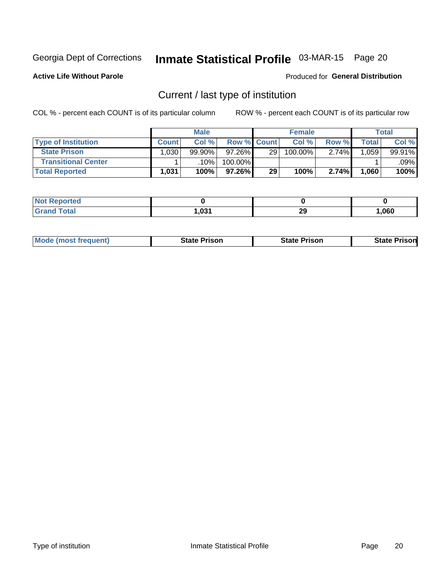## Inmate Statistical Profile 03-MAR-15 Page 20

**Active Life Without Parole** 

#### Produced for General Distribution

## Current / last type of institution

COL % - percent each COUNT is of its particular column

|                            |              | <b>Male</b> |                    |    | <b>Female</b> |       |        | <b>Total</b> |
|----------------------------|--------------|-------------|--------------------|----|---------------|-------|--------|--------------|
| <b>Type of Institution</b> | <b>Count</b> | Col %       | <b>Row % Count</b> |    | Col %         | Row % | Total⊤ | Col %        |
| <b>State Prison</b>        | 0.030        | $99.90\%$   | 97.26%             | 29 | 100.00%       | 2.74% | .059   | 99.91%       |
| <b>Transitional Center</b> |              | .10% l      | 100.00%            |    |               |       |        | .09% l       |
| <b>Total Reported</b>      | 1,031        | 100%        | 97.26%             | 29 | 100%          | 2.74% | 1,060  | 100%         |

| المنتقب المتعارف<br>τeα |      |    |       |
|-------------------------|------|----|-------|
| <b>otal</b>             | .031 | 29 | 1,060 |

| <b>Mode</b><br>: (most frequent) | State Prison | <b>State Prison</b> | sonl<br>State |
|----------------------------------|--------------|---------------------|---------------|
|                                  |              |                     |               |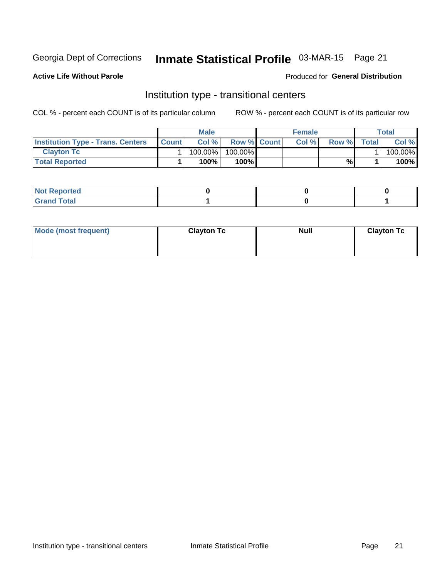## Inmate Statistical Profile 03-MAR-15 Page 21

#### **Active Life Without Parole**

#### **Produced for General Distribution**

## Institution type - transitional centers

COL % - percent each COUNT is of its particular column

|                                          |              | <b>Male</b> |                    | <b>Female</b> |       |              | <b>Total</b> |
|------------------------------------------|--------------|-------------|--------------------|---------------|-------|--------------|--------------|
| <b>Institution Type - Trans. Centers</b> | <b>Count</b> | Col%        | <b>Row % Count</b> | Col%          | Row % | <b>Total</b> | Col %        |
| <b>Clayton Tc</b>                        |              | 100.00%     | 100.00%            |               |       |              | 100.00%      |
| <b>Total Reported</b>                    |              | $100\%$     | 100%               |               | %     |              | 100%         |

| <b>Not Reported</b>    |  |  |
|------------------------|--|--|
| <b>Total</b><br>re e d |  |  |

| Mode (most frequent) | <b>Clayton Tc</b> | <b>Null</b> | <b>Clayton Tc</b> |
|----------------------|-------------------|-------------|-------------------|
|                      |                   |             |                   |
|                      |                   |             |                   |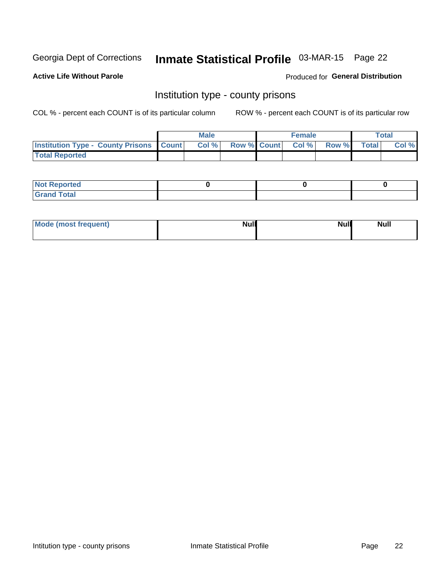## Inmate Statistical Profile 03-MAR-15 Page 22

**Active Life Without Parole** 

Produced for General Distribution

### Institution type - county prisons

COL % - percent each COUNT is of its particular column

|                                                    | <b>Male</b> |  | <b>Female</b>            |             | <b>Total</b> |
|----------------------------------------------------|-------------|--|--------------------------|-------------|--------------|
| <b>Institution Type - County Prisons   Count  </b> | Col %       |  | <b>Row % Count Col %</b> | Row % Total | Col %        |
| <b>Total Reported</b>                              |             |  |                          |             |              |

| <b>Not</b><br>: Reported<br> |  |  |
|------------------------------|--|--|
| <b>Total</b><br>---          |  |  |

| Mode (most frequent) | <b>Null</b> | <b>Null</b><br><b>Null</b> |
|----------------------|-------------|----------------------------|
|                      |             |                            |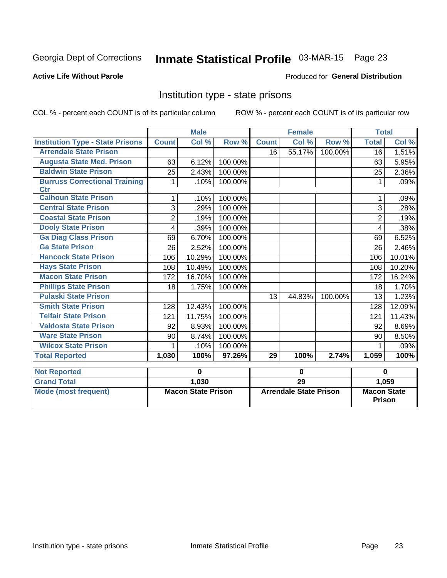## Inmate Statistical Profile 03-MAR-15 Page 23

#### **Active Life Without Parole**

#### Produced for General Distribution

### Institution type - state prisons

COL % - percent each COUNT is of its particular column ROW % - percent each COUNT is of its particular row

|                                         | <b>Male</b>               |        |         | <b>Female</b>                 |        |                                     | <b>Total</b>    |        |
|-----------------------------------------|---------------------------|--------|---------|-------------------------------|--------|-------------------------------------|-----------------|--------|
| <b>Institution Type - State Prisons</b> | <b>Count</b>              | Col %  | Row %   | <b>Count</b>                  | Col %  | Row %                               | <b>Total</b>    | Col %  |
| <b>Arrendale State Prison</b>           |                           |        |         | 16                            | 55.17% | 100.00%                             | $\overline{16}$ | 1.51%  |
| <b>Augusta State Med. Prison</b>        | 63                        | 6.12%  | 100.00% |                               |        |                                     | 63              | 5.95%  |
| <b>Baldwin State Prison</b>             | 25                        | 2.43%  | 100.00% |                               |        |                                     | 25              | 2.36%  |
| <b>Burruss Correctional Training</b>    | 1                         | .10%   | 100.00% |                               |        |                                     | 1               | .09%   |
| <b>Ctr</b>                              |                           |        |         |                               |        |                                     |                 |        |
| <b>Calhoun State Prison</b>             | 1                         | .10%   | 100.00% |                               |        |                                     | 1               | .09%   |
| <b>Central State Prison</b>             | 3                         | .29%   | 100.00% |                               |        |                                     | 3               | .28%   |
| <b>Coastal State Prison</b>             | $\overline{2}$            | .19%   | 100.00% |                               |        |                                     | $\overline{2}$  | .19%   |
| <b>Dooly State Prison</b>               | 4                         | .39%   | 100.00% |                               |        |                                     | 4               | .38%   |
| <b>Ga Diag Class Prison</b>             | 69                        | 6.70%  | 100.00% |                               |        |                                     | 69              | 6.52%  |
| <b>Ga State Prison</b>                  | 26                        | 2.52%  | 100.00% |                               |        |                                     | 26              | 2.46%  |
| <b>Hancock State Prison</b>             | 106                       | 10.29% | 100.00% |                               |        |                                     | 106             | 10.01% |
| <b>Hays State Prison</b>                | 108                       | 10.49% | 100.00% |                               |        |                                     | 108             | 10.20% |
| <b>Macon State Prison</b>               | 172                       | 16.70% | 100.00% |                               |        |                                     | 172             | 16.24% |
| <b>Phillips State Prison</b>            | 18                        | 1.75%  | 100.00% |                               |        |                                     | 18              | 1.70%  |
| <b>Pulaski State Prison</b>             |                           |        |         | 13                            | 44.83% | 100.00%                             | 13              | 1.23%  |
| <b>Smith State Prison</b>               | 128                       | 12.43% | 100.00% |                               |        |                                     | 128             | 12.09% |
| <b>Telfair State Prison</b>             | 121                       | 11.75% | 100.00% |                               |        |                                     | 121             | 11.43% |
| <b>Valdosta State Prison</b>            | 92                        | 8.93%  | 100.00% |                               |        |                                     | 92              | 8.69%  |
| <b>Ware State Prison</b>                | 90                        | 8.74%  | 100.00% |                               |        |                                     | 90              | 8.50%  |
| <b>Wilcox State Prison</b>              | 1                         | .10%   | 100.00% |                               |        |                                     | 1               | .09%   |
| <b>Total Reported</b>                   | 1,030                     | 100%   | 97.26%  | 29                            | 100%   | 2.74%                               | 1,059           | 100%   |
| <b>Not Reported</b>                     | 0                         |        |         | $\bf{0}$                      |        |                                     | $\bf{0}$        |        |
| <b>Grand Total</b>                      |                           | 1,030  |         | 29                            |        |                                     |                 | 1,059  |
| <b>Mode (most frequent)</b>             | <b>Macon State Prison</b> |        |         | <b>Arrendale State Prison</b> |        | <b>Macon State</b><br><b>Prison</b> |                 |        |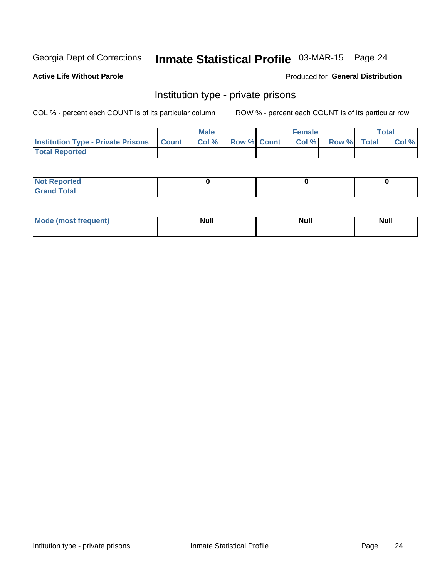## Inmate Statistical Profile 03-MAR-15 Page 24

**Active Life Without Parole** 

#### Produced for General Distribution

### Institution type - private prisons

COL % - percent each COUNT is of its particular column

|                                                 | <b>Male</b> |       |                    | <b>Female</b> |       |             | Total |       |
|-------------------------------------------------|-------------|-------|--------------------|---------------|-------|-------------|-------|-------|
| <b>Institution Type - Private Prisons Count</b> |             | Col % | <b>Row % Count</b> |               | Col % | Row % Total |       | Col % |
| <b>Total Reported</b>                           |             |       |                    |               |       |             |       |       |

| Not Reported           |  |  |
|------------------------|--|--|
| <b>Cotal</b><br>______ |  |  |

| <b>Mo</b><br><b><i>Channel Market</i></b><br>ו זונים | N I I I<br><b>Null</b> | <b>Null</b> | . .<br>_____ |
|------------------------------------------------------|------------------------|-------------|--------------|
|                                                      |                        |             |              |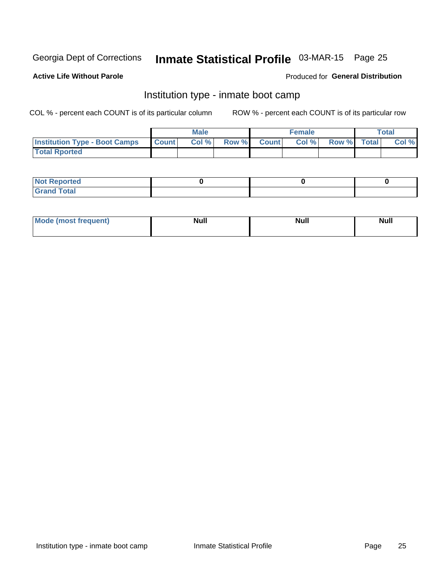## Inmate Statistical Profile 03-MAR-15 Page 25

#### **Active Life Without Parole**

#### **Produced for General Distribution**

## Institution type - inmate boot camp

COL % - percent each COUNT is of its particular column

|                                      | <b>Male</b>  |       |  | <b>Female</b> |      |             | Total |       |
|--------------------------------------|--------------|-------|--|---------------|------|-------------|-------|-------|
| <b>Institution Type - Boot Camps</b> | <b>Count</b> | Col % |  | Row % Count   | Col% | Row % Total |       | Col % |
| <b>Total Rported</b>                 |              |       |  |               |      |             |       |       |

| <b>Not Reported</b> |  |  |
|---------------------|--|--|
| <b>Total</b><br>Cro |  |  |

| Mod<br>uamo | Nul.<br>$- - - - - -$ | <b>Null</b> | . .<br>uu.<br>------ |
|-------------|-----------------------|-------------|----------------------|
|             |                       |             |                      |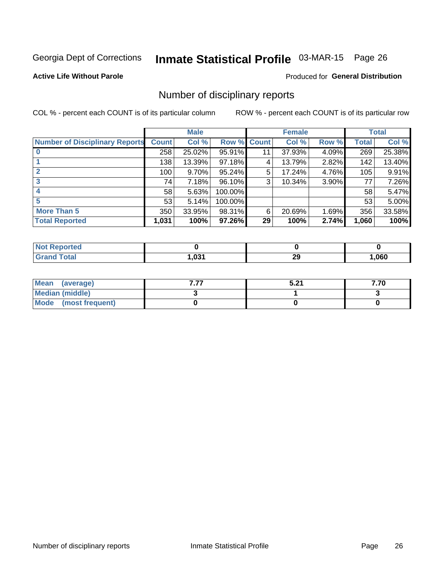## Inmate Statistical Profile 03-MAR-15 Page 26

#### **Active Life Without Parole**

#### Produced for General Distribution

### Number of disciplinary reports

COL % - percent each COUNT is of its particular column

|                                       | <b>Male</b>  |          |             | <b>Female</b> |        |          | <b>Total</b> |        |
|---------------------------------------|--------------|----------|-------------|---------------|--------|----------|--------------|--------|
| <b>Number of Disciplinary Reports</b> | <b>Count</b> | Col %    | Row % Count |               | Col %  | Row %    | <b>Total</b> | Col %  |
|                                       | 258          | 25.02%   | 95.91%      | 11            | 37.93% | 4.09%    | 269          | 25.38% |
|                                       | 138          | 13.39%   | 97.18%      | 4             | 13.79% | 2.82%    | 142          | 13.40% |
| 2                                     | 100          | $9.70\%$ | 95.24%      | 5             | 17.24% | 4.76%    | 105          | 9.91%  |
| 3                                     | 74           | 7.18%    | 96.10%      | 3             | 10.34% | $3.90\%$ | 77           | 7.26%  |
|                                       | 58           | 5.63%    | 100.00%     |               |        |          | 58           | 5.47%  |
| 5                                     | 53           | 5.14%    | 100.00%     |               |        |          | 53           | 5.00%  |
| <b>More Than 5</b>                    | 350          | 33.95%   | 98.31%      | 6             | 20.69% | 1.69%    | 356          | 33.58% |
| <b>Total Reported</b>                 | 1,031        | 100%     | 97.26%      | 29            | 100%   | 2.74%    | 1,060        | 100%   |

| NO<br>тео. |      |    |      |
|------------|------|----|------|
| Гоtal      | ,031 | 29 | ,060 |

| Mean (average)       | E 94<br>ວ.∠ ເ | 7.70 |
|----------------------|---------------|------|
| Median (middle)      |               |      |
| Mode (most frequent) |               |      |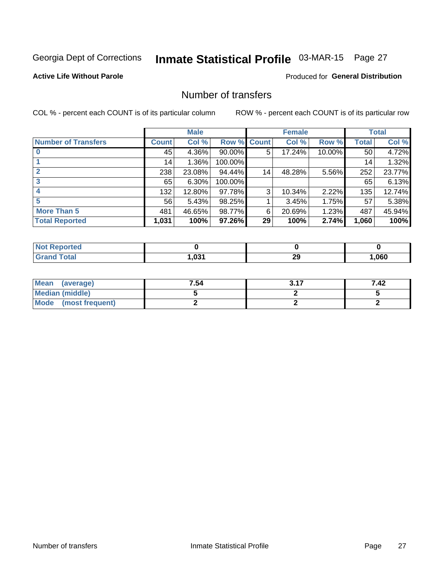## Inmate Statistical Profile 03-MAR-15 Page 27

#### **Active Life Without Parole**

#### **Produced for General Distribution**

## Number of transfers

COL % - percent each COUNT is of its particular column

|                            | <b>Male</b> |        |           | <b>Female</b> |        |        | <b>Total</b> |        |
|----------------------------|-------------|--------|-----------|---------------|--------|--------|--------------|--------|
| <b>Number of Transfers</b> | Count l     | Col %  | Row %     | <b>Count</b>  | Col %  | Row %  | <b>Total</b> | Col %  |
|                            | 45          | 4.36%  | $90.00\%$ | 5             | 17.24% | 10.00% | 50           | 4.72%  |
|                            | 14          | 1.36%  | 100.00%   |               |        |        | 14           | 1.32%  |
|                            | 238         | 23.08% | 94.44%    | 14            | 48.28% | 5.56%  | 252          | 23.77% |
| 3                          | 65          | 6.30%  | 100.00%   |               |        |        | 65           | 6.13%  |
|                            | 132         | 12.80% | 97.78%    | 3             | 10.34% | 2.22%  | 135          | 12.74% |
| 5                          | 56          | 5.43%  | 98.25%    |               | 3.45%  | 1.75%  | 57           | 5.38%  |
| <b>More Than 5</b>         | 481         | 46.65% | 98.77%    | 6             | 20.69% | 1.23%  | 487          | 45.94% |
| <b>Total Reported</b>      | 1,031       | 100%   | 97.26%    | 29            | 100%   | 2.74%  | 1,060        | 100%   |

| <b>Not Reported</b> |      |          |      |
|---------------------|------|----------|------|
| ⊺otal               | ,031 | 20<br>29 | ,060 |

| Mean (average)       | 7.54 | רי מ | 7.42 |
|----------------------|------|------|------|
| Median (middle)      |      |      |      |
| Mode (most frequent) |      |      |      |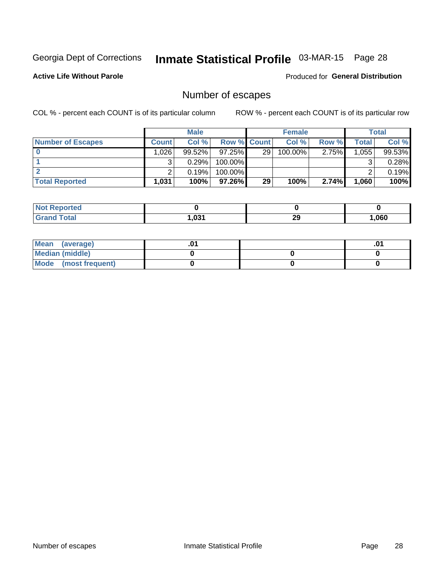## Inmate Statistical Profile 03-MAR-15 Page 28

**Active Life Without Parole** 

Produced for General Distribution

## Number of escapes

COL % - percent each COUNT is of its particular column

|                          | <b>Male</b>  |           |                    | <b>Female</b> |            |          | Total |        |
|--------------------------|--------------|-----------|--------------------|---------------|------------|----------|-------|--------|
| <b>Number of Escapes</b> | <b>Count</b> | Col %     | <b>Row % Count</b> |               | Col %      | Row %    | Total | Col %  |
|                          | ا 1.026      | $99.52\%$ | $97.25\%$          | 29            | $100.00\%$ | $2.75\%$ | 1,055 | 99.53% |
|                          |              | 0.29%     | 100.00%            |               |            |          |       | 0.28%  |
|                          |              | 0.19%     | $100.00\%$         |               |            |          |       | 0.19%  |
| <b>Total Reported</b>    | 1,031        | 100%      | $97.26\%$          | 29            | 100%       | 2.74%    | 1,060 | 100%   |

| <b>Not Reported</b> |      |    |      |
|---------------------|------|----|------|
| <b>Grand Total</b>  | .031 | 29 | 060, |

| Mean (average)       |  | ּט. |
|----------------------|--|-----|
| Median (middle)      |  |     |
| Mode (most frequent) |  |     |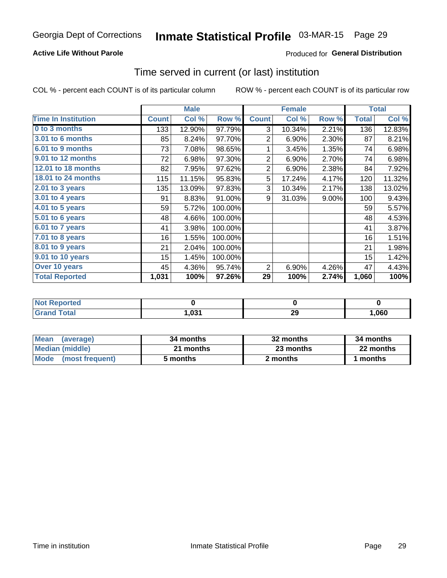#### **Active Life Without Parole**

#### **Produced for General Distribution**

### Time served in current (or last) institution

COL % - percent each COUNT is of its particular column

|                              |              | <b>Male</b> |         |                | <b>Female</b> |       |              | <b>Total</b> |
|------------------------------|--------------|-------------|---------|----------------|---------------|-------|--------------|--------------|
| <b>Time In Institution</b>   | <b>Count</b> | Col %       | Row %   | <b>Count</b>   | Col %         | Row % | <b>Total</b> | Col %        |
| 0 to 3 months                | 133          | 12.90%      | 97.79%  | 3              | 10.34%        | 2.21% | 136          | 12.83%       |
| 3.01 to 6 months             | 85           | 8.24%       | 97.70%  | 2              | 6.90%         | 2.30% | 87           | 8.21%        |
| 6.01 to 9 months             | 73           | 7.08%       | 98.65%  | 1              | 3.45%         | 1.35% | 74           | 6.98%        |
| 9.01 to 12 months            | 72           | 6.98%       | 97.30%  | $\overline{2}$ | 6.90%         | 2.70% | 74           | 6.98%        |
| 12.01 to 18 months           | 82           | 7.95%       | 97.62%  | $\overline{2}$ | 6.90%         | 2.38% | 84           | 7.92%        |
| <b>18.01 to 24 months</b>    | 115          | 11.15%      | 95.83%  | 5              | 17.24%        | 4.17% | 120          | 11.32%       |
| $2.01$ to 3 years            | 135          | 13.09%      | 97.83%  | 3              | 10.34%        | 2.17% | 138          | 13.02%       |
| $3.01$ to 4 years            | 91           | 8.83%       | 91.00%  | 9              | 31.03%        | 9.00% | 100          | 9.43%        |
| $4.01$ to 5 years            | 59           | 5.72%       | 100.00% |                |               |       | 59           | 5.57%        |
| $\overline{5.01}$ to 6 years | 48           | 4.66%       | 100.00% |                |               |       | 48           | 4.53%        |
| 6.01 to 7 years              | 41           | 3.98%       | 100.00% |                |               |       | 41           | 3.87%        |
| 7.01 to 8 years              | 16           | 1.55%       | 100.00% |                |               |       | 16           | 1.51%        |
| 8.01 to 9 years              | 21           | 2.04%       | 100.00% |                |               |       | 21           | 1.98%        |
| 9.01 to 10 years             | 15           | 1.45%       | 100.00% |                |               |       | 15           | 1.42%        |
| Over 10 years                | 45           | 4.36%       | 95.74%  | $\overline{2}$ | 6.90%         | 4.26% | 47           | 4.43%        |
| <b>Total Reported</b>        | 1,031        | 100%        | 97.26%  | 29             | 100%          | 2.74% | 1,060        | 100%         |

| <b>Not Reported</b>   |      |           |      |
|-----------------------|------|-----------|------|
| <b>Total</b><br>Grand | .031 | nr.<br>49 | ,060 |

| <b>Mean</b><br>(average) | 34 months | 32 months | 34 months |
|--------------------------|-----------|-----------|-----------|
| Median (middle)          | 21 months | 23 months | 22 months |
| Mode (most frequent)     | 5 months  | 2 months  | 1 months  |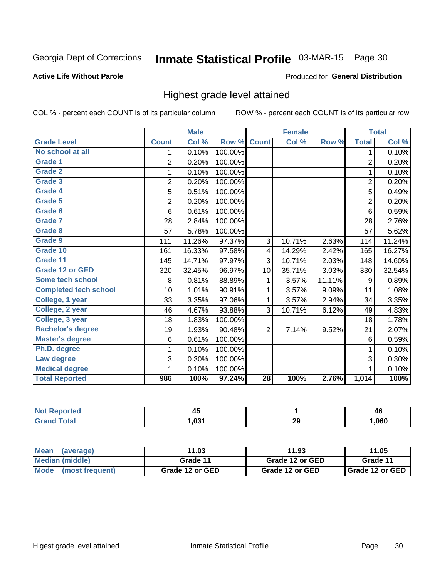## Inmate Statistical Profile 03-MAR-15 Page 30

#### **Active Life Without Parole**

#### Produced for General Distribution

### Highest grade level attained

COL % - percent each COUNT is of its particular column

|                              |                | <b>Male</b> |         |                 | <b>Female</b> |        |                | <b>Total</b> |
|------------------------------|----------------|-------------|---------|-----------------|---------------|--------|----------------|--------------|
| <b>Grade Level</b>           | <b>Count</b>   | Col %       | Row %   | <b>Count</b>    | Col %         | Row %  | <b>Total</b>   | Col %        |
| No school at all             | 1.             | 0.10%       | 100.00% |                 |               |        | 1              | 0.10%        |
| Grade 1                      | 2              | 0.20%       | 100.00% |                 |               |        | $\overline{2}$ | 0.20%        |
| <b>Grade 2</b>               | 1              | 0.10%       | 100.00% |                 |               |        | $\mathbf{1}$   | 0.10%        |
| Grade 3                      | $\overline{2}$ | 0.20%       | 100.00% |                 |               |        | $\overline{c}$ | 0.20%        |
| Grade 4                      | 5              | 0.51%       | 100.00% |                 |               |        | 5              | 0.49%        |
| Grade 5                      | $\overline{2}$ | 0.20%       | 100.00% |                 |               |        | $\overline{2}$ | 0.20%        |
| Grade 6                      | 6              | 0.61%       | 100.00% |                 |               |        | 6              | 0.59%        |
| Grade 7                      | 28             | 2.84%       | 100.00% |                 |               |        | 28             | 2.76%        |
| Grade 8                      | 57             | 5.78%       | 100.00% |                 |               |        | 57             | 5.62%        |
| Grade 9                      | 111            | 11.26%      | 97.37%  | 3               | 10.71%        | 2.63%  | 114            | 11.24%       |
| Grade 10                     | 161            | 16.33%      | 97.58%  | 4               | 14.29%        | 2.42%  | 165            | 16.27%       |
| Grade 11                     | 145            | 14.71%      | 97.97%  | 3               | 10.71%        | 2.03%  | 148            | 14.60%       |
| <b>Grade 12 or GED</b>       | 320            | 32.45%      | 96.97%  | 10              | 35.71%        | 3.03%  | 330            | 32.54%       |
| Some tech school             | 8              | 0.81%       | 88.89%  | 1               | 3.57%         | 11.11% | 9              | 0.89%        |
| <b>Completed tech school</b> | 10             | 1.01%       | 90.91%  | 1               | 3.57%         | 9.09%  | 11             | 1.08%        |
| College, 1 year              | 33             | 3.35%       | 97.06%  | 1               | 3.57%         | 2.94%  | 34             | 3.35%        |
| College, 2 year              | 46             | 4.67%       | 93.88%  | 3               | 10.71%        | 6.12%  | 49             | 4.83%        |
| College, 3 year              | 18             | 1.83%       | 100.00% |                 |               |        | 18             | 1.78%        |
| <b>Bachelor's degree</b>     | 19             | 1.93%       | 90.48%  | $\overline{2}$  | 7.14%         | 9.52%  | 21             | 2.07%        |
| <b>Master's degree</b>       | 6              | 0.61%       | 100.00% |                 |               |        | 6              | 0.59%        |
| Ph.D. degree                 | 1              | 0.10%       | 100.00% |                 |               |        | 1              | 0.10%        |
| Law degree                   | 3              | 0.30%       | 100.00% |                 |               |        | 3              | 0.30%        |
| <b>Medical degree</b>        |                | 0.10%       | 100.00% |                 |               |        | 1              | 0.10%        |
| <b>Total Reported</b>        | 986            | 100%        | 97.24%  | $\overline{28}$ | 100%          | 2.76%  | 1,014          | 100%         |

| <u>rreo </u> | - -<br>$\cdots$<br>∼ |          | 46   |
|--------------|----------------------|----------|------|
| <b>otal</b>  | ∌ מח                 | 20<br>23 | .060 |

| Mean<br>(average)              | 11.03           | 11.93           | 11.05             |
|--------------------------------|-----------------|-----------------|-------------------|
| Median (middle)                | Grade 11        | Grade 12 or GED | Grade 11          |
| <b>Mode</b><br>(most frequent) | Grade 12 or GED | Grade 12 or GED | I Grade 12 or GED |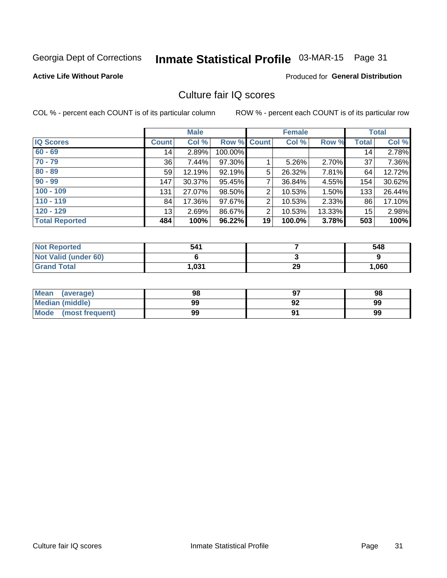## Inmate Statistical Profile 03-MAR-15 Page 31

#### **Active Life Without Parole**

#### **Produced for General Distribution**

## Culture fair IQ scores

COL % - percent each COUNT is of its particular column

|                       |              | <b>Male</b> |                    |                | <b>Female</b> |          |              | <b>Total</b> |
|-----------------------|--------------|-------------|--------------------|----------------|---------------|----------|--------------|--------------|
| <b>IQ Scores</b>      | <b>Count</b> | Col %       | <b>Row % Count</b> |                | Col %         | Row %    | <b>Total</b> | Col %        |
| $60 - 69$             | 14           | 2.89%       | 100.00%            |                |               |          | 14           | 2.78%        |
| $70 - 79$             | 36           | 7.44%       | 97.30%             |                | 5.26%         | 2.70%    | 37           | 7.36%        |
| $80 - 89$             | 59           | 12.19%      | 92.19%             | 5              | 26.32%        | 7.81%    | 64           | 12.72%       |
| $90 - 99$             | 147          | 30.37%      | 95.45%             | 7              | 36.84%        | 4.55%    | 154          | 30.62%       |
| $100 - 109$           | 131          | 27.07%      | 98.50%             | $\overline{2}$ | 10.53%        | 1.50%    | 133          | 26.44%       |
| $110 - 119$           | 84           | 17.36%      | 97.67%             | 2              | 10.53%        | $2.33\%$ | 86           | 17.10%       |
| $120 - 129$           | 13           | 2.69%       | 86.67%             | 2              | 10.53%        | 13.33%   | 15           | 2.98%        |
| <b>Total Reported</b> | 484          | 100%        | 96.22%             | 19             | 100.0%        | 3.78%    | 503          | 100%         |

| <b>Not Reported</b>         | 541    |    | 548   |
|-----------------------------|--------|----|-------|
| <b>Not Valid (under 60)</b> |        |    |       |
| <b>Grand Total</b>          | 031. ا | 29 | 1,060 |

| <b>Mean</b><br>(average) | 98 |    | 98 |
|--------------------------|----|----|----|
| <b>Median (middle)</b>   | 99 | 92 | 99 |
| Mode<br>(most frequent)  | 99 |    | 99 |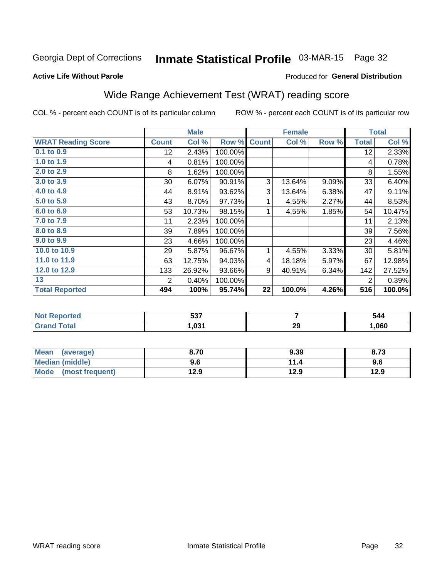## Inmate Statistical Profile 03-MAR-15 Page 32

#### **Active Life Without Parole**

#### Produced for General Distribution

## Wide Range Achievement Test (WRAT) reading score

COL % - percent each COUNT is of its particular column

|                           |                 | <b>Male</b> |         |              | <b>Female</b> |       |              | <b>Total</b> |
|---------------------------|-----------------|-------------|---------|--------------|---------------|-------|--------------|--------------|
| <b>WRAT Reading Score</b> | <b>Count</b>    | Col %       | Row %   | <b>Count</b> | Col %         | Row % | <b>Total</b> | Col %        |
| $0.1$ to $0.9$            | 12 <sub>2</sub> | 2.43%       | 100.00% |              |               |       | 12           | 2.33%        |
| 1.0 to 1.9                | 4               | 0.81%       | 100.00% |              |               |       | 4            | 0.78%        |
| 2.0 to 2.9                | 8               | 1.62%       | 100.00% |              |               |       | 8            | 1.55%        |
| 3.0 to 3.9                | $30$            | 6.07%       | 90.91%  | 3            | 13.64%        | 9.09% | 33           | 6.40%        |
| 4.0 to 4.9                | 44              | 8.91%       | 93.62%  | 3            | 13.64%        | 6.38% | 47           | 9.11%        |
| 5.0 to 5.9                | 43              | 8.70%       | 97.73%  | 1            | 4.55%         | 2.27% | 44           | 8.53%        |
| 6.0 to 6.9                | 53              | 10.73%      | 98.15%  | 1            | 4.55%         | 1.85% | 54           | 10.47%       |
| 7.0 to 7.9                | 11              | 2.23%       | 100.00% |              |               |       | 11           | 2.13%        |
| 8.0 to 8.9                | 39              | 7.89%       | 100.00% |              |               |       | 39           | 7.56%        |
| 9.0 to 9.9                | 23              | 4.66%       | 100.00% |              |               |       | 23           | 4.46%        |
| 10.0 to 10.9              | 29              | 5.87%       | 96.67%  | 1            | 4.55%         | 3.33% | 30           | 5.81%        |
| 11.0 to 11.9              | 63              | 12.75%      | 94.03%  | 4            | 18.18%        | 5.97% | 67           | 12.98%       |
| 12.0 to 12.9              | 133             | 26.92%      | 93.66%  | 9            | 40.91%        | 6.34% | 142          | 27.52%       |
| 13                        | 2               | 0.40%       | 100.00% |              |               |       | 2            | 0.39%        |
| <b>Total Reported</b>     | 494             | 100%        | 95.74%  | 22           | 100.0%        | 4.26% | 516          | 100.0%       |

| <b>NOT</b><br>≺eportea | ドゥフ<br>ວວ∙ |    | 544  |
|------------------------|------------|----|------|
| 'otal<br>$\mathbf{v}$  | .031       | 29 | ,060 |

| Mean (average)         | 8.70 | 9.39 | 8.73 |
|------------------------|------|------|------|
| <b>Median (middle)</b> | 9.6  | 11.4 | 9.6  |
| Mode (most frequent)   | 12.9 | 12.9 | 12.9 |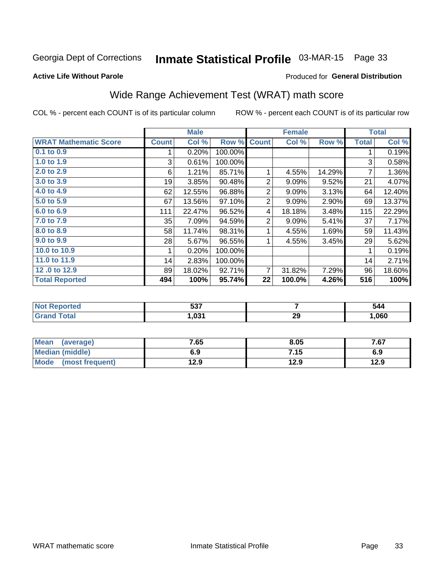## Inmate Statistical Profile 03-MAR-15 Page 33

#### **Active Life Without Parole**

#### **Produced for General Distribution**

## Wide Range Achievement Test (WRAT) math score

COL % - percent each COUNT is of its particular column

|                              |              | <b>Male</b> |         |                | <b>Female</b> |        |              | <b>Total</b> |
|------------------------------|--------------|-------------|---------|----------------|---------------|--------|--------------|--------------|
| <b>WRAT Mathematic Score</b> | <b>Count</b> | Col %       | Row %   | <b>Count</b>   | Col %         | Row %  | <b>Total</b> | Col %        |
| $0.1$ to $0.9$               |              | 0.20%       | 100.00% |                |               |        |              | 0.19%        |
| 1.0 to 1.9                   | 3            | 0.61%       | 100.00% |                |               |        | 3            | 0.58%        |
| 2.0 to 2.9                   | 6            | 1.21%       | 85.71%  |                | 4.55%         | 14.29% | 7            | 1.36%        |
| 3.0 to 3.9                   | 19           | 3.85%       | 90.48%  | 2              | 9.09%         | 9.52%  | 21           | 4.07%        |
| 4.0 to 4.9                   | 62           | 12.55%      | 96.88%  | $\overline{c}$ | 9.09%         | 3.13%  | 64           | 12.40%       |
| 5.0 to 5.9                   | 67           | 13.56%      | 97.10%  | 2              | 9.09%         | 2.90%  | 69           | 13.37%       |
| 6.0 to 6.9                   | 111          | 22.47%      | 96.52%  | 4              | 18.18%        | 3.48%  | 115          | 22.29%       |
| 7.0 to 7.9                   | 35           | 7.09%       | 94.59%  | $\overline{2}$ | 9.09%         | 5.41%  | 37           | 7.17%        |
| 8.0 to 8.9                   | 58           | 11.74%      | 98.31%  |                | 4.55%         | 1.69%  | 59           | 11.43%       |
| 9.0 to 9.9                   | 28           | 5.67%       | 96.55%  |                | 4.55%         | 3.45%  | 29           | 5.62%        |
| 10.0 to 10.9                 |              | 0.20%       | 100.00% |                |               |        | 1            | 0.19%        |
| 11.0 to 11.9                 | 14           | 2.83%       | 100.00% |                |               |        | 14           | 2.71%        |
| 12.0 to 12.9                 | 89           | 18.02%      | 92.71%  | 7              | 31.82%        | 7.29%  | 96           | 18.60%       |
| <b>Total Reported</b>        | 494          | 100%        | 95.74%  | 22             | 100.0%        | 4.26%  | 516          | 100%         |

| にって<br>၁၁ ၊ |    | $\cdot$ |
|-------------|----|---------|
| .031        | 29 | .060    |

| <b>Mean</b><br>(average)       | 7.65 | 8.05 | 7.67 |
|--------------------------------|------|------|------|
| Median (middle)                | 6.9  | 7.15 | 6.9  |
| <b>Mode</b><br>(most frequent) | 12.9 | 12.9 | 12.9 |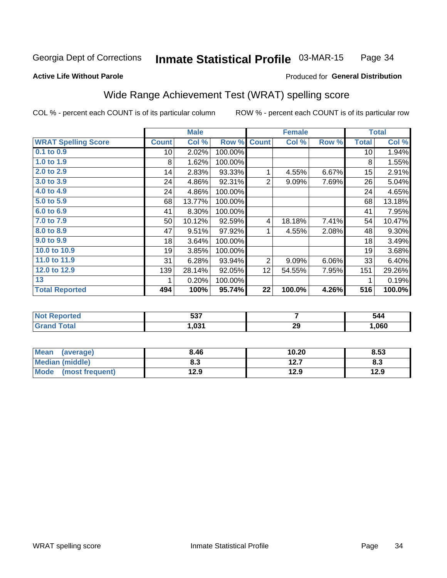#### Inmate Statistical Profile 03-MAR-15 Page 34

#### **Active Life Without Parole**

#### Produced for General Distribution

## Wide Range Achievement Test (WRAT) spelling score

COL % - percent each COUNT is of its particular column

|                            |                 | <b>Male</b> |         | <b>Female</b>  |        |       | <b>Total</b> |          |
|----------------------------|-----------------|-------------|---------|----------------|--------|-------|--------------|----------|
| <b>WRAT Spelling Score</b> | <b>Count</b>    | Col %       | Row %   | <b>Count</b>   | Col %  | Row % | <b>Total</b> | Col %    |
| $0.1$ to $0.9$             | 10 <sup>1</sup> | 2.02%       | 100.00% |                |        |       | 10           | 1.94%    |
| 1.0 to 1.9                 | 8               | 1.62%       | 100.00% |                |        |       | 8            | 1.55%    |
| 2.0 to 2.9                 | 14              | 2.83%       | 93.33%  | 1              | 4.55%  | 6.67% | 15           | 2.91%    |
| 3.0 to 3.9                 | 24              | 4.86%       | 92.31%  | $\overline{2}$ | 9.09%  | 7.69% | 26           | 5.04%    |
| 4.0 to 4.9                 | 24              | 4.86%       | 100.00% |                |        |       | 24           | 4.65%    |
| 5.0 to 5.9                 | 68              | 13.77%      | 100.00% |                |        |       | 68           | 13.18%   |
| 6.0 to 6.9                 | 41              | 8.30%       | 100.00% |                |        |       | 41           | 7.95%    |
| 7.0 to 7.9                 | 50              | 10.12%      | 92.59%  | 4              | 18.18% | 7.41% | 54           | 10.47%   |
| 8.0 to 8.9                 | 47              | 9.51%       | 97.92%  | 1              | 4.55%  | 2.08% | 48           | $9.30\%$ |
| 9.0 to 9.9                 | 18              | 3.64%       | 100.00% |                |        |       | 18           | 3.49%    |
| 10.0 to 10.9               | 19              | 3.85%       | 100.00% |                |        |       | 19           | 3.68%    |
| 11.0 to 11.9               | 31              | 6.28%       | 93.94%  | $\overline{2}$ | 9.09%  | 6.06% | 33           | 6.40%    |
| 12.0 to 12.9               | 139             | 28.14%      | 92.05%  | 12             | 54.55% | 7.95% | 151          | 29.26%   |
| 13                         | 1               | 0.20%       | 100.00% |                |        |       | 1            | 0.19%    |
| <b>Total Reported</b>      | 494             | 100%        | 95.74%  | 22             | 100.0% | 4.26% | 516          | 100.0%   |
|                            |                 |             |         |                |        |       |              |          |

| <b>Not Reported</b>    | ドゥフ<br>ີວວາ |    | 544  |
|------------------------|-------------|----|------|
| <b>Total</b><br>'Grand | 031,ا       | 29 | ,060 |

| <b>Mean</b><br>(average)       | 8.46 | 10.20        | 8.53 |
|--------------------------------|------|--------------|------|
| <b>Median (middle)</b>         | 8.3  | 127<br>I 4.I | ი.ა  |
| <b>Mode</b><br>(most frequent) | 12.9 | 12.9         | 12.9 |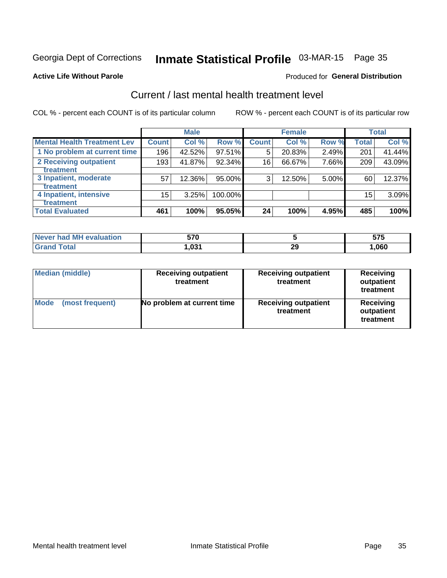## Inmate Statistical Profile 03-MAR-15 Page 35

#### **Active Life Without Parole**

#### **Produced for General Distribution**

## Current / last mental health treatment level

COL % - percent each COUNT is of its particular column

|                                    |              | <b>Male</b> |           | <b>Female</b> |        |          | <b>Total</b> |        |
|------------------------------------|--------------|-------------|-----------|---------------|--------|----------|--------------|--------|
| <b>Mental Health Treatment Lev</b> | <b>Count</b> | Col%        | Row %     | <b>Count</b>  | Col %  | Row %    | Total        | Col %  |
| 1 No problem at current time       | 196          | 42.52%      | $97.51\%$ | 5             | 20.83% | 2.49%    | 201          | 41.44% |
| 2 Receiving outpatient             | 193          | 41.87%      | 92.34%    | 16            | 66.67% | 7.66%    | 209          | 43.09% |
| Treatment                          |              |             |           |               |        |          |              |        |
| 3 Inpatient, moderate              | 57           | 12.36%      | 95.00%    | 3             | 12.50% | $5.00\%$ | 60           | 12.37% |
| Treatment                          |              |             |           |               |        |          |              |        |
| 4 Inpatient, intensive             | $15\,$       | 3.25%       | 100.00%   |               |        |          | 15           | 3.09%  |
| Treatment                          |              |             |           |               |        |          |              |        |
| <b>Total Evaluated</b>             | 461          | 100%        | 95.05%    | 24            | 100%   | 4.95%    | 485          | 100%   |

| Never had MH evaluation | 570   |           | ---<br>J1 J |
|-------------------------|-------|-----------|-------------|
| Total                   | 031.، | nr<br>∠ਖ਼ | ,060        |

| <b>Median (middle)</b>         | <b>Receiving outpatient</b><br>treatment | <b>Receiving outpatient</b><br>treatment | <b>Receiving</b><br>outpatient<br>treatment |  |
|--------------------------------|------------------------------------------|------------------------------------------|---------------------------------------------|--|
| <b>Mode</b><br>(most frequent) | No problem at current time               | <b>Receiving outpatient</b><br>treatment | <b>Receiving</b><br>outpatient<br>treatment |  |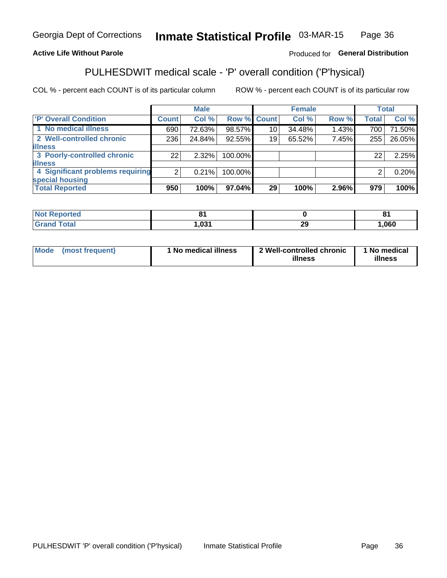#### Inmate Statistical Profile 03-MAR-15 Page 36

#### **Active Life Without Parole**

#### Produced for General Distribution

## PULHESDWIT medical scale - 'P' overall condition ('P'hysical)

COL % - percent each COUNT is of its particular column

|                                  |                | <b>Male</b> |             |                 | <b>Female</b> |       |              | <b>Total</b> |
|----------------------------------|----------------|-------------|-------------|-----------------|---------------|-------|--------------|--------------|
| 'P' Overall Condition            | Count l        | Col %       | Row % Count |                 | Col %         | Row % | <b>Total</b> | Col %        |
| 1 No medical illness             | 690            | 72.63%      | 98.57%      | 10 <sub>1</sub> | 34.48%        | 1.43% | 700          | 71.50%       |
| 2 Well-controlled chronic        | 236            | 24.84%      | 92.55%      | 19              | 65.52%        | 7.45% | 255          | 26.05%       |
| <b>illness</b>                   |                |             |             |                 |               |       |              |              |
| 3 Poorly-controlled chronic      | 22             | 2.32%       | 100.00%     |                 |               |       | 22           | 2.25%        |
| <b>illness</b>                   |                |             |             |                 |               |       |              |              |
| 4 Significant problems requiring | 2 <sub>1</sub> | 0.21%       | 100.00%     |                 |               |       | 2            | 0.20%        |
| special housing                  |                |             |             |                 |               |       |              |              |
| <b>Total Reported</b>            | 950            | 100%        | 97.04%      | 29              | 100%          | 2.96% | 979          | 100%         |

| tec  |      |           | 04<br>o |
|------|------|-----------|---------|
| υιαι | .021 | nr.<br>~~ | ,060    |

| <b>Mode</b> | (most frequent) | 1 No medical illness | 2 Well-controlled chronic<br>illness | 1 No medical<br>illness |
|-------------|-----------------|----------------------|--------------------------------------|-------------------------|
|-------------|-----------------|----------------------|--------------------------------------|-------------------------|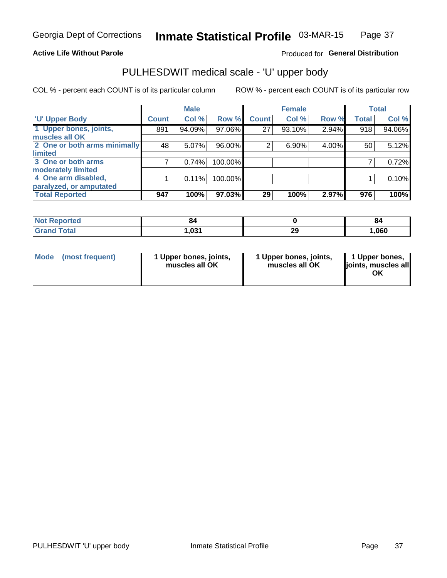#### **Active Life Without Parole**

#### Produced for General Distribution

## PULHESDWIT medical scale - 'U' upper body

COL % - percent each COUNT is of its particular column

|                              |              | <b>Male</b> |         |              | <b>Female</b> |       |              | <b>Total</b> |
|------------------------------|--------------|-------------|---------|--------------|---------------|-------|--------------|--------------|
| <b>'U' Upper Body</b>        | <b>Count</b> | Col %       | Row %   | <b>Count</b> | Col %         | Row % | <b>Total</b> | Col %        |
| 1 Upper bones, joints,       | 891          | 94.09%      | 97.06%  | 27           | 93.10%        | 2.94% | 918          | 94.06%       |
| muscles all OK               |              |             |         |              |               |       |              |              |
| 2 One or both arms minimally | 48           | 5.07%       | 96.00%  | 2            | 6.90%         | 4.00% | 50           | 5.12%        |
| limited                      |              |             |         |              |               |       |              |              |
| 3 One or both arms           | 7            | 0.74%       | 100.00% |              |               |       |              | 0.72%        |
| <b>moderately limited</b>    |              |             |         |              |               |       |              |              |
| 4 One arm disabled,          |              | 0.11%       | 100.00% |              |               |       |              | 0.10%        |
| paralyzed, or amputated      |              |             |         |              |               |       |              |              |
| <b>Total Reported</b>        | 947          | 100%        | 97.03%  | 29           | 100%          | 2.97% | 976          | 100%         |

| <b>Not Reported</b> | O4   |          | oε   |
|---------------------|------|----------|------|
| <b>Total</b>        | ,031 | າເ<br>23 | ,060 |

| Mode | (most frequent) | 1 Upper bones, joints,<br>muscles all OK | 1 Upper bones, joints,<br>muscles all OK | 1 Upper bones,<br>ljoints, muscles all<br>OK |
|------|-----------------|------------------------------------------|------------------------------------------|----------------------------------------------|
|------|-----------------|------------------------------------------|------------------------------------------|----------------------------------------------|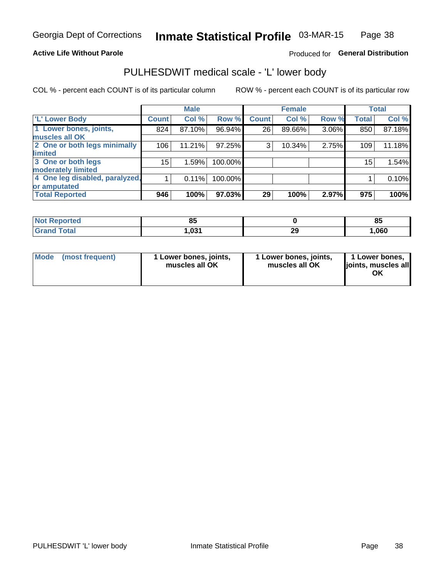#### **Active Life Without Parole**

#### Produced for General Distribution

## PULHESDWIT medical scale - 'L' lower body

COL % - percent each COUNT is of its particular column

|                                     | <b>Male</b> |              | <b>Female</b>                                             |       |                 | <b>Total</b> |
|-------------------------------------|-------------|--------------|-----------------------------------------------------------|-------|-----------------|--------------|
| <b>Count</b>                        | Col %       | <b>Count</b> | Col %                                                     | Row % | <b>Total</b>    | Col %        |
| 824                                 | 87.10%      | 26           | 89.66%                                                    | 3.06% | 850             | 87.18%       |
|                                     |             |              |                                                           |       |                 |              |
| 2 One or both legs minimally<br>106 | 11.21%      | 3            | 10.34%                                                    | 2.75% | 109             | 11.18%       |
|                                     |             |              |                                                           |       |                 |              |
| $15\,$                              | 1.59%       |              |                                                           |       | 15 <sub>1</sub> | 1.54%        |
|                                     |             |              |                                                           |       |                 |              |
| 4 One leg disabled, paralyzed,      | 0.11%       |              |                                                           |       |                 | 0.10%        |
|                                     |             |              |                                                           |       |                 |              |
| 946                                 | 100%        | 29           | 100%                                                      | 2.97% | 975             | 100%         |
|                                     |             |              | Row %<br>96.94%<br>97.25%<br>100.00%<br>100.00%<br>97.03% |       |                 |              |

| <b>Not Reported</b> | nг<br>uj |          | ОΙ<br>o. |
|---------------------|----------|----------|----------|
| <b>Total</b>        | ,031     | າເ<br>23 | ,060     |

| Mode | (most frequent) | 1 Lower bones, joints,<br>muscles all OK | 1 Lower bones, joints,<br>muscles all OK | 1 Lower bones,<br>ljoints, muscles all<br>ΟK |
|------|-----------------|------------------------------------------|------------------------------------------|----------------------------------------------|
|------|-----------------|------------------------------------------|------------------------------------------|----------------------------------------------|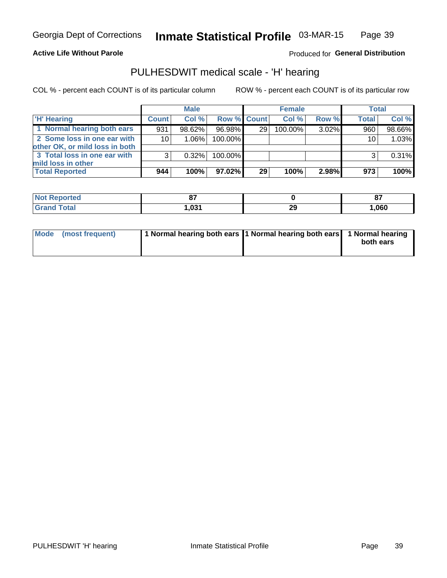#### **Active Life Without Parole**

Produced for General Distribution

### PULHESDWIT medical scale - 'H' hearing

COL % - percent each COUNT is of its particular column

|                                                               |                 | <b>Male</b> |             |    | <b>Female</b> |       | <b>Total</b>    |          |
|---------------------------------------------------------------|-----------------|-------------|-------------|----|---------------|-------|-----------------|----------|
| <b>H'</b> Hearing                                             | <b>Count</b>    | Col %       | Row % Count |    | Col%          | Row % | <b>Total</b>    | Col %    |
| 1 Normal hearing both ears                                    | 931             | 98.62%      | 96.98%      | 29 | 100.00%       | 3.02% | 960             | 98.66%   |
| 2 Some loss in one ear with<br>other OK, or mild loss in both | 10 <sup>1</sup> | 1.06%       | 100.00%     |    |               |       | 10 <sub>1</sub> | 1.03%    |
| 3 Total loss in one ear with<br>mild loss in other            | 3               | 0.32%       | 100.00%     |    |               |       | 3               | $0.31\%$ |
| <b>Total Reported</b>                                         | 944             | 100%        | 97.02%      | 29 | 100%          | 2.98% | 973             | 100%     |

| <b>Reported</b><br><b>Not</b> | ~-  |           | 07<br>$\mathbf{u}$ |
|-------------------------------|-----|-----------|--------------------|
| <b>Total</b>                  | 021 | nr<br>- - | ,060               |

| Mode (most frequent) | 1 Normal hearing both ears 1 Normal hearing both ears 1 Normal hearing |           |
|----------------------|------------------------------------------------------------------------|-----------|
|                      |                                                                        | both ears |
|                      |                                                                        |           |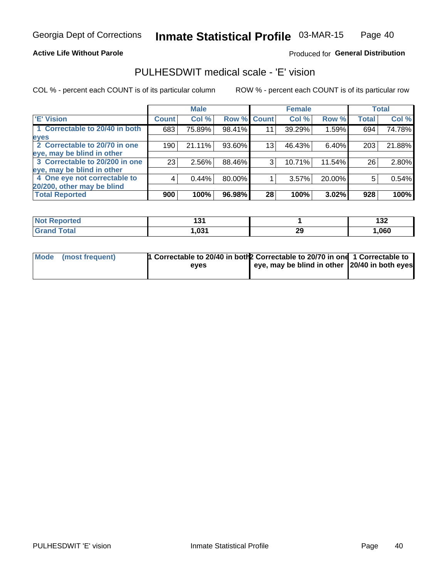#### **Active Life Without Parole**

#### Produced for General Distribution

### PULHESDWIT medical scale - 'E' vision

COL % - percent each COUNT is of its particular column

|                                |              | <b>Male</b> |        |                 | <b>Female</b> |        |              | <b>Total</b> |
|--------------------------------|--------------|-------------|--------|-----------------|---------------|--------|--------------|--------------|
| <b>E' Vision</b>               | <b>Count</b> | Col %       | Row %  | <b>Count</b>    | Col %         | Row %  | <b>Total</b> | Col %        |
| 1 Correctable to 20/40 in both | 683          | 75.89%      | 98.41% | 11              | 39.29%        | 1.59%  | 694          | 74.78%       |
| eyes                           |              |             |        |                 |               |        |              |              |
| 2 Correctable to 20/70 in one  | 190          | 21.11%      | 93.60% | 13 <sub>1</sub> | 46.43%        | 6.40%  | 203          | 21.88%       |
| eye, may be blind in other     |              |             |        |                 |               |        |              |              |
| 3 Correctable to 20/200 in one | 23           | 2.56%       | 88.46% | 3               | 10.71%        | 11.54% | 26           | 2.80%        |
| eye, may be blind in other     |              |             |        |                 |               |        |              |              |
| 4 One eye not correctable to   | 4            | 0.44%       | 80.00% |                 | 3.57%         | 20.00% | 5            | 0.54%        |
| 20/200, other may be blind     |              |             |        |                 |               |        |              |              |
| <b>Total Reported</b>          | 900          | 100%        | 96.98% | 28              | 100%          | 3.02%  | 928          | 100%         |

| <b>Not Reported</b> | . פ<br>שו |          | 420<br>IJZ |
|---------------------|-----------|----------|------------|
| Total               | 031,ا     | nr<br>43 | ,060       |

| Mode (most frequent) | 1 Correctable to 20/40 in both 2 Correctable to 20/70 in one 1 Correctable to<br>eves | eye, may be blind in other 120/40 in both eyes |  |
|----------------------|---------------------------------------------------------------------------------------|------------------------------------------------|--|
|                      |                                                                                       |                                                |  |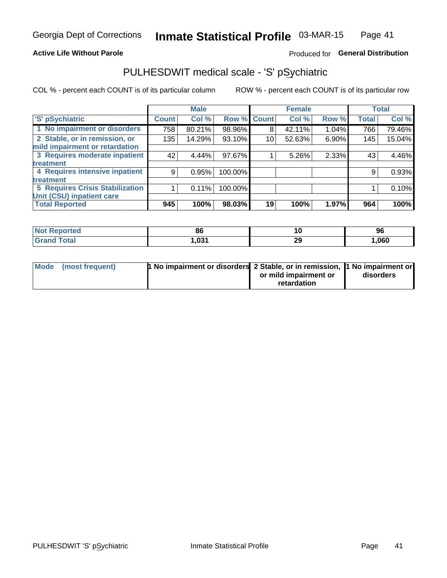#### **Active Life Without Parole**

#### Produced for General Distribution

## PULHESDWIT medical scale - 'S' pSychiatric

COL % - percent each COUNT is of its particular column

|                                        |              | <b>Male</b> |         |             | <b>Female</b> |       |              | <b>Total</b> |
|----------------------------------------|--------------|-------------|---------|-------------|---------------|-------|--------------|--------------|
| 'S' pSychiatric                        | <b>Count</b> | Col %       |         | Row % Count | Col %         | Row % | <b>Total</b> | Col %        |
| 1 No impairment or disorders           | 758          | 80.21%      | 98.96%  | 8           | 42.11%        | 1.04% | 766          | 79.46%       |
| 2 Stable, or in remission, or          | 135          | 14.29%      | 93.10%  | 10          | 52.63%        | 6.90% | 145          | 15.04%       |
| mild impairment or retardation         |              |             |         |             |               |       |              |              |
| 3 Requires moderate inpatient          | 42           | 4.44%       | 97.67%  |             | 5.26%         | 2.33% | 43           | 4.46%        |
| treatment                              |              |             |         |             |               |       |              |              |
| 4 Requires intensive inpatient         | 9            | 0.95%       | 100.00% |             |               |       | 9            | 0.93%        |
| treatment                              |              |             |         |             |               |       |              |              |
| <b>5 Requires Crisis Stabilization</b> |              | 0.11%       | 100.00% |             |               |       |              | 0.10%        |
| Unit (CSU) inpatient care              |              |             |         |             |               |       |              |              |
| <b>Total Reported</b>                  | 945          | 100%        | 98.03%  | 19          | 100%          | 1.97% | 964          | 100%         |

| <b>Not Reported</b> | 86   |          | 96   |
|---------------------|------|----------|------|
| <b>Grand Total</b>  | ,031 | ാറ<br>29 | ,060 |

| Mode (most frequent) | <b>1 No impairment or disorders 2 Stable, or in remission, 1 No impairment or</b> |                       |           |
|----------------------|-----------------------------------------------------------------------------------|-----------------------|-----------|
|                      |                                                                                   | or mild impairment or | disorders |
|                      |                                                                                   | retardation           |           |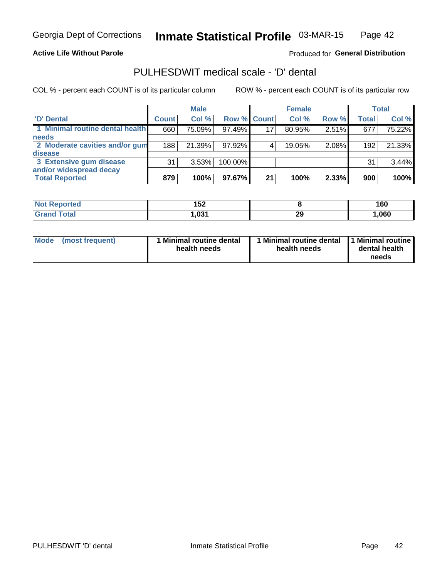**Active Life Without Parole** 

Produced for General Distribution

## PULHESDWIT medical scale - 'D' dental

COL % - percent each COUNT is of its particular column

|                                 |              | <b>Male</b> |                    |    | <b>Female</b> |       |              | <b>Total</b> |
|---------------------------------|--------------|-------------|--------------------|----|---------------|-------|--------------|--------------|
| 'D' Dental                      | <b>Count</b> | Col %       | <b>Row % Count</b> |    | Col %         | Row % | <b>Total</b> | Col %        |
| 1 Minimal routine dental health | 660          | 75.09%      | 97.49%             | 17 | 80.95%        | 2.51% | 677          | 75.22%       |
| <b>needs</b>                    |              |             |                    |    |               |       |              |              |
| 2 Moderate cavities and/or gum  | 188          | 21.39%      | 97.92%             |    | 19.05%        | 2.08% | 192          | 21.33%       |
| disease                         |              |             |                    |    |               |       |              |              |
| 3 Extensive gum disease         | 31           | 3.53%       | 100.00%            |    |               |       | 31           | 3.44%        |
| and/or widespread decay         |              |             |                    |    |               |       |              |              |
| <b>Total Reported</b>           | 879          | 100%        | 97.67%             | 21 | 100%          | 2.33% | 900          | 100%         |

| prtea<br><b>NOT</b><br>. | 152<br>IJZ |          | 160  |
|--------------------------|------------|----------|------|
| <b>Total</b>             | ,031       | sc<br>23 | ,060 |

| <b>Mode</b>     | Minimal routine dental | 1 Minimal routine dental 1 Minimal routine | dental health |
|-----------------|------------------------|--------------------------------------------|---------------|
| (most frequent) | health needs           | health needs                               | needs         |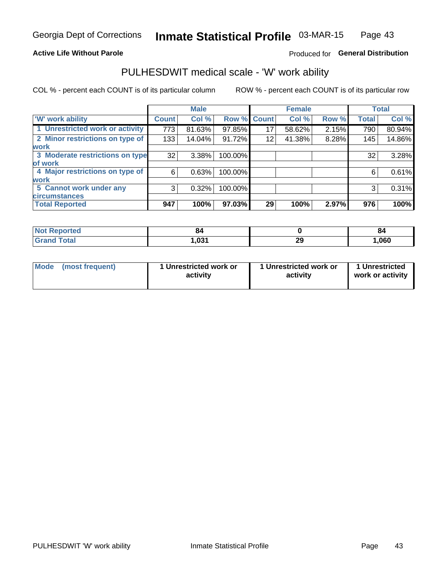#### **Active Life Without Parole**

#### Produced for General Distribution

### PULHESDWIT medical scale - 'W' work ability

COL % - percent each COUNT is of its particular column

|                                 |              | <b>Male</b> |         |             | <b>Female</b> |       |              | <b>Total</b> |
|---------------------------------|--------------|-------------|---------|-------------|---------------|-------|--------------|--------------|
| <b>W' work ability</b>          | <b>Count</b> | Col %       |         | Row % Count | Col %         | Row % | <b>Total</b> | Col %        |
| 1 Unrestricted work or activity | 773          | 81.63%      | 97.85%  | 17          | 58.62%        | 2.15% | 790          | 80.94%       |
| 2 Minor restrictions on type of | 133          | 14.04%      | 91.72%  | 12          | 41.38%        | 8.28% | 145          | 14.86%       |
| <b>work</b>                     |              |             |         |             |               |       |              |              |
| 3 Moderate restrictions on type | 32           | $3.38\%$    | 100.00% |             |               |       | 32           | 3.28%        |
| lof work                        |              |             |         |             |               |       |              |              |
| 4 Major restrictions on type of | 6            | 0.63%       | 100.00% |             |               |       | 6            | 0.61%        |
| <b>work</b>                     |              |             |         |             |               |       |              |              |
| 5 Cannot work under any         | 3            | 0.32%       | 100.00% |             |               |       | 3            | 0.31%        |
| <b>circumstances</b>            |              |             |         |             |               |       |              |              |
| <b>Total Reported</b>           | 947          | 100%        | 97.03%  | 29          | 100%          | 2.97% | 976          | 100%         |

| <b>Not Reported</b> | o.   |          | ŏ4   |
|---------------------|------|----------|------|
| <b>Grand Total</b>  | ,031 | ኅሮ<br>LJ | ,060 |

| <b>Mode</b> | (most frequent) | 1 Unrestricted work or<br>activity | 1 Unrestricted work or<br>activity | 1 Unrestricted<br>work or activity |
|-------------|-----------------|------------------------------------|------------------------------------|------------------------------------|
|-------------|-----------------|------------------------------------|------------------------------------|------------------------------------|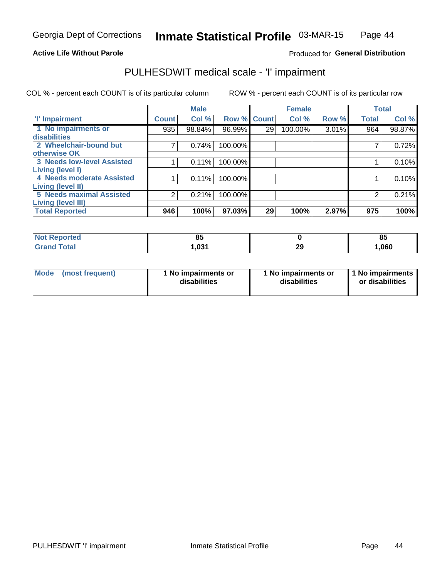#### **Active Life Without Parole**

#### Produced for General Distribution

## PULHESDWIT medical scale - 'I' impairment

COL % - percent each COUNT is of its particular column ROW % - percent each COUNT is of its particular row

|                                                              |              | <b>Male</b> |             |    | <b>Female</b> |       | <b>Total</b> |        |
|--------------------------------------------------------------|--------------|-------------|-------------|----|---------------|-------|--------------|--------|
| <b>T' Impairment</b>                                         | <b>Count</b> | Col %       | Row % Count |    | Col %         | Row % | <b>Total</b> | Col %  |
| 1 No impairments or<br>disabilities                          | 935          | 98.84%      | 96.99%      | 29 | 100.00%       | 3.01% | 964          | 98.87% |
| 2 Wheelchair-bound but<br>otherwise OK                       |              | 0.74%       | 100.00%     |    |               |       |              | 0.72%  |
| <b>3 Needs low-level Assisted</b><br>Living (level I)        |              | 0.11%       | 100.00%     |    |               |       |              | 0.10%  |
| 4 Needs moderate Assisted<br><b>Living (level II)</b>        |              | 0.11%       | 100.00%     |    |               |       |              | 0.10%  |
| <b>5 Needs maximal Assisted</b><br><b>Living (level III)</b> | 2            | 0.21%       | 100.00%     |    |               |       | 2            | 0.21%  |
| <b>Total Reported</b>                                        | 946          | 100%        | 97.03%      | 29 | 100%          | 2.97% | 975          | 100%   |

| ----          | $\alpha$     |          | $\sim$ |
|---------------|--------------|----------|--------|
| meo           | ၀၁           |          | οJ     |
| <b>i</b> otal | ו מח<br>- טי | 2C<br>23 | 1,060  |

| Mode | (most frequent) | 1 No impairments or<br>disabilities | 1 No impairments or<br>disabilities | 1 No impairments<br>or disabilities |
|------|-----------------|-------------------------------------|-------------------------------------|-------------------------------------|
|------|-----------------|-------------------------------------|-------------------------------------|-------------------------------------|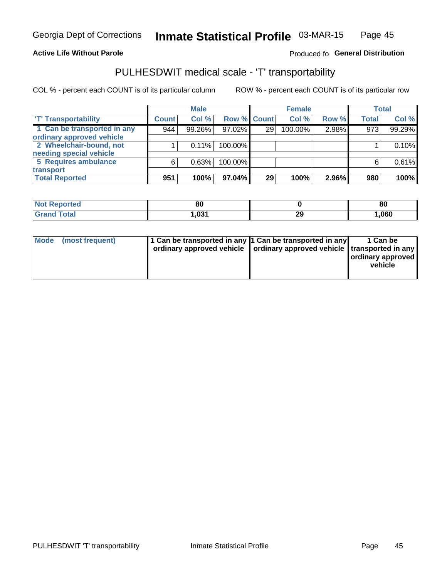#### **Active Life Without Parole**

#### Produced fo General Distribution

## PULHESDWIT medical scale - 'T' transportability

COL % - percent each COUNT is of its particular column

|                             |              | <b>Male</b> |             |    | <b>Female</b> |       |              | <b>Total</b> |
|-----------------------------|--------------|-------------|-------------|----|---------------|-------|--------------|--------------|
| <b>T' Transportability</b>  | <b>Count</b> | Col %       | Row % Count |    | Col %         | Row % | <b>Total</b> | Col %        |
| 1 Can be transported in any | 944          | 99.26%      | 97.02%      | 29 | 100.00%       | 2.98% | 973          | 99.29%       |
| ordinary approved vehicle   |              |             |             |    |               |       |              |              |
| 2 Wheelchair-bound, not     |              | 0.11%       | 100.00%     |    |               |       |              | 0.10%        |
| needing special vehicle     |              |             |             |    |               |       |              |              |
| 5 Requires ambulance        | 6            | 0.63%       | 100.00%     |    |               |       |              | 0.61%        |
| transport                   |              |             |             |    |               |       |              |              |
| <b>Total Reported</b>       | 951          | 100%        | 97.04%      | 29 | 100%          | 2.96% | 980          | 100%         |

| orted       | 80   |          | 80   |
|-------------|------|----------|------|
| <b>otal</b> | .031 | ^^<br>LJ | ,060 |

| Mode (most frequent) | 1 Can be transported in any 1 Can be transported in any | ordinary approved vehicle   ordinary approved vehicle   transported in any | 1 Can be<br>ordinary approved<br>vehicle |
|----------------------|---------------------------------------------------------|----------------------------------------------------------------------------|------------------------------------------|
|                      |                                                         |                                                                            |                                          |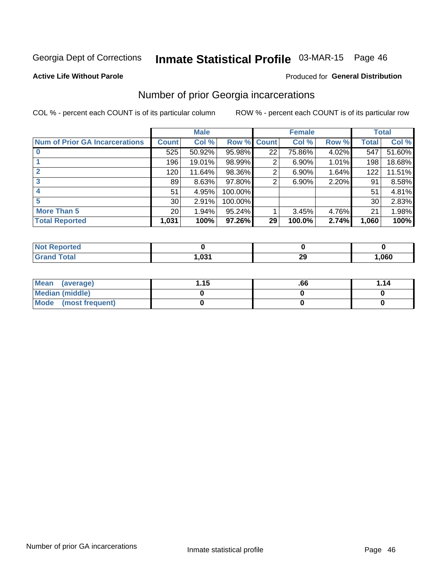## Inmate Statistical Profile 03-MAR-15 Page 46

#### **Active Life Without Parole**

#### **Produced for General Distribution**

### Number of prior Georgia incarcerations

COL % - percent each COUNT is of its particular column

|                                       |                 | <b>Male</b> |                    |    | <b>Female</b> | <b>Total</b> |       |        |
|---------------------------------------|-----------------|-------------|--------------------|----|---------------|--------------|-------|--------|
| <b>Num of Prior GA Incarcerations</b> | <b>Count</b>    | Col %       | <b>Row % Count</b> |    | Col %         | Row %        | Total | Col %  |
|                                       | 525             | 50.92%      | 95.98%             | 22 | 75.86%        | 4.02%        | 547   | 51.60% |
|                                       | 196             | 19.01%      | 98.99%             | 2  | 6.90%         | 1.01%        | 198   | 18.68% |
|                                       | 120             | 11.64%      | 98.36%             | 2  | 6.90%         | 1.64%        | 122   | 11.51% |
| 3                                     | 89              | 8.63%       | 97.80%             | 2  | 6.90%         | 2.20%        | 91    | 8.58%  |
| 4                                     | 51              | 4.95%       | 100.00%            |    |               |              | 51    | 4.81%  |
| 5                                     | 30 <sup>°</sup> | 2.91%       | 100.00%            |    |               |              | 30    | 2.83%  |
| <b>More Than 5</b>                    | 20 <sub>1</sub> | 1.94%       | 95.24%             |    | 3.45%         | 4.76%        | 21    | 1.98%  |
| <b>Total Reported</b>                 | 1,031           | 100%        | 97.26%             | 29 | 100.0%        | 2.74%        | 1,060 | 100%   |

| orted<br>NO               |      |           |      |
|---------------------------|------|-----------|------|
| Total<br>$\mathbf{v}$ and | .031 | n,<br>- - | ,060 |

| Mean (average)       | 1.15 | .66 | 1.14 |
|----------------------|------|-----|------|
| Median (middle)      |      |     |      |
| Mode (most frequent) |      |     |      |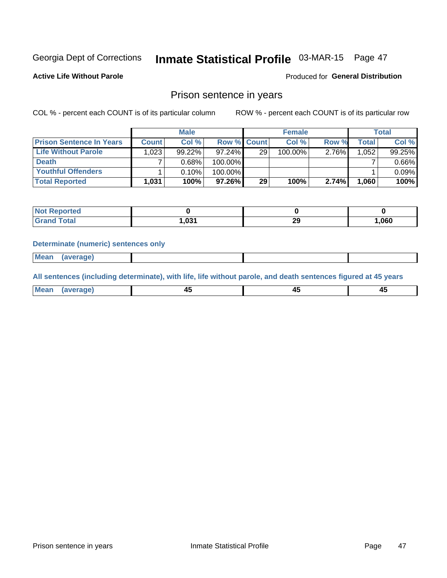## Inmate Statistical Profile 03-MAR-15 Page 47

**Active Life Without Parole** 

Produced for General Distribution

### Prison sentence in years

COL % - percent each COUNT is of its particular column

ROW % - percent each COUNT is of its particular row

|                                 | <b>Male</b>  |        |                    | <b>Female</b> |         |          | <b>Total</b> |        |
|---------------------------------|--------------|--------|--------------------|---------------|---------|----------|--------------|--------|
| <b>Prison Sentence In Years</b> | <b>Count</b> | Col %  | <b>Row % Count</b> |               | Col %   | Row %    | Total        | Col %  |
| Life Without Parole             | 1,023        | 99.22% | $97.24\%$          | 29            | 100.00% | $2.76\%$ | 1,052        | 99.25% |
| <b>Death</b>                    |              | 0.68%  | 100.00%            |               |         |          |              | 0.66%  |
| <b>Youthful Offenders</b>       |              | 0.10%  | 100.00%            |               |         |          |              | 0.09%  |
| <b>Total Reported</b>           | 1,031        | 100%   | 97.26%             | 29            | 100%    | 2.74%    | 1.060        | 100%   |

| oorted<br>NOT |       |          |        |
|---------------|-------|----------|--------|
| <b>ota</b>    | 031.ا | 20<br>23 | 060, ا |

#### **Determinate (numeric) sentences only**

**Mean** (average)

All sentences (including determinate), with life, life without parole, and death sentences figured at 45 years

| l Mea | --     | --     |  |
|-------|--------|--------|--|
| апе   | $\sim$ | $\sim$ |  |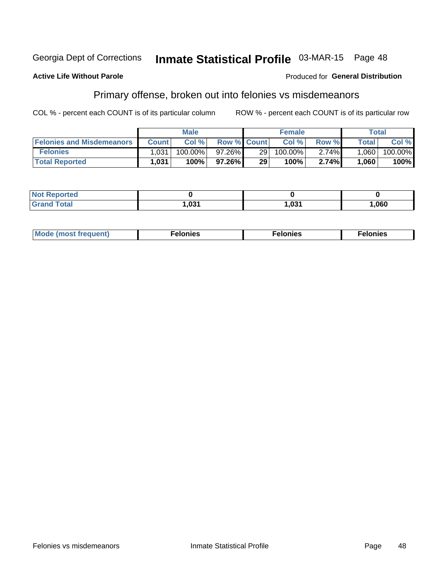#### Inmate Statistical Profile 03-MAR-15 Page 48 Georgia Dept of Corrections

#### **Active Life Without Parole**

#### Produced for General Distribution

### Primary offense, broken out into felonies vs misdemeanors

COL % - percent each COUNT is of its particular column

|                                  |              | <b>Male</b> |                    |                 | <b>Female</b> |          |                    | Total   |
|----------------------------------|--------------|-------------|--------------------|-----------------|---------------|----------|--------------------|---------|
| <b>Felonies and Misdemeanors</b> | <b>Count</b> | Col%        | <b>Row % Count</b> |                 | Col%          | Row %    | Total <sub>1</sub> | Col %   |
| <b>Felonies</b>                  | 1,031        | 100.00%     | 97.26%             | 29 <sub>1</sub> | 100.00%       | $2.74\%$ | 1.060              | 100.00% |
| <b>Total Reported</b>            | 1.031        | $100\%$     | $97.26\%$          | 29              | 100%          | 2.74%    | 1,060              | 100%    |

| <b>Not Reported</b> |      |      |      |
|---------------------|------|------|------|
| <b>Grand Total</b>  | ,031 | ,031 | ,060 |

| $Mc$<br>equent)<br>нез<br>$\sim$<br>. | onies<br>. | <b>onies</b><br>. |
|---------------------------------------|------------|-------------------|
|---------------------------------------|------------|-------------------|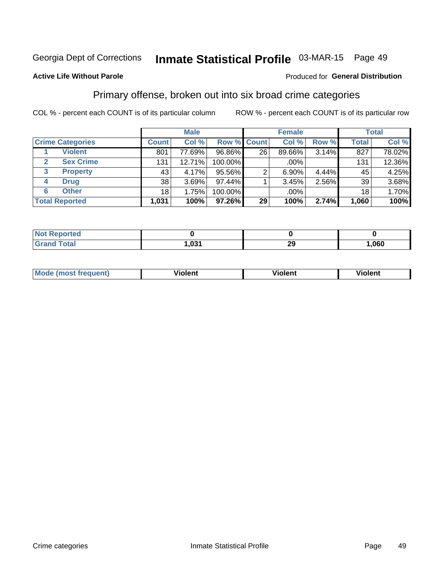## Inmate Statistical Profile 03-MAR-15 Page 49

#### **Active Life Without Parole**

#### **Produced for General Distribution**

### Primary offense, broken out into six broad crime categories

COL % - percent each COUNT is of its particular column

|                         |                 | <b>Male</b> |             |    | <b>Female</b> |       |              | <b>Total</b> |
|-------------------------|-----------------|-------------|-------------|----|---------------|-------|--------------|--------------|
| <b>Crime Categories</b> | <b>Count</b>    | Col %       | Row % Count |    | Col %         | Row % | <b>Total</b> | Col %        |
| <b>Violent</b>          | 801             | 77.69%      | 96.86%      | 26 | 89.66%        | 3.14% | 827          | 78.02%       |
| <b>Sex Crime</b>        | 131             | 12.71%      | 100.00%     |    | .00%          |       | 131          | 12.36%       |
| 3<br><b>Property</b>    | 43              | 4.17%       | 95.56%      |    | $6.90\%$      | 4.44% | 45           | 4.25%        |
| <b>Drug</b><br>4        | 38              | 3.69%       | $97.44\%$   |    | 3.45%         | 2.56% | 39           | 3.68%        |
| <b>Other</b><br>6       | 18 <sub>1</sub> | 1.75%       | 100.00%     |    | .00%          |       | 18           | 1.70%        |
| <b>Total Reported</b>   | 1,031           | 100%        | 97.26%      | 29 | 100%          | 2.74% | 1,060        | 100%         |

| <b>Not Reported</b> |      |           |        |
|---------------------|------|-----------|--------|
| <b>Grand Total</b>  | ,031 | ה ה<br>∠খ | 060, ا |

| М | ,,, | - -- -<br>וחו | m |
|---|-----|---------------|---|
|   |     |               |   |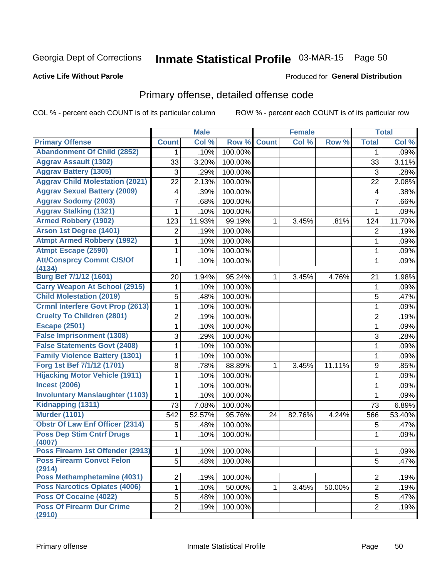## Inmate Statistical Profile 03-MAR-15 Page 50

#### **Active Life Without Parole**

#### Produced for General Distribution

### Primary offense, detailed offense code

COL % - percent each COUNT is of its particular column

|                                            |                | <b>Male</b> |         |              | <b>Female</b> |        |                         | <b>Total</b> |
|--------------------------------------------|----------------|-------------|---------|--------------|---------------|--------|-------------------------|--------------|
| <b>Primary Offense</b>                     | <b>Count</b>   | Col %       | Row %   | <b>Count</b> | Col %         | Row %  | <b>Total</b>            | Col %        |
| <b>Abandonment Of Child (2852)</b>         | 1              | .10%        | 100.00% |              |               |        | 1                       | .09%         |
| <b>Aggrav Assault (1302)</b>               | 33             | 3.20%       | 100.00% |              |               |        | 33                      | 3.11%        |
| <b>Aggrav Battery (1305)</b>               | 3              | .29%        | 100.00% |              |               |        | 3                       | .28%         |
| <b>Aggrav Child Molestation (2021)</b>     | 22             | 2.13%       | 100.00% |              |               |        | 22                      | 2.08%        |
| <b>Aggrav Sexual Battery (2009)</b>        | 4              | .39%        | 100.00% |              |               |        | $\overline{\mathbf{4}}$ | .38%         |
| <b>Aggrav Sodomy (2003)</b>                | 7              | .68%        | 100.00% |              |               |        | $\overline{7}$          | .66%         |
| <b>Aggrav Stalking (1321)</b>              | 1              | .10%        | 100.00% |              |               |        | $\mathbf{1}$            | .09%         |
| <b>Armed Robbery (1902)</b>                | 123            | 11.93%      | 99.19%  | 1            | 3.45%         | .81%   | 124                     | 11.70%       |
| Arson 1st Degree (1401)                    | 2              | .19%        | 100.00% |              |               |        | 2                       | .19%         |
| <b>Atmpt Armed Robbery (1992)</b>          | 1              | .10%        | 100.00% |              |               |        | $\mathbf{1}$            | .09%         |
| <b>Atmpt Escape (2590)</b>                 | 1              | .10%        | 100.00% |              |               |        | 1                       | .09%         |
| <b>Att/Consprcy Commt C/S/Of</b><br>(4134) | 1              | .10%        | 100.00% |              |               |        | 1                       | .09%         |
| <b>Burg Bef 7/1/12 (1601)</b>              | 20             | 1.94%       | 95.24%  | 1            | 3.45%         | 4.76%  | 21                      | 1.98%        |
| <b>Carry Weapon At School (2915)</b>       | 1              | .10%        | 100.00% |              |               |        | 1                       | .09%         |
| <b>Child Molestation (2019)</b>            | 5              | .48%        | 100.00% |              |               |        | 5                       | .47%         |
| <b>Crmnl Interfere Govt Prop (2613)</b>    | $\mathbf 1$    | .10%        | 100.00% |              |               |        | $\mathbf{1}$            | .09%         |
| <b>Cruelty To Children (2801)</b>          | 2              | .19%        | 100.00% |              |               |        | $\overline{2}$          | .19%         |
| <b>Escape (2501)</b>                       | 1              | .10%        | 100.00% |              |               |        | 1                       | .09%         |
| <b>False Imprisonment (1308)</b>           | 3              | .29%        | 100.00% |              |               |        | 3                       | .28%         |
| <b>False Statements Govt (2408)</b>        | 1              | .10%        | 100.00% |              |               |        | 1                       | .09%         |
| <b>Family Violence Battery (1301)</b>      | 1              | .10%        | 100.00% |              |               |        | 1                       | .09%         |
| Forg 1st Bef 7/1/12 (1701)                 | 8              | .78%        | 88.89%  | 1            | 3.45%         | 11.11% | 9                       | .85%         |
| <b>Hijacking Motor Vehicle (1911)</b>      | 1              | .10%        | 100.00% |              |               |        | 1                       | .09%         |
| <b>Incest (2006)</b>                       | 1              | .10%        | 100.00% |              |               |        | $\mathbf{1}$            | .09%         |
| <b>Involuntary Manslaughter (1103)</b>     | 1              | .10%        | 100.00% |              |               |        | $\mathbf{1}$            | .09%         |
| Kidnapping (1311)                          | 73             | 7.08%       | 100.00% |              |               |        | 73                      | 6.89%        |
| <b>Murder (1101)</b>                       | 542            | 52.57%      | 95.76%  | 24           | 82.76%        | 4.24%  | 566                     | 53.40%       |
| <b>Obstr Of Law Enf Officer (2314)</b>     | 5              | .48%        | 100.00% |              |               |        | 5                       | .47%         |
| <b>Poss Dep Stim Cntrf Drugs</b><br>(4007) | 1              | .10%        | 100.00% |              |               |        | 1                       | .09%         |
| Poss Firearm 1st Offender (2913)           | $\mathbf{1}$   | .10%        | 100.00% |              |               |        | 1                       | .09%         |
| <b>Poss Firearm Convct Felon</b><br>(2914) | 5 <sup>1</sup> | .48%        | 100.00% |              |               |        | 5                       | .47%         |
| Poss Methamphetamine (4031)                | $\overline{2}$ | .19%        | 100.00% |              |               |        | $\overline{2}$          | .19%         |
| <b>Poss Narcotics Opiates (4006)</b>       | $\mathbf 1$    | .10%        | 50.00%  | $\mathbf{1}$ | 3.45%         | 50.00% | $\overline{2}$          | .19%         |
| <b>Poss Of Cocaine (4022)</b>              | 5              | .48%        | 100.00% |              |               |        | 5                       | .47%         |
| <b>Poss Of Firearm Dur Crime</b><br>(2910) | $\overline{2}$ | .19%        | 100.00% |              |               |        | $\overline{2}$          | .19%         |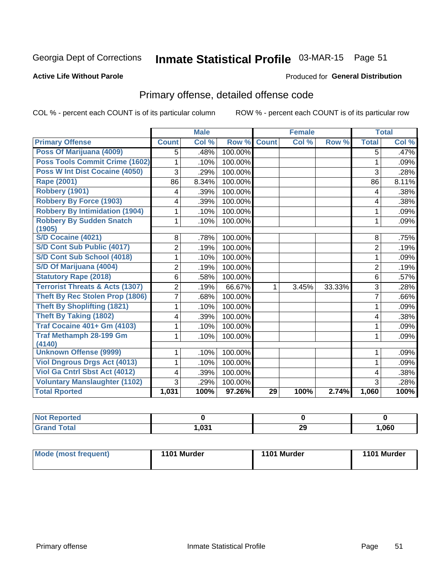## Inmate Statistical Profile 03-MAR-15 Page 51

#### **Active Life Without Parole**

#### Produced for General Distribution

## Primary offense, detailed offense code

COL % - percent each COUNT is of its particular column

|                                            |                | <b>Male</b> |         |              | <b>Female</b> |        |                | <b>Total</b> |
|--------------------------------------------|----------------|-------------|---------|--------------|---------------|--------|----------------|--------------|
| <b>Primary Offense</b>                     | <b>Count</b>   | Col %       | Row %   | <b>Count</b> | Col %         | Row %  | <b>Total</b>   | Col %        |
| Poss Of Marijuana (4009)                   | 5              | .48%        | 100.00% |              |               |        | 5              | .47%         |
| Poss Tools Commit Crime (1602)             | 1              | .10%        | 100.00% |              |               |        | 1              | .09%         |
| Poss W Int Dist Cocaine (4050)             | 3              | .29%        | 100.00% |              |               |        | 3              | .28%         |
| Rape (2001)                                | 86             | 8.34%       | 100.00% |              |               |        | 86             | 8.11%        |
| Robbery (1901)                             | 4              | .39%        | 100.00% |              |               |        | 4              | .38%         |
| <b>Robbery By Force (1903)</b>             | 4              | .39%        | 100.00% |              |               |        | 4              | .38%         |
| <b>Robbery By Intimidation (1904)</b>      |                | .10%        | 100.00% |              |               |        | 1              | .09%         |
| <b>Robbery By Sudden Snatch</b>            | 1              | .10%        | 100.00% |              |               |        | 1              | .09%         |
| (1905)                                     |                |             |         |              |               |        |                |              |
| S/D Cocaine (4021)                         | 8              | .78%        | 100.00% |              |               |        | 8              | .75%         |
| S/D Cont Sub Public (4017)                 | 2              | .19%        | 100.00% |              |               |        | $\overline{2}$ | .19%         |
| S/D Cont Sub School (4018)                 | 1              | .10%        | 100.00% |              |               |        | 1              | .09%         |
| S/D Of Marijuana (4004)                    | $\overline{2}$ | .19%        | 100.00% |              |               |        | $\overline{2}$ | .19%         |
| <b>Statutory Rape (2018)</b>               | 6              | .58%        | 100.00% |              |               |        | 6              | .57%         |
| <b>Terrorist Threats &amp; Acts (1307)</b> | $\overline{2}$ | .19%        | 66.67%  | 1            | 3.45%         | 33.33% | 3              | .28%         |
| <b>Theft By Rec Stolen Prop (1806)</b>     | 7              | .68%        | 100.00% |              |               |        | 7              | .66%         |
| <b>Theft By Shoplifting (1821)</b>         | 1              | .10%        | 100.00% |              |               |        | 1              | .09%         |
| Theft By Taking (1802)                     | 4              | .39%        | 100.00% |              |               |        | 4              | .38%         |
| <b>Traf Cocaine 401+ Gm (4103)</b>         | 1              | .10%        | 100.00% |              |               |        | 1              | .09%         |
| <b>Traf Methamph 28-199 Gm</b><br>(4140)   | 1              | .10%        | 100.00% |              |               |        | 1              | .09%         |
| <b>Unknown Offense (9999)</b>              | 1              | .10%        | 100.00% |              |               |        | 1              | .09%         |
| <b>Viol Dngrous Drgs Act (4013)</b>        | 1              | .10%        | 100.00% |              |               |        | 1              | .09%         |
| Viol Ga Cntrl Sbst Act (4012)              | 4              | .39%        | 100.00% |              |               |        | 4              | .38%         |
| <b>Voluntary Manslaughter (1102)</b>       | 3              | .29%        | 100.00% |              |               |        | 3              | .28%         |
| <b>Total Rported</b>                       | 1,031          | 100%        | 97.26%  | 29           | 100%          | 2.74%  | 1,060          | 100%         |

| Reported     |      |           |      |
|--------------|------|-----------|------|
| <b>Total</b> | ,031 | nr.<br>23 | ,060 |

|  | <b>Mode (most frequent)</b> | 1101 Murder | 1101 Murder | 1101 Murder |
|--|-----------------------------|-------------|-------------|-------------|
|--|-----------------------------|-------------|-------------|-------------|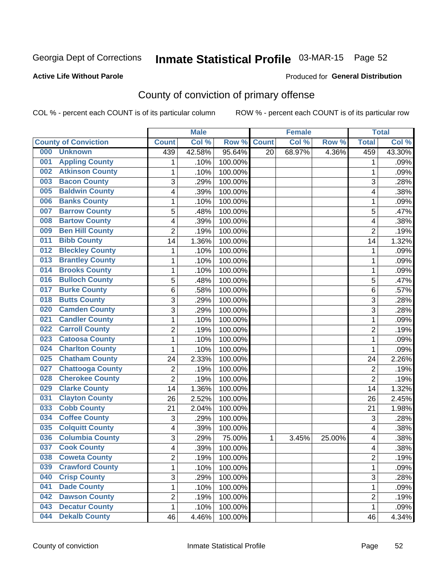## Inmate Statistical Profile 03-MAR-15 Page 52

#### **Active Life Without Parole**

#### Produced for General Distribution

## County of conviction of primary offense

COL % - percent each COUNT is of its particular column

|                                |                           | <b>Male</b> |         |                 | <b>Female</b> |        |                           | <b>Total</b> |
|--------------------------------|---------------------------|-------------|---------|-----------------|---------------|--------|---------------------------|--------------|
| <b>County of Conviction</b>    | <b>Count</b>              | Col%        | Row %   | <b>Count</b>    | Col %         | Row %  | <b>Total</b>              | Col%         |
| 000<br><b>Unknown</b>          | 439                       | 42.58%      | 95.64%  | $\overline{20}$ | 68.97%        | 4.36%  | 459                       | 43.30%       |
| <b>Appling County</b><br>001   | 1                         | .10%        | 100.00% |                 |               |        | 1                         | .09%         |
| <b>Atkinson County</b><br>002  | 1                         | .10%        | 100.00% |                 |               |        | 1                         | .09%         |
| <b>Bacon County</b><br>003     | $\overline{3}$            | .29%        | 100.00% |                 |               |        | 3                         | .28%         |
| <b>Baldwin County</b><br>005   | 4                         | .39%        | 100.00% |                 |               |        | 4                         | .38%         |
| <b>Banks County</b><br>006     | $\mathbf{1}$              | .10%        | 100.00% |                 |               |        | $\mathbf{1}$              | .09%         |
| <b>Barrow County</b><br>007    | 5                         | .48%        | 100.00% |                 |               |        | 5                         | .47%         |
| <b>Bartow County</b><br>008    | 4                         | .39%        | 100.00% |                 |               |        | 4                         | .38%         |
| <b>Ben Hill County</b><br>009  | $\overline{2}$            | .19%        | 100.00% |                 |               |        | $\overline{2}$            | .19%         |
| <b>Bibb County</b><br>011      | 14                        | 1.36%       | 100.00% |                 |               |        | 14                        | 1.32%        |
| <b>Bleckley County</b><br>012  | 1                         | .10%        | 100.00% |                 |               |        | 1                         | .09%         |
| <b>Brantley County</b><br>013  | 1                         | .10%        | 100.00% |                 |               |        | 1                         | .09%         |
| <b>Brooks County</b><br>014    | 1                         | .10%        | 100.00% |                 |               |        | 1                         | .09%         |
| <b>Bulloch County</b><br>016   | 5                         | .48%        | 100.00% |                 |               |        | 5                         | .47%         |
| <b>Burke County</b><br>017     | 6                         | .58%        | 100.00% |                 |               |        | 6                         | .57%         |
| <b>Butts County</b><br>018     | $\overline{3}$            | .29%        | 100.00% |                 |               |        | 3                         | .28%         |
| <b>Camden County</b><br>020    | 3                         | .29%        | 100.00% |                 |               |        | 3                         | .28%         |
| <b>Candler County</b><br>021   | $\mathbf{1}$              | .10%        | 100.00% |                 |               |        | $\mathbf{1}$              | .09%         |
| <b>Carroll County</b><br>022   | $\overline{c}$            | .19%        | 100.00% |                 |               |        | $\overline{2}$            | .19%         |
| <b>Catoosa County</b><br>023   | $\mathbf 1$               | .10%        | 100.00% |                 |               |        | $\mathbf 1$               | .09%         |
| <b>Charlton County</b><br>024  | 1                         | .10%        | 100.00% |                 |               |        | 1                         | .09%         |
| <b>Chatham County</b><br>025   | 24                        | 2.33%       | 100.00% |                 |               |        | 24                        | 2.26%        |
| <b>Chattooga County</b><br>027 | $\overline{c}$            | .19%        | 100.00% |                 |               |        | $\overline{2}$            | .19%         |
| <b>Cherokee County</b><br>028  | $\overline{2}$            | .19%        | 100.00% |                 |               |        | $\overline{2}$            | .19%         |
| <b>Clarke County</b><br>029    | 14                        | 1.36%       | 100.00% |                 |               |        | 14                        | 1.32%        |
| <b>Clayton County</b><br>031   | 26                        | 2.52%       | 100.00% |                 |               |        | 26                        | 2.45%        |
| <b>Cobb County</b><br>033      | 21                        | 2.04%       | 100.00% |                 |               |        | 21                        | 1.98%        |
| <b>Coffee County</b><br>034    | $\ensuremath{\mathsf{3}}$ | .29%        | 100.00% |                 |               |        | $\ensuremath{\mathsf{3}}$ | .28%         |
| <b>Colquitt County</b><br>035  | 4                         | .39%        | 100.00% |                 |               |        | 4                         | .38%         |
| <b>Columbia County</b><br>036  | 3                         | .29%        | 75.00%  | 1               | 3.45%         | 25.00% | 4                         | .38%         |
| <b>Cook County</b><br>037      | 4                         | .39%        | 100.00% |                 |               |        | 4                         | .38%         |
| 038<br><b>Coweta County</b>    | 2                         | .19%        | 100.00% |                 |               |        | 2                         | .19%         |
| <b>Crawford County</b><br>039  | $\mathbf{1}$              | .10%        | 100.00% |                 |               |        | $\mathbf{1}$              | .09%         |
| <b>Crisp County</b><br>040     | 3                         | .29%        | 100.00% |                 |               |        | 3                         | .28%         |
| <b>Dade County</b><br>041      | $\mathbf{1}$              | .10%        | 100.00% |                 |               |        | $\mathbf{1}$              | .09%         |
| <b>Dawson County</b><br>042    | $\overline{c}$            | .19%        | 100.00% |                 |               |        | $\overline{c}$            | .19%         |
| <b>Decatur County</b><br>043   | $\mathbf{1}$              | .10%        | 100.00% |                 |               |        | $\mathbf 1$               | .09%         |
| <b>Dekalb County</b><br>044    | 46                        | 4.46%       | 100.00% |                 |               |        | 46                        | 4.34%        |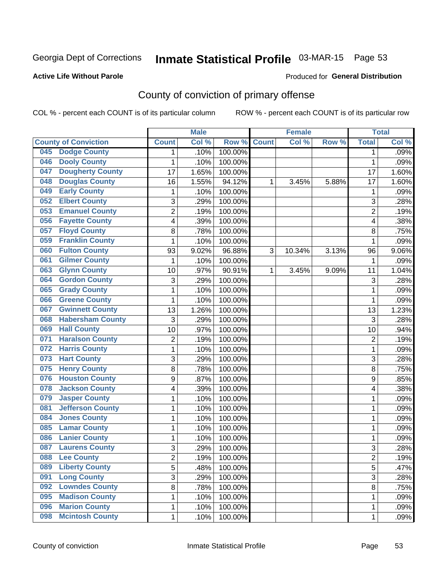## Inmate Statistical Profile 03-MAR-15 Page 53

#### **Active Life Without Parole**

#### Produced for General Distribution

## County of conviction of primary offense

COL % - percent each COUNT is of its particular column

|                                |                | <b>Male</b> |         |              | <b>Female</b> |       |                | <b>Total</b> |
|--------------------------------|----------------|-------------|---------|--------------|---------------|-------|----------------|--------------|
| <b>County of Conviction</b>    | <b>Count</b>   | Col %       | Row %   | <b>Count</b> | Col %         | Row % | <b>Total</b>   | Col %        |
| <b>Dodge County</b><br>045     | 1              | .10%        | 100.00% |              |               |       | 1              | .09%         |
| <b>Dooly County</b><br>046     | 1              | .10%        | 100.00% |              |               |       | 1              | .09%         |
| <b>Dougherty County</b><br>047 | 17             | 1.65%       | 100.00% |              |               |       | 17             | 1.60%        |
| <b>Douglas County</b><br>048   | 16             | 1.55%       | 94.12%  | 1            | 3.45%         | 5.88% | 17             | 1.60%        |
| <b>Early County</b><br>049     | $\mathbf{1}$   | .10%        | 100.00% |              |               |       | 1              | .09%         |
| <b>Elbert County</b><br>052    | 3              | .29%        | 100.00% |              |               |       | 3              | .28%         |
| <b>Emanuel County</b><br>053   | $\overline{2}$ | .19%        | 100.00% |              |               |       | $\overline{2}$ | .19%         |
| <b>Fayette County</b><br>056   | 4              | .39%        | 100.00% |              |               |       | 4              | .38%         |
| <b>Floyd County</b><br>057     | 8              | .78%        | 100.00% |              |               |       | 8              | .75%         |
| <b>Franklin County</b><br>059  | 1              | .10%        | 100.00% |              |               |       | 1              | .09%         |
| <b>Fulton County</b><br>060    | 93             | 9.02%       | 96.88%  | 3            | 10.34%        | 3.13% | 96             | 9.06%        |
| <b>Gilmer County</b><br>061    | $\mathbf{1}$   | .10%        | 100.00% |              |               |       | 1              | .09%         |
| <b>Glynn County</b><br>063     | 10             | .97%        | 90.91%  | 1            | 3.45%         | 9.09% | 11             | 1.04%        |
| <b>Gordon County</b><br>064    | $\mathfrak{S}$ | .29%        | 100.00% |              |               |       | 3              | .28%         |
| <b>Grady County</b><br>065     | 1              | .10%        | 100.00% |              |               |       | $\mathbf 1$    | .09%         |
| <b>Greene County</b><br>066    | $\mathbf{1}$   | .10%        | 100.00% |              |               |       | 1              | .09%         |
| <b>Gwinnett County</b><br>067  | 13             | 1.26%       | 100.00% |              |               |       | 13             | 1.23%        |
| <b>Habersham County</b><br>068 | $\mathfrak{S}$ | .29%        | 100.00% |              |               |       | 3              | .28%         |
| <b>Hall County</b><br>069      | 10             | .97%        | 100.00% |              |               |       | 10             | .94%         |
| <b>Haralson County</b><br>071  | $\sqrt{2}$     | .19%        | 100.00% |              |               |       | $\mathbf 2$    | .19%         |
| <b>Harris County</b><br>072    | 1              | .10%        | 100.00% |              |               |       | $\mathbf 1$    | .09%         |
| <b>Hart County</b><br>073      | 3              | .29%        | 100.00% |              |               |       | 3              | .28%         |
| <b>Henry County</b><br>075     | 8              | .78%        | 100.00% |              |               |       | 8              | .75%         |
| <b>Houston County</b><br>076   | 9              | .87%        | 100.00% |              |               |       | 9              | .85%         |
| <b>Jackson County</b><br>078   | 4              | .39%        | 100.00% |              |               |       | 4              | .38%         |
| <b>Jasper County</b><br>079    | 1              | .10%        | 100.00% |              |               |       | $\mathbf 1$    | .09%         |
| <b>Jefferson County</b><br>081 | 1              | .10%        | 100.00% |              |               |       | 1              | .09%         |
| <b>Jones County</b><br>084     | 1              | .10%        | 100.00% |              |               |       | $\mathbf 1$    | .09%         |
| <b>Lamar County</b><br>085     | 1              | .10%        | 100.00% |              |               |       | $\mathbf 1$    | .09%         |
| <b>Lanier County</b><br>086    | 1              | .10%        | 100.00% |              |               |       | $\mathbf 1$    | .09%         |
| <b>Laurens County</b><br>087   | 3              | .29%        | 100.00% |              |               |       | 3              | .28%         |
| 088<br><b>Lee County</b>       | 2              | .19%        | 100.00% |              |               |       | 2              | .19%         |
| <b>Liberty County</b><br>089   | 5              | .48%        | 100.00% |              |               |       | 5              | .47%         |
| <b>Long County</b><br>091      | 3              | .29%        | 100.00% |              |               |       | 3              | .28%         |
| <b>Lowndes County</b><br>092   | 8              | .78%        | 100.00% |              |               |       | 8              | .75%         |
| <b>Madison County</b><br>095   | 1              | .10%        | 100.00% |              |               |       | 1              | .09%         |
| <b>Marion County</b><br>096    | 1              | .10%        | 100.00% |              |               |       | $\mathbf 1$    | .09%         |
| <b>Mcintosh County</b><br>098  | $\mathbf 1$    | .10%        | 100.00% |              |               |       | $\mathbf{1}$   | .09%         |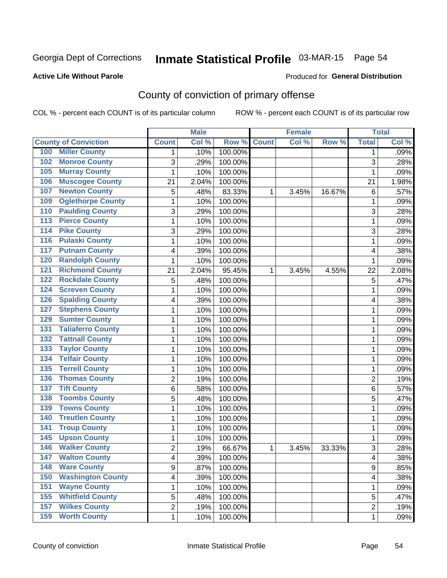## Inmate Statistical Profile 03-MAR-15 Page 54

#### **Active Life Without Parole**

#### Produced for General Distribution

## County of conviction of primary offense

COL % - percent each COUNT is of its particular column

|                                 |                | <b>Male</b> |         |              | <b>Female</b> |        |                | <b>Total</b> |
|---------------------------------|----------------|-------------|---------|--------------|---------------|--------|----------------|--------------|
| <b>County of Conviction</b>     | <b>Count</b>   | Col %       | Row %   | <b>Count</b> | Col%          | Row %  | <b>Total</b>   | Col %        |
| <b>Miller County</b><br>100     | 1              | .10%        | 100.00% |              |               |        | 1              | .09%         |
| <b>Monroe County</b><br>102     | 3              | .29%        | 100.00% |              |               |        | 3              | .28%         |
| <b>Murray County</b><br>105     | 1              | .10%        | 100.00% |              |               |        | 1              | .09%         |
| <b>Muscogee County</b><br>106   | 21             | 2.04%       | 100.00% |              |               |        | 21             | 1.98%        |
| <b>Newton County</b><br>107     | 5              | .48%        | 83.33%  | 1            | 3.45%         | 16.67% | 6              | .57%         |
| <b>Oglethorpe County</b><br>109 | 1              | .10%        | 100.00% |              |               |        | 1              | .09%         |
| <b>Paulding County</b><br>110   | 3              | .29%        | 100.00% |              |               |        | 3              | .28%         |
| <b>Pierce County</b><br>113     | 1              | .10%        | 100.00% |              |               |        | 1              | .09%         |
| <b>Pike County</b><br>114       | 3              | .29%        | 100.00% |              |               |        | 3              | .28%         |
| <b>Pulaski County</b><br>116    | 1              | .10%        | 100.00% |              |               |        | 1              | .09%         |
| <b>Putnam County</b><br>117     | 4              | .39%        | 100.00% |              |               |        | 4              | .38%         |
| <b>Randolph County</b><br>120   | 1              | .10%        | 100.00% |              |               |        | 1              | .09%         |
| <b>Richmond County</b><br>121   | 21             | 2.04%       | 95.45%  | 1            | 3.45%         | 4.55%  | 22             | 2.08%        |
| <b>Rockdale County</b><br>122   | 5              | .48%        | 100.00% |              |               |        | 5              | .47%         |
| <b>Screven County</b><br>124    | 1              | .10%        | 100.00% |              |               |        | 1              | .09%         |
| <b>Spalding County</b><br>126   | 4              | .39%        | 100.00% |              |               |        | 4              | .38%         |
| <b>Stephens County</b><br>127   | 1              | .10%        | 100.00% |              |               |        | 1              | .09%         |
| <b>Sumter County</b><br>129     | 1              | .10%        | 100.00% |              |               |        | 1              | .09%         |
| <b>Taliaferro County</b><br>131 | 1              | .10%        | 100.00% |              |               |        | 1              | .09%         |
| <b>Tattnall County</b><br>132   | 1              | .10%        | 100.00% |              |               |        | 1              | .09%         |
| <b>Taylor County</b><br>133     | 1              | .10%        | 100.00% |              |               |        | 1              | .09%         |
| <b>Telfair County</b><br>134    | 1              | .10%        | 100.00% |              |               |        | 1              | .09%         |
| <b>Terrell County</b><br>135    | 1              | .10%        | 100.00% |              |               |        | 1              | .09%         |
| <b>Thomas County</b><br>136     | $\overline{c}$ | .19%        | 100.00% |              |               |        | $\overline{2}$ | .19%         |
| <b>Tift County</b><br>137       | 6              | .58%        | 100.00% |              |               |        | 6              | .57%         |
| <b>Toombs County</b><br>138     | 5              | .48%        | 100.00% |              |               |        | 5              | .47%         |
| <b>Towns County</b><br>139      | 1              | .10%        | 100.00% |              |               |        | 1              | .09%         |
| <b>Treutlen County</b><br>140   | 1              | .10%        | 100.00% |              |               |        | 1              | .09%         |
| <b>Troup County</b><br>141      | 1              | .10%        | 100.00% |              |               |        | 1              | .09%         |
| <b>Upson County</b><br>145      | 1              | .10%        | 100.00% |              |               |        | 1              | .09%         |
| <b>Walker County</b><br>146     | $\overline{2}$ | .19%        | 66.67%  | 1            | 3.45%         | 33.33% | 3              | .28%         |
| 147<br><b>Walton County</b>     | 4              | .39%        | 100.00% |              |               |        | 4              | .38%         |
| <b>Ware County</b><br>148       | 9              | .87%        | 100.00% |              |               |        | 9              | .85%         |
| <b>Washington County</b><br>150 | 4              | .39%        | 100.00% |              |               |        | 4              | .38%         |
| <b>Wayne County</b><br>151      | 1              | .10%        | 100.00% |              |               |        | 1              | .09%         |
| <b>Whitfield County</b><br>155  | 5              | .48%        | 100.00% |              |               |        | 5              | .47%         |
| <b>Wilkes County</b><br>157     | $\overline{2}$ | .19%        | 100.00% |              |               |        | $\overline{2}$ | .19%         |
| <b>Worth County</b><br>159      | $\mathbf 1$    | .10%        | 100.00% |              |               |        | 1              | .09%         |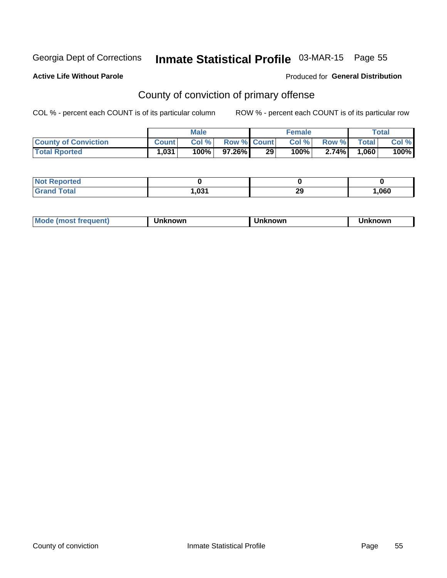## Inmate Statistical Profile 03-MAR-15 Page 55

#### **Active Life Without Parole**

#### Produced for General Distribution

## County of conviction of primary offense

COL % - percent each COUNT is of its particular column

|                             |              | <b>Male</b> |                    |    | <b>Female</b> |       |       | $\tau$ otal |
|-----------------------------|--------------|-------------|--------------------|----|---------------|-------|-------|-------------|
| <b>County of Conviction</b> | <b>Count</b> | Col %       | <b>Row % Count</b> |    | Col %         | Row % | Total | Col %       |
| <b>Total Rported</b>        | 1,031        | 100%        | 97.26%।            | 29 | $100\%$       | 2.74% | .060  | 100%        |

| <b>Not Reported</b> |            |    |      |
|---------------------|------------|----|------|
| Total               | <b>021</b> | ኅሮ | 060, |
| Grar                | ט.ו        | ∠ສ |      |

| <b>Mode</b><br>frequent)<br>. ו <b>MOST</b> ב | ∖known | Unknown | <b>nknown</b> |
|-----------------------------------------------|--------|---------|---------------|
|-----------------------------------------------|--------|---------|---------------|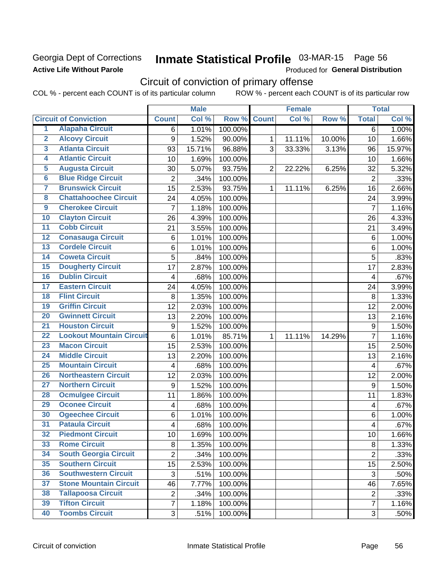### Georgia Dept of Corrections **Active Life Without Parole**

## Inmate Statistical Profile 03-MAR-15 Page 56

Produced for General Distribution

## Circuit of conviction of primary offense

COL % - percent each COUNT is of its particular column ROW % - percent each COUNT is of its particular row

|                         |                                 |                  | <b>Male</b> |         |                | <b>Female</b> |        |                  | <b>Total</b> |
|-------------------------|---------------------------------|------------------|-------------|---------|----------------|---------------|--------|------------------|--------------|
|                         | <b>Circuit of Conviction</b>    | <b>Count</b>     | Col %       | Row %   | <b>Count</b>   | Col%          | Row %  | <b>Total</b>     | Col %        |
| 1                       | <b>Alapaha Circuit</b>          | 6                | 1.01%       | 100.00% |                |               |        | $\overline{6}$   | 1.00%        |
| $\overline{2}$          | <b>Alcovy Circuit</b>           | $\boldsymbol{9}$ | 1.52%       | 90.00%  | 1              | 11.11%        | 10.00% | 10               | 1.66%        |
| $\overline{\mathbf{3}}$ | <b>Atlanta Circuit</b>          | 93               | 15.71%      | 96.88%  | 3              | 33.33%        | 3.13%  | 96               | 15.97%       |
| 4                       | <b>Atlantic Circuit</b>         | 10               | 1.69%       | 100.00% |                |               |        | 10               | 1.66%        |
| $\overline{5}$          | <b>Augusta Circuit</b>          | 30               | 5.07%       | 93.75%  | $\overline{2}$ | 22.22%        | 6.25%  | 32               | 5.32%        |
| 6                       | <b>Blue Ridge Circuit</b>       | $\overline{2}$   | .34%        | 100.00% |                |               |        | $\overline{2}$   | .33%         |
| 7                       | <b>Brunswick Circuit</b>        | 15               | 2.53%       | 93.75%  | $\mathbf{1}$   | 11.11%        | 6.25%  | 16               | 2.66%        |
| $\overline{\mathbf{8}}$ | <b>Chattahoochee Circuit</b>    | 24               | 4.05%       | 100.00% |                |               |        | 24               | 3.99%        |
| $\overline{9}$          | <b>Cherokee Circuit</b>         | $\overline{7}$   | 1.18%       | 100.00% |                |               |        | $\overline{7}$   | 1.16%        |
| 10                      | <b>Clayton Circuit</b>          | 26               | 4.39%       | 100.00% |                |               |        | 26               | 4.33%        |
| $\overline{11}$         | <b>Cobb Circuit</b>             | 21               | 3.55%       | 100.00% |                |               |        | 21               | 3.49%        |
| $\overline{12}$         | <b>Conasauga Circuit</b>        | 6                | 1.01%       | 100.00% |                |               |        | 6                | 1.00%        |
| 13                      | <b>Cordele Circuit</b>          | 6                | 1.01%       | 100.00% |                |               |        | 6                | 1.00%        |
| 14                      | <b>Coweta Circuit</b>           | 5                | .84%        | 100.00% |                |               |        | 5                | .83%         |
| $\overline{15}$         | <b>Dougherty Circuit</b>        | 17               | 2.87%       | 100.00% |                |               |        | 17               | 2.83%        |
| 16                      | <b>Dublin Circuit</b>           | 4                | .68%        | 100.00% |                |               |        | 4                | .67%         |
| 17                      | <b>Eastern Circuit</b>          | 24               | 4.05%       | 100.00% |                |               |        | 24               | 3.99%        |
| $\overline{18}$         | <b>Flint Circuit</b>            | 8                | 1.35%       | 100.00% |                |               |        | 8                | 1.33%        |
| 19                      | <b>Griffin Circuit</b>          | 12               | 2.03%       | 100.00% |                |               |        | 12               | 2.00%        |
| 20                      | <b>Gwinnett Circuit</b>         | 13               | 2.20%       | 100.00% |                |               |        | 13               | 2.16%        |
| $\overline{21}$         | <b>Houston Circuit</b>          | $\boldsymbol{9}$ | 1.52%       | 100.00% |                |               |        | $\mathsf g$      | 1.50%        |
| $\overline{22}$         | <b>Lookout Mountain Circuit</b> | $\,6$            | 1.01%       | 85.71%  | 1              | 11.11%        | 14.29% | $\overline{7}$   | 1.16%        |
| 23                      | <b>Macon Circuit</b>            | 15               | 2.53%       | 100.00% |                |               |        | 15               | 2.50%        |
| $\overline{24}$         | <b>Middle Circuit</b>           | 13               | 2.20%       | 100.00% |                |               |        | 13               | 2.16%        |
| $\overline{25}$         | <b>Mountain Circuit</b>         | 4                | .68%        | 100.00% |                |               |        | 4                | .67%         |
| 26                      | <b>Northeastern Circuit</b>     | 12               | 2.03%       | 100.00% |                |               |        | 12               | 2.00%        |
| $\overline{27}$         | <b>Northern Circuit</b>         | 9                | 1.52%       | 100.00% |                |               |        | $\boldsymbol{9}$ | 1.50%        |
| 28                      | <b>Ocmulgee Circuit</b>         | 11               | 1.86%       | 100.00% |                |               |        | 11               | 1.83%        |
| 29                      | <b>Oconee Circuit</b>           | 4                | .68%        | 100.00% |                |               |        | 4                | .67%         |
| 30                      | <b>Ogeechee Circuit</b>         | $\,6$            | 1.01%       | 100.00% |                |               |        | 6                | 1.00%        |
| $\overline{31}$         | <b>Pataula Circuit</b>          | 4                | .68%        | 100.00% |                |               |        | 4                | .67%         |
| 32                      | <b>Piedmont Circuit</b>         | 10               | 1.69%       | 100.00% |                |               |        | 10               | 1.66%        |
| 33                      | <b>Rome Circuit</b>             | 8                | 1.35%       | 100.00% |                |               |        | 8                | 1.33%        |
| 34                      | <b>South Georgia Circuit</b>    | $\overline{2}$   | .34%        | 100.00% |                |               |        | $\overline{2}$   | .33%         |
| 35                      | <b>Southern Circuit</b>         | 15               | 2.53%       | 100.00% |                |               |        | 15               | 2.50%        |
| 36                      | <b>Southwestern Circuit</b>     | 3                | .51%        | 100.00% |                |               |        | 3                | .50%         |
| 37                      | <b>Stone Mountain Circuit</b>   | 46               | 7.77%       | 100.00% |                |               |        | 46               | 7.65%        |
| 38                      | <b>Tallapoosa Circuit</b>       | $\overline{2}$   | .34%        | 100.00% |                |               |        | $\overline{c}$   | .33%         |
| 39                      | <b>Tifton Circuit</b>           | $\overline{7}$   | 1.18%       | 100.00% |                |               |        | $\overline{7}$   | 1.16%        |
| 40                      | <b>Toombs Circuit</b>           | 3                | .51%        | 100.00% |                |               |        | 3                | $.50\%$      |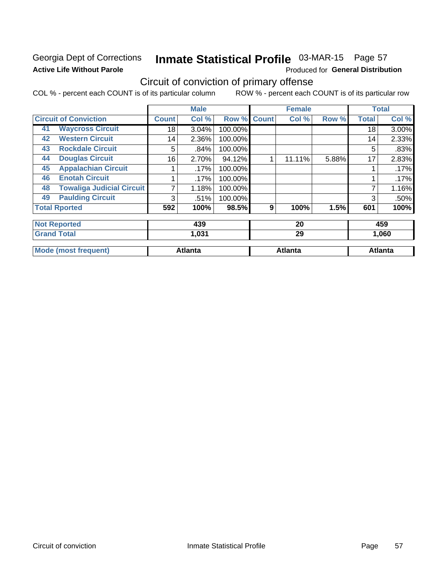### Georgia Dept of Corrections **Active Life Without Parole**

## Inmate Statistical Profile 03-MAR-15 Page 57

Produced for General Distribution

## Circuit of conviction of primary offense

COL % - percent each COUNT is of its particular column ROW % - percent each COUNT is of its particular row

|                     |                                  |              | <b>Male</b>    |         |              | <b>Female</b>  |       |              | <b>Total</b>   |
|---------------------|----------------------------------|--------------|----------------|---------|--------------|----------------|-------|--------------|----------------|
|                     | <b>Circuit of Conviction</b>     | <b>Count</b> | Col %          | Row %   | <b>Count</b> | Col %          | Row % | <b>Total</b> | Col %          |
| 41                  | <b>Waycross Circuit</b>          | 18           | 3.04%          | 100.00% |              |                |       | 18           | 3.00%          |
| 42                  | <b>Western Circuit</b>           | 14           | 2.36%          | 100.00% |              |                |       | 14           | 2.33%          |
| 43                  | <b>Rockdale Circuit</b>          | 5            | .84%           | 100.00% |              |                |       | 5            | .83%           |
| 44                  | <b>Douglas Circuit</b>           | 16           | 2.70%          | 94.12%  | 1            | 11.11%         | 5.88% | 17           | 2.83%          |
| 45                  | <b>Appalachian Circuit</b>       |              | .17%           | 100.00% |              |                |       |              | .17%           |
| 46                  | <b>Enotah Circuit</b>            |              | .17%           | 100.00% |              |                |       |              | .17%           |
| 48                  | <b>Towaliga Judicial Circuit</b> |              | 1.18%          | 100.00% |              |                |       |              | 1.16%          |
| 49                  | <b>Paulding Circuit</b>          | 3            | .51%           | 100.00% |              |                |       | 3            | .50%           |
|                     | <b>Total Rported</b>             | 592          | 100%           | 98.5%   | 9            | 100%           | 1.5%  | 601          | 100%           |
| <b>Not Reported</b> |                                  |              | 439            |         |              | 20             |       |              | 459            |
| <b>Grand Total</b>  |                                  |              | 1,031          |         |              | 29             |       |              | 1,060          |
|                     | <b>Mode (most frequent)</b>      |              | <b>Atlanta</b> |         |              | <b>Atlanta</b> |       |              | <b>Atlanta</b> |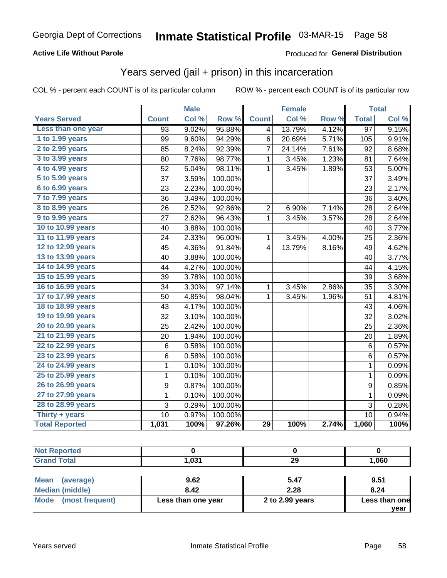#### **Active Life Without Parole**

#### Produced for General Distribution

### Years served (jail + prison) in this incarceration

COL % - percent each COUNT is of its particular column

|                       |                 | <b>Male</b> |         |                | <b>Female</b> |       |                  | <b>Total</b> |
|-----------------------|-----------------|-------------|---------|----------------|---------------|-------|------------------|--------------|
| <b>Years Served</b>   | <b>Count</b>    | Col %       | Row %   | <b>Count</b>   | Col %         | Row % | <b>Total</b>     | Col %        |
| Less than one year    | $\overline{93}$ | 9.02%       | 95.88%  | 4              | 13.79%        | 4.12% | $\overline{97}$  | 9.15%        |
| 1 to 1.99 years       | 99              | 9.60%       | 94.29%  | 6              | 20.69%        | 5.71% | 105              | 9.91%        |
| 2 to 2.99 years       | 85              | 8.24%       | 92.39%  | $\overline{7}$ | 24.14%        | 7.61% | 92               | 8.68%        |
| 3 to 3.99 years       | 80              | 7.76%       | 98.77%  | 1              | 3.45%         | 1.23% | 81               | 7.64%        |
| 4 to 4.99 years       | 52              | 5.04%       | 98.11%  | 1              | 3.45%         | 1.89% | 53               | 5.00%        |
| 5 to 5.99 years       | 37              | 3.59%       | 100.00% |                |               |       | 37               | 3.49%        |
| 6 to 6.99 years       | 23              | 2.23%       | 100.00% |                |               |       | 23               | 2.17%        |
| 7 to 7.99 years       | 36              | 3.49%       | 100.00% |                |               |       | 36               | 3.40%        |
| 8 to 8.99 years       | 26              | 2.52%       | 92.86%  | $\overline{2}$ | 6.90%         | 7.14% | 28               | 2.64%        |
| 9 to 9.99 years       | 27              | 2.62%       | 96.43%  | 1              | 3.45%         | 3.57% | 28               | 2.64%        |
| 10 to 10.99 years     | 40              | 3.88%       | 100.00% |                |               |       | 40               | 3.77%        |
| 11 to 11.99 years     | 24              | 2.33%       | 96.00%  | 1              | 3.45%         | 4.00% | 25               | 2.36%        |
| 12 to 12.99 years     | 45              | 4.36%       | 91.84%  | 4              | 13.79%        | 8.16% | 49               | 4.62%        |
| 13 to 13.99 years     | 40              | 3.88%       | 100.00% |                |               |       | 40               | 3.77%        |
| 14 to 14.99 years     | 44              | 4.27%       | 100.00% |                |               |       | 44               | 4.15%        |
| 15 to 15.99 years     | 39              | 3.78%       | 100.00% |                |               |       | 39               | 3.68%        |
| 16 to 16.99 years     | 34              | 3.30%       | 97.14%  | 1              | 3.45%         | 2.86% | 35               | 3.30%        |
| 17 to 17.99 years     | 50              | 4.85%       | 98.04%  | 1              | 3.45%         | 1.96% | 51               | 4.81%        |
| 18 to 18.99 years     | 43              | 4.17%       | 100.00% |                |               |       | 43               | 4.06%        |
| 19 to 19.99 years     | 32              | 3.10%       | 100.00% |                |               |       | 32               | 3.02%        |
| 20 to 20.99 years     | 25              | 2.42%       | 100.00% |                |               |       | 25               | 2.36%        |
| 21 to 21.99 years     | 20              | 1.94%       | 100.00% |                |               |       | 20               | 1.89%        |
| 22 to 22.99 years     | 6               | 0.58%       | 100.00% |                |               |       | 6                | 0.57%        |
| 23 to 23.99 years     | 6               | 0.58%       | 100.00% |                |               |       | $6\phantom{1}$   | 0.57%        |
| 24 to 24.99 years     | $\mathbf 1$     | 0.10%       | 100.00% |                |               |       | $\mathbf 1$      | 0.09%        |
| 25 to 25.99 years     | $\mathbf{1}$    | 0.10%       | 100.00% |                |               |       | $\mathbf{1}$     | 0.09%        |
| 26 to 26.99 years     | 9               | 0.87%       | 100.00% |                |               |       | $\boldsymbol{9}$ | 0.85%        |
| 27 to 27.99 years     | 1               | 0.10%       | 100.00% |                |               |       | 1                | 0.09%        |
| 28 to 28.99 years     | 3               | 0.29%       | 100.00% |                |               |       | 3                | 0.28%        |
| Thirty + years        | 10              | 0.97%       | 100.00% |                |               |       | 10               | 0.94%        |
| <b>Total Reported</b> | 1,031           | 100%        | 97.26%  | 29             | 100%          | 2.74% | 1,060            | 100%         |

| <b>Not Reported</b>     |                    |                 |               |
|-------------------------|--------------------|-----------------|---------------|
| <b>Grand Total</b>      | 1.031              | 29              | 1,060         |
|                         |                    |                 |               |
| Mean<br>(average)       | 9.62               | 5.47            | 9.51          |
| <b>Median (middle)</b>  | 8.42               | 2.28            | 8.24          |
| Mode<br>(most frequent) | Less than one year | 2 to 2.99 years | Less than one |
|                         |                    |                 | vear          |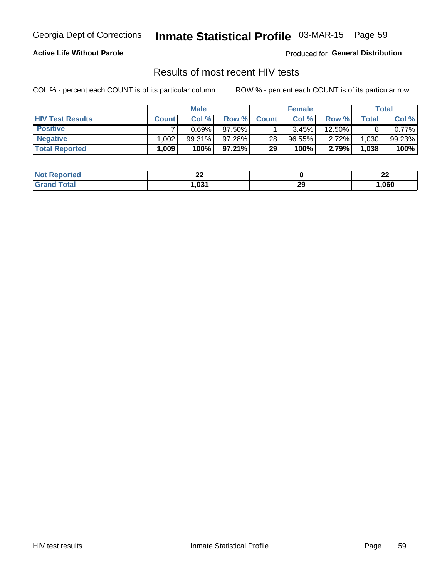## Inmate Statistical Profile 03-MAR-15 Page 59

#### **Active Life Without Parole**

Produced for General Distribution

### Results of most recent HIV tests

COL % - percent each COUNT is of its particular column

|                         |              | <b>Male</b> |           |                 | <b>Female</b> |        |       | Total  |
|-------------------------|--------------|-------------|-----------|-----------------|---------------|--------|-------|--------|
| <b>HIV Test Results</b> | <b>Count</b> | Col%        | Row %     | <b>Count</b>    | Col %         | Row %  | Total | Col %  |
| <b>Positive</b>         |              | 0.69%       | 87.50%    |                 | 3.45%         | 12.50% |       | 0.77%  |
| <b>Negative</b>         | .002         | $99.31\%$   | 97.28%    | 28 <sub>1</sub> | $96.55\%$     | 2.72%  | 1,030 | 99.23% |
| <b>Total Reported</b>   | .009         | 100%        | $97.21\%$ | 29              | 100%          | 2.79%  | 1,038 | 100%   |

| <b>Not Reported</b> | ^^<br>⊷ |           | ^^<br>-- |
|---------------------|---------|-----------|----------|
| <b>Total</b>        | .031    | nr.<br>23 | ,060     |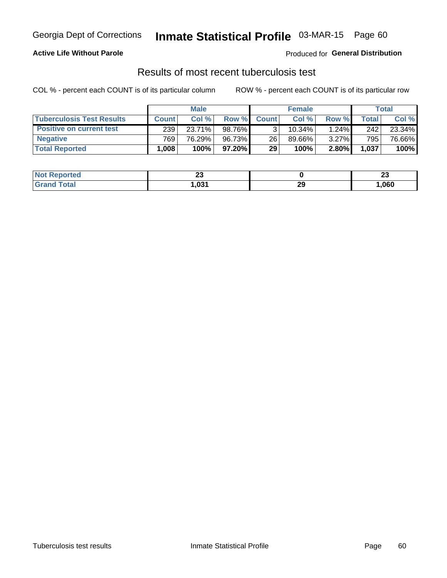#### **Active Life Without Parole**

Produced for General Distribution

### Results of most recent tuberculosis test

COL % - percent each COUNT is of its particular column

|                                  | <b>Male</b>       |        |                 | <b>Female</b>   |        |       | Total |        |
|----------------------------------|-------------------|--------|-----------------|-----------------|--------|-------|-------|--------|
| <b>Tuberculosis Test Results</b> | <b>Count</b>      | Col%   | Row %I          | <b>Count</b>    | Col%   | Row % | Total | Col %  |
| <b>Positive on current test</b>  | 239               | 23.71% | 98.76%          |                 | 10.34% | 1.24% | 242   | 23.34% |
| <b>Negative</b>                  | 769               | 76.29% | 96.73%          | 26              | 89.66% | 3.27% | 795   | 76.66% |
| <b>Total Reported</b>            | .008 <sub>1</sub> | 100%   | 97.20% <b>I</b> | 29 <sub>1</sub> | 100%   | 2.80% | 1,037 | 100%   |

| <b>Not Reported</b> | n.<br><u>_</u> |          | n.<br>w |
|---------------------|----------------|----------|---------|
| <b>Total</b>        | 1.031          | າເ<br>23 | ,060    |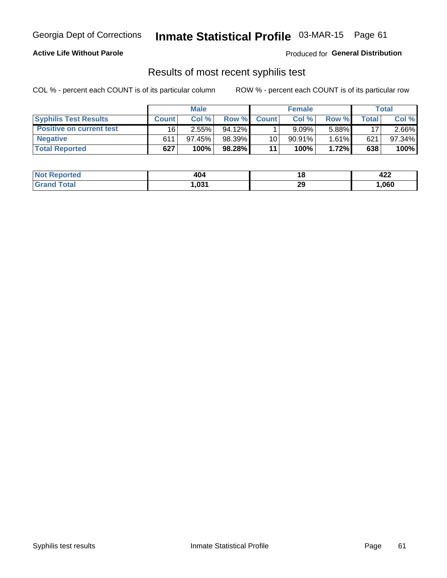## Georgia Dept of Corrections **Inmate Statistical Profile** 03-MAR-15 Page 61

#### **Active Life Without Parole**

Produced for **General Distribution**

### Results of most recent syphilis test

COL % - percent each COUNT is of its particular column ROW % - percent each COUNT is of its particular row

|                                 | <b>Male</b>  |           |           | <b>Female</b> |           |          | Total |        |
|---------------------------------|--------------|-----------|-----------|---------------|-----------|----------|-------|--------|
| <b>Syphilis Test Results</b>    | <b>Count</b> | Col %     | Row %     | <b>Count</b>  | Col %     | Row %I   | Total | Col %  |
| <b>Positive on current test</b> | 16           | 2.55%     | $94.12\%$ |               | 9.09%     | 5.88%    | 17    | 2.66%  |
| <b>Negative</b>                 | 611          | $97.45\%$ | 98.39%    | 10            | $90.91\%$ | $1.61\%$ | 621   | 97.34% |
| <b>Total Reported</b>           | 627          | 100%      | 98.28%    | 11            | 100%      | 1.72%    | 638   | 100%   |

| <b>Not Reported</b> | 404   | 40       | Ann<br>46L |
|---------------------|-------|----------|------------|
| <b>Grand Total</b>  | 031.، | າດ<br>23 | ,060       |